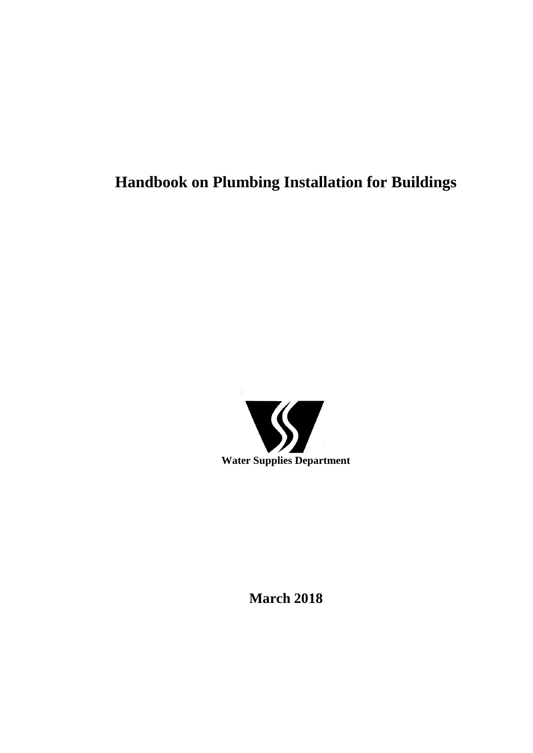# **Handbook on Plumbing Installation for Buildings**



**March 2018**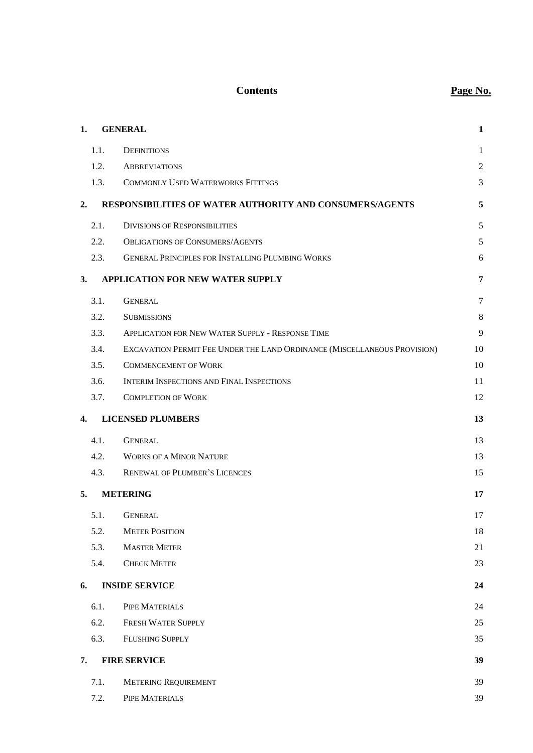## **Contents** Page No.

| 1. |      | <b>GENERAL</b>                                                           | $\mathbf{1}$   |
|----|------|--------------------------------------------------------------------------|----------------|
|    | 1.1. | <b>DEFINITIONS</b>                                                       | 1              |
|    | 1.2. | <b>ABBREVIATIONS</b>                                                     | $\overline{2}$ |
|    | 1.3. | <b>COMMONLY USED WATERWORKS FITTINGS</b>                                 | 3              |
| 2. |      | <b>RESPONSIBILITIES OF WATER AUTHORITY AND CONSUMERS/AGENTS</b>          | 5              |
|    | 2.1. | <b>DIVISIONS OF RESPONSIBILITIES</b>                                     | 5              |
|    | 2.2. | <b>OBLIGATIONS OF CONSUMERS/AGENTS</b>                                   | 5              |
|    | 2.3. | <b>GENERAL PRINCIPLES FOR INSTALLING PLUMBING WORKS</b>                  | 6              |
| 3. |      | APPLICATION FOR NEW WATER SUPPLY                                         | 7              |
|    | 3.1. | <b>GENERAL</b>                                                           | 7              |
|    | 3.2. | <b>SUBMISSIONS</b>                                                       | 8              |
|    | 3.3. | <b>APPLICATION FOR NEW WATER SUPPLY - RESPONSE TIME</b>                  | 9              |
|    | 3.4. | EXCAVATION PERMIT FEE UNDER THE LAND ORDINANCE (MISCELLANEOUS PROVISION) | 10             |
|    | 3.5. | <b>COMMENCEMENT OF WORK</b>                                              | 10             |
|    | 3.6. | <b>INTERIM INSPECTIONS AND FINAL INSPECTIONS</b>                         | 11             |
|    | 3.7. | <b>COMPLETION OF WORK</b>                                                | 12             |
| 4. |      | <b>LICENSED PLUMBERS</b>                                                 | 13             |
|    | 4.1. | <b>GENERAL</b>                                                           | 13             |
|    | 4.2. | <b>WORKS OF A MINOR NATURE</b>                                           | 13             |
|    | 4.3. | <b>RENEWAL OF PLUMBER'S LICENCES</b>                                     | 15             |
| 5. |      | <b>METERING</b>                                                          | 17             |
|    | 5.1. | <b>GENERAL</b>                                                           | 17             |
|    | 5.2. | <b>METER POSITION</b>                                                    | 18             |
|    | 5.3. | <b>MASTER METER</b>                                                      | 21             |
|    | 5.4. | <b>CHECK METER</b>                                                       | 23             |
| 6. |      | <b>INSIDE SERVICE</b>                                                    | 24             |
|    | 6.1. | PIPE MATERIALS                                                           | 24             |
|    | 6.2. | <b>FRESH WATER SUPPLY</b>                                                | 25             |
|    | 6.3. | <b>FLUSHING SUPPLY</b>                                                   | 35             |
| 7. |      | <b>FIRE SERVICE</b>                                                      | 39             |
|    | 7.1. | <b>METERING REQUIREMENT</b>                                              | 39             |
|    | 7.2. | PIPE MATERIALS                                                           | 39             |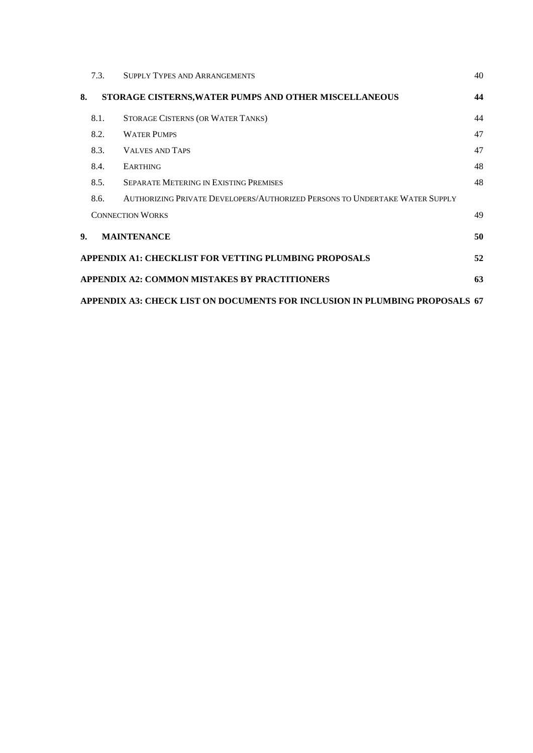|    | 7.3.                                                                        | <b>SUPPLY TYPES AND ARRANGEMENTS</b>                                        | 40 |  |
|----|-----------------------------------------------------------------------------|-----------------------------------------------------------------------------|----|--|
| 8. |                                                                             | STORAGE CISTERNS, WATER PUMPS AND OTHER MISCELLANEOUS                       | 44 |  |
|    | 8.1.                                                                        | STORAGE CISTERNS (OR WATER TANKS)                                           | 44 |  |
|    | 8.2.                                                                        | <b>WATER PUMPS</b>                                                          | 47 |  |
|    | 8.3.                                                                        | <b>VALVES AND TAPS</b>                                                      | 47 |  |
|    | 8.4.                                                                        | <b>EARTHING</b>                                                             | 48 |  |
|    | 8.5.                                                                        | <b>SEPARATE METERING IN EXISTING PREMISES</b>                               | 48 |  |
|    | 8.6.                                                                        | AUTHORIZING PRIVATE DEVELOPERS/AUTHORIZED PERSONS TO UNDERTAKE WATER SUPPLY |    |  |
|    |                                                                             | <b>CONNECTION WORKS</b>                                                     | 49 |  |
| 9. |                                                                             | <b>MAINTENANCE</b>                                                          | 50 |  |
|    |                                                                             | <b>APPENDIX A1: CHECKLIST FOR VETTING PLUMBING PROPOSALS</b>                | 52 |  |
|    |                                                                             | APPENDIX A2: COMMON MISTAKES BY PRACTITIONERS                               | 63 |  |
|    | APPENDIX A3: CHECK LIST ON DOCUMENTS FOR INCLUSION IN PLUMBING PROPOSALS 67 |                                                                             |    |  |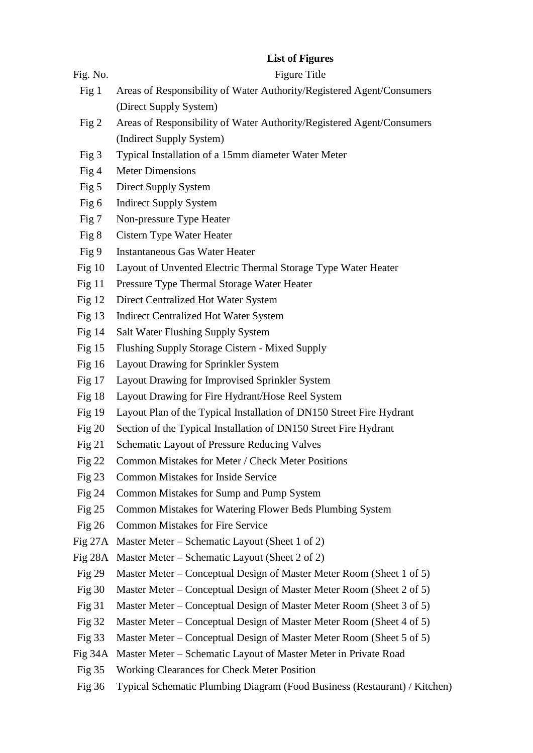|  |  | <b>List of Figures</b> |
|--|--|------------------------|
|--|--|------------------------|

| <b>Figure</b> Title |  |
|---------------------|--|
|                     |  |

- Fig 1 Areas of Responsibility of Water Authority/Registered Agent/Consumers (Direct Supply System)
- Fig 2 Areas of Responsibility of Water Authority/Registered Agent/Consumers (Indirect Supply System)
- Fig 3 Typical Installation of a 15mm diameter Water Meter
- Fig 4 Meter Dimensions

Fig. No.

- Fig 5 Direct Supply System
- Fig 6 Indirect Supply System
- Fig 7 Non-pressure Type Heater
- Fig 8 Cistern Type Water Heater
- Fig 9 Instantaneous Gas Water Heater
- $Fig 10$ Layout of Unvented Electric Thermal Storage Type Water Heater
- Fig 11 Pressure Type Thermal Storage Water Heater
- $Fig 12$ Direct Centralized Hot Water System
- Fig 13 Indirect Centralized Hot Water System
- $Fig 14$ Salt Water Flushing Supply System
- Fig 15 Flushing Supply Storage Cistern - Mixed Supply
- Fig  $16$ Layout Drawing for Sprinkler System
- Fig 17 Layout Drawing for Improvised Sprinkler System
- Fig 18 Layout Drawing for Fire Hydrant/Hose Reel System
- Fig 19 Layout Plan of the Typical Installation of DN150 Street Fire Hydrant
- $Fig 20$ Section of the Typical Installation of DN150 Street Fire Hydrant
- $Fig 21$ Schematic Layout of Pressure Reducing Valves
- $Fig 22$ Common Mistakes for Meter / Check Meter Positions
- $Fig 23$ Common Mistakes for Inside Service
- $Fig 24$ Common Mistakes for Sump and Pump System
- Fig  $25$ Common Mistakes for Watering Flower Beds Plumbing System
- $Fig 26$ Common Mistakes for Fire Service
- Fig 27A Master Meter Schematic Layout (Sheet 1 of 2)
- Fig 28A Master Meter Schematic Layout (Sheet 2 of 2)
- $Fig 29$ Master Meter – Conceptual Design of Master Meter Room (Sheet 1 of 5)
- Fig 30 Master Meter – Conceptual Design of Master Meter Room (Sheet 2 of 5)
- Fig 31 Master Meter – Conceptual Design of Master Meter Room (Sheet 3 of 5)
- Fig 32 Master Meter – Conceptual Design of Master Meter Room (Sheet 4 of 5)
- Fig 33 Master Meter – Conceptual Design of Master Meter Room (Sheet 5 of 5)
- Fig 34A Master Meter Schematic Layout of Master Meter in Private Road
- Fig  $35$ Working Clearances for Check Meter Position
- Fig 36 Typical Schematic Plumbing Diagram (Food Business (Restaurant) / Kitchen)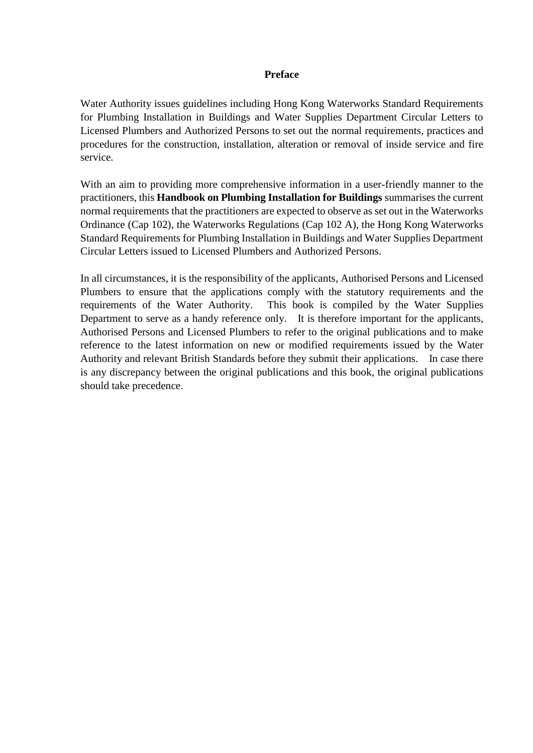#### **Preface**

Water Authority issues guidelines including Hong Kong Waterworks Standard Requirements for Plumbing Installation in Buildings and Water Supplies Department Circular Letters to Licensed Plumbers and Authorized Persons to set out the normal requirements, practices and procedures for the construction, installation, alteration or removal of inside service and fire service.

With an aim to providing more comprehensive information in a user-friendly manner to the practitioners, this **Handbook on Plumbing Installation for Buildings** summarises the current normal requirements that the practitioners are expected to observe as set out in the Waterworks Ordinance (Cap 102), the Waterworks Regulations (Cap 102 A), the Hong Kong Waterworks Standard Requirements for Plumbing Installation in Buildings and Water Supplies Department Circular Letters issued to Licensed Plumbers and Authorized Persons.

In all circumstances, it is the responsibility of the applicants, Authorised Persons and Licensed Plumbers to ensure that the applications comply with the statutory requirements and the requirements of the Water Authority. This book is compiled by the Water Supplies Department to serve as a handy reference only. It is therefore important for the applicants, Authorised Persons and Licensed Plumbers to refer to the original publications and to make reference to the latest information on new or modified requirements issued by the Water Authority and relevant British Standards before they submit their applications. In case there is any discrepancy between the original publications and this book, the original publications should take precedence.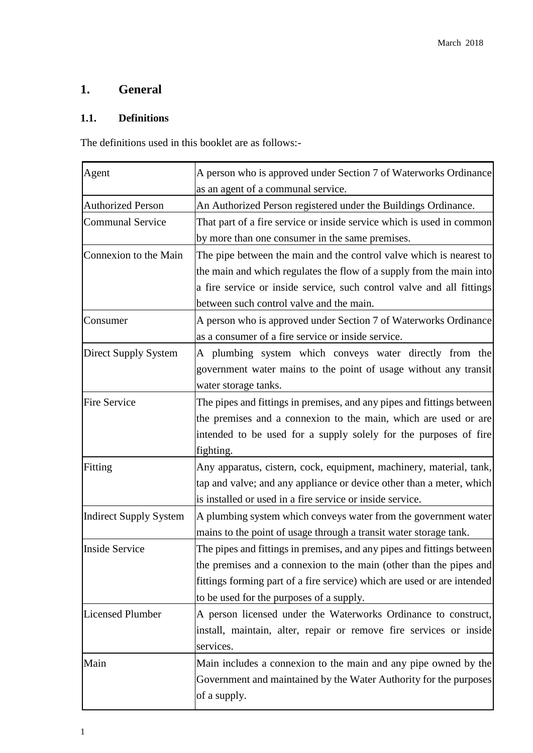## **1. General**

## **1.1. Definitions**

The definitions used in this booklet are as follows:-

| Agent                         | A person who is approved under Section 7 of Waterworks Ordinance        |
|-------------------------------|-------------------------------------------------------------------------|
|                               | as an agent of a communal service.                                      |
| <b>Authorized Person</b>      | An Authorized Person registered under the Buildings Ordinance.          |
| <b>Communal Service</b>       | That part of a fire service or inside service which is used in common   |
|                               | by more than one consumer in the same premises.                         |
| Connexion to the Main         | The pipe between the main and the control valve which is nearest to     |
|                               | the main and which regulates the flow of a supply from the main into    |
|                               | a fire service or inside service, such control valve and all fittings   |
|                               | between such control valve and the main.                                |
| Consumer                      | A person who is approved under Section 7 of Waterworks Ordinance        |
|                               | as a consumer of a fire service or inside service.                      |
| <b>Direct Supply System</b>   | A plumbing system which conveys water directly from the                 |
|                               | government water mains to the point of usage without any transit        |
|                               | water storage tanks.                                                    |
| <b>Fire Service</b>           | The pipes and fittings in premises, and any pipes and fittings between  |
|                               | the premises and a connexion to the main, which are used or are         |
|                               | intended to be used for a supply solely for the purposes of fire        |
|                               | fighting.                                                               |
| Fitting                       | Any apparatus, cistern, cock, equipment, machinery, material, tank,     |
|                               | tap and valve; and any appliance or device other than a meter, which    |
|                               | is installed or used in a fire service or inside service.               |
| <b>Indirect Supply System</b> | A plumbing system which conveys water from the government water         |
|                               | mains to the point of usage through a transit water storage tank.       |
| <b>Inside Service</b>         | The pipes and fittings in premises, and any pipes and fittings between  |
|                               | the premises and a connexion to the main (other than the pipes and      |
|                               | fittings forming part of a fire service) which are used or are intended |
|                               | to be used for the purposes of a supply.                                |
| <b>Licensed Plumber</b>       | A person licensed under the Waterworks Ordinance to construct,          |
|                               | install, maintain, alter, repair or remove fire services or inside      |
|                               | services.                                                               |
| Main                          | Main includes a connexion to the main and any pipe owned by the         |
|                               | Government and maintained by the Water Authority for the purposes       |
|                               | of a supply.                                                            |
|                               |                                                                         |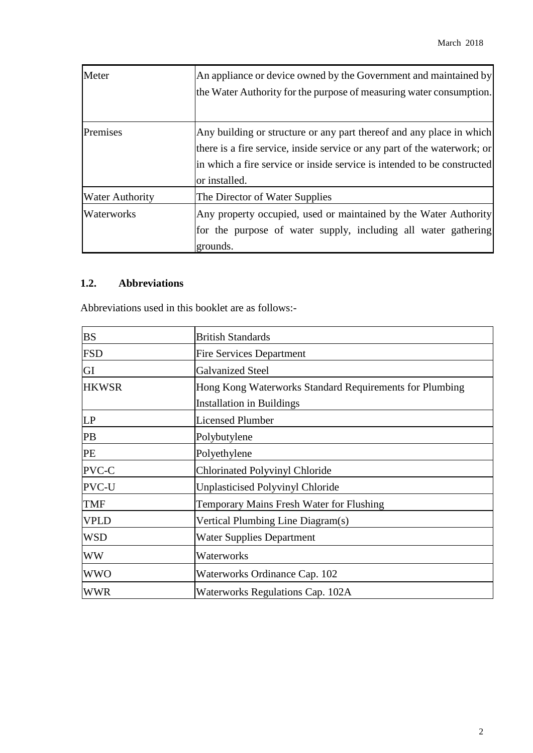| Meter                  | An appliance or device owned by the Government and maintained by<br>the Water Authority for the purpose of measuring water consumption.                                                                                                      |  |  |  |
|------------------------|----------------------------------------------------------------------------------------------------------------------------------------------------------------------------------------------------------------------------------------------|--|--|--|
| Premises               | Any building or structure or any part thereof and any place in which<br>there is a fire service, inside service or any part of the waterwork; or<br>in which a fire service or inside service is intended to be constructed<br>or installed. |  |  |  |
| <b>Water Authority</b> | The Director of Water Supplies                                                                                                                                                                                                               |  |  |  |
| Waterworks             | Any property occupied, used or maintained by the Water Authority<br>for the purpose of water supply, including all water gathering<br>grounds.                                                                                               |  |  |  |

## **1.2. Abbreviations**

Abbreviations used in this booklet are as follows:-

| <b>BS</b>    | <b>British Standards</b>                                |
|--------------|---------------------------------------------------------|
| <b>FSD</b>   | <b>Fire Services Department</b>                         |
| GI           | <b>Galvanized Steel</b>                                 |
| <b>HKWSR</b> | Hong Kong Waterworks Standard Requirements for Plumbing |
|              | <b>Installation in Buildings</b>                        |
| LP           | <b>Licensed Plumber</b>                                 |
| PB           | Polybutylene                                            |
| PE           | Polyethylene                                            |
| PVC-C        | <b>Chlorinated Polyvinyl Chloride</b>                   |
| PVC-U        | <b>Unplasticised Polyvinyl Chloride</b>                 |
| <b>TMF</b>   | <b>Temporary Mains Fresh Water for Flushing</b>         |
| <b>VPLD</b>  | Vertical Plumbing Line Diagram(s)                       |
| <b>WSD</b>   | <b>Water Supplies Department</b>                        |
| WW           | Waterworks                                              |
| <b>WWO</b>   | Waterworks Ordinance Cap. 102                           |
| <b>WWR</b>   | <b>Waterworks Regulations Cap. 102A</b>                 |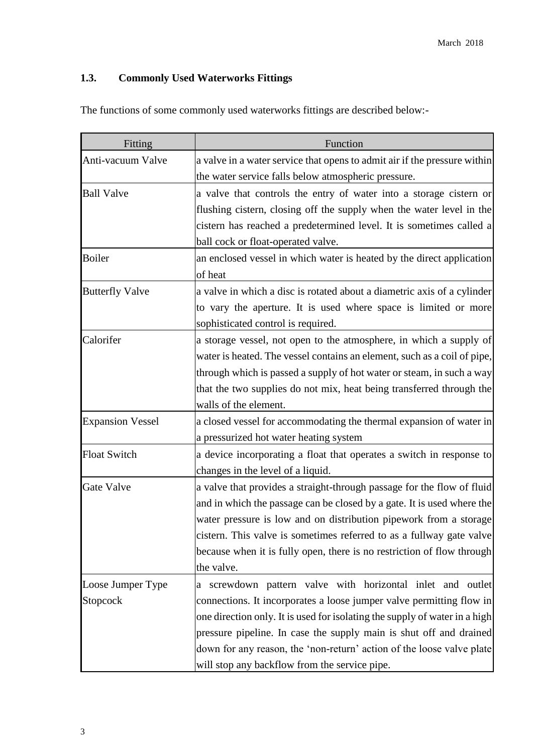## **1.3. Commonly Used Waterworks Fittings**

The functions of some commonly used waterworks fittings are described below:-

| Fitting                 | Function                                                                   |  |  |
|-------------------------|----------------------------------------------------------------------------|--|--|
| Anti-vacuum Valve       | a valve in a water service that opens to admit air if the pressure within  |  |  |
|                         | the water service falls below atmospheric pressure.                        |  |  |
| <b>Ball Valve</b>       | a valve that controls the entry of water into a storage cistern or         |  |  |
|                         | flushing cistern, closing off the supply when the water level in the       |  |  |
|                         | cistern has reached a predetermined level. It is sometimes called a        |  |  |
|                         | ball cock or float-operated valve.                                         |  |  |
| <b>Boiler</b>           | an enclosed vessel in which water is heated by the direct application      |  |  |
|                         | of heat                                                                    |  |  |
| <b>Butterfly Valve</b>  | a valve in which a disc is rotated about a diametric axis of a cylinder    |  |  |
|                         | to vary the aperture. It is used where space is limited or more            |  |  |
|                         | sophisticated control is required.                                         |  |  |
| Calorifer               | a storage vessel, not open to the atmosphere, in which a supply of         |  |  |
|                         | water is heated. The vessel contains an element, such as a coil of pipe,   |  |  |
|                         | through which is passed a supply of hot water or steam, in such a way      |  |  |
|                         | that the two supplies do not mix, heat being transferred through the       |  |  |
|                         | walls of the element.                                                      |  |  |
| <b>Expansion Vessel</b> | a closed vessel for accommodating the thermal expansion of water in        |  |  |
|                         | a pressurized hot water heating system                                     |  |  |
| <b>Float Switch</b>     | a device incorporating a float that operates a switch in response to       |  |  |
|                         | changes in the level of a liquid.                                          |  |  |
| <b>Gate Valve</b>       | a valve that provides a straight-through passage for the flow of fluid     |  |  |
|                         | and in which the passage can be closed by a gate. It is used where the     |  |  |
|                         | water pressure is low and on distribution pipework from a storage          |  |  |
|                         | cistern. This valve is sometimes referred to as a fullway gate valve       |  |  |
|                         | because when it is fully open, there is no restriction of flow through     |  |  |
|                         | the valve.                                                                 |  |  |
| Loose Jumper Type       | a screwdown pattern valve with horizontal inlet and outlet                 |  |  |
| Stopcock                | connections. It incorporates a loose jumper valve permitting flow in       |  |  |
|                         | one direction only. It is used for isolating the supply of water in a high |  |  |
|                         | pressure pipeline. In case the supply main is shut off and drained         |  |  |
|                         | down for any reason, the 'non-return' action of the loose valve plate      |  |  |
|                         | will stop any backflow from the service pipe.                              |  |  |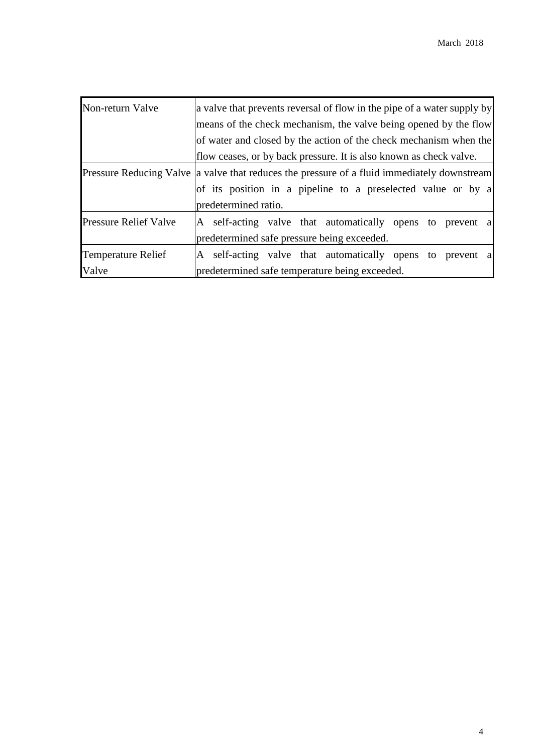| Non-return Valve             | a valve that prevents reversal of flow in the pipe of a water supply by                     |
|------------------------------|---------------------------------------------------------------------------------------------|
|                              | means of the check mechanism, the valve being opened by the flow                            |
|                              | of water and closed by the action of the check mechanism when the                           |
|                              | flow ceases, or by back pressure. It is also known as check valve.                          |
|                              | Pressure Reducing Valve a valve that reduces the pressure of a fluid immediately downstream |
|                              | of its position in a pipeline to a preselected value or by a                                |
|                              | predetermined ratio.                                                                        |
| <b>Pressure Relief Valve</b> | A self-acting valve that automatically opens to prevent a                                   |
|                              | predetermined safe pressure being exceeded.                                                 |
| <b>Temperature Relief</b>    | A self-acting valve that automatically opens to prevent a                                   |
| Valve                        | predetermined safe temperature being exceeded.                                              |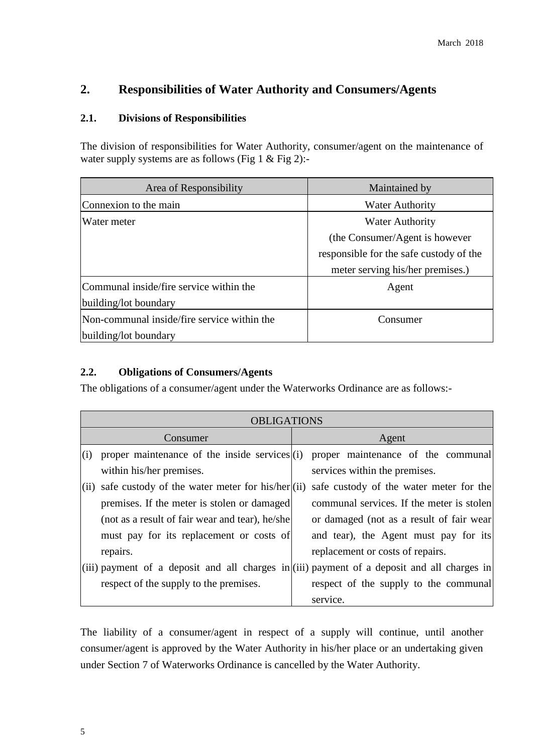## **2. Responsibilities of Water Authority and Consumers/Agents**

#### **2.1. Divisions of Responsibilities**

The division of responsibilities for Water Authority, consumer/agent on the maintenance of water supply systems are as follows (Fig 1 & Fig 2):-

| Area of Responsibility                      | Maintained by                           |
|---------------------------------------------|-----------------------------------------|
| Connexion to the main                       | <b>Water Authority</b>                  |
| Water meter                                 | <b>Water Authority</b>                  |
|                                             | (the Consumer/Agent is however          |
|                                             | responsible for the safe custody of the |
|                                             | meter serving his/her premises.)        |
| Communal inside/fire service within the     | Agent                                   |
| building/lot boundary                       |                                         |
| Non-communal inside/fire service within the | Consumer                                |
| building/lot boundary                       |                                         |

### **2.2. Obligations of Consumers/Agents**

The obligations of a consumer/agent under the Waterworks Ordinance are as follows:-

|     | <b>OBLIGATIONS</b>                                                                          |                                           |
|-----|---------------------------------------------------------------------------------------------|-------------------------------------------|
|     | Consumer                                                                                    | Agent                                     |
| (i) | proper maintenance of the inside services $(i)$                                             | proper maintenance of the communal        |
|     | within his/her premises.                                                                    | services within the premises.             |
|     | (ii) safe custody of the water meter for his/her (ii)                                       | safe custody of the water meter for the   |
|     | premises. If the meter is stolen or damaged                                                 | communal services. If the meter is stolen |
|     | (not as a result of fair wear and tear), he/she                                             | or damaged (not as a result of fair wear  |
|     | must pay for its replacement or costs of                                                    | and tear), the Agent must pay for its     |
|     | repairs.                                                                                    | replacement or costs of repairs.          |
|     | (iii) payment of a deposit and all charges in (iii) payment of a deposit and all charges in |                                           |
|     | respect of the supply to the premises.                                                      | respect of the supply to the communal     |
|     |                                                                                             | service.                                  |

The liability of a consumer/agent in respect of a supply will continue, until another consumer/agent is approved by the Water Authority in his/her place or an undertaking given under Section 7 of Waterworks Ordinance is cancelled by the Water Authority.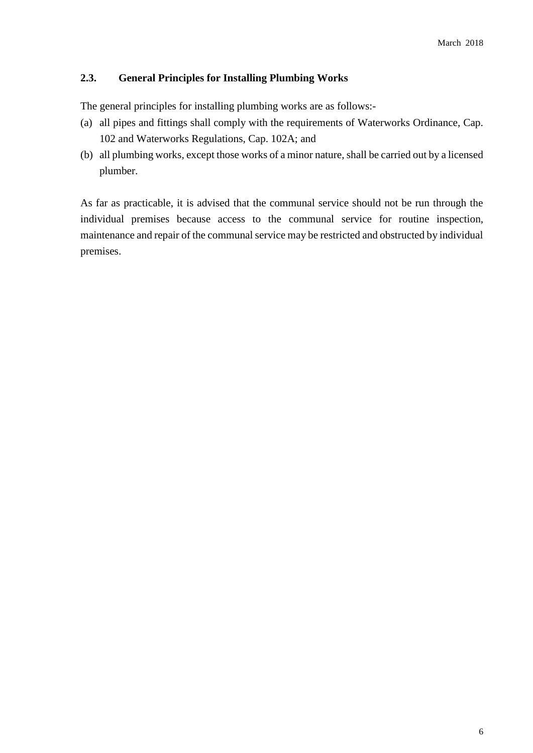### **2.3. General Principles for Installing Plumbing Works**

The general principles for installing plumbing works are as follows:-

- (a) all pipes and fittings shall comply with the requirements of Waterworks Ordinance, Cap. 102 and Waterworks Regulations, Cap. 102A; and
- (b) all plumbing works, except those works of a minor nature, shall be carried out by a licensed plumber.

As far as practicable, it is advised that the communal service should not be run through the individual premises because access to the communal service for routine inspection, maintenance and repair of the communal service may be restricted and obstructed by individual premises.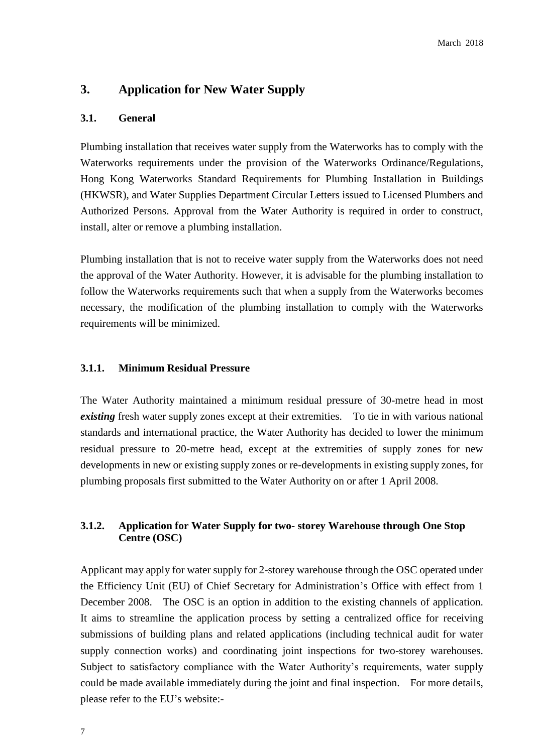## **3. Application for New Water Supply**

#### **3.1. General**

Plumbing installation that receives water supply from the Waterworks has to comply with the Waterworks requirements under the provision of the Waterworks Ordinance/Regulations, Hong Kong Waterworks Standard Requirements for Plumbing Installation in Buildings (HKWSR), and Water Supplies Department Circular Letters issued to Licensed Plumbers and Authorized Persons. Approval from the Water Authority is required in order to construct, install, alter or remove a plumbing installation.

Plumbing installation that is not to receive water supply from the Waterworks does not need the approval of the Water Authority. However, it is advisable for the plumbing installation to follow the Waterworks requirements such that when a supply from the Waterworks becomes necessary, the modification of the plumbing installation to comply with the Waterworks requirements will be minimized.

#### **3.1.1. Minimum Residual Pressure**

The Water Authority maintained a minimum residual pressure of 30-metre head in most *existing* fresh water supply zones except at their extremities. To tie in with various national standards and international practice, the Water Authority has decided to lower the minimum residual pressure to 20-metre head, except at the extremities of supply zones for new developments in new or existing supply zones or re-developments in existing supply zones, for plumbing proposals first submitted to the Water Authority on or after 1 April 2008.

### **3.1.2. Application for Water Supply for two- storey Warehouse through One Stop Centre (OSC)**

Applicant may apply for water supply for 2-storey warehouse through the OSC operated under the Efficiency Unit (EU) of Chief Secretary for Administration's Office with effect from 1 December 2008. The OSC is an option in addition to the existing channels of application. It aims to streamline the application process by setting a centralized office for receiving submissions of building plans and related applications (including technical audit for water supply connection works) and coordinating joint inspections for two-storey warehouses. Subject to satisfactory compliance with the Water Authority's requirements, water supply could be made available immediately during the joint and final inspection. For more details, please refer to the EU's website:-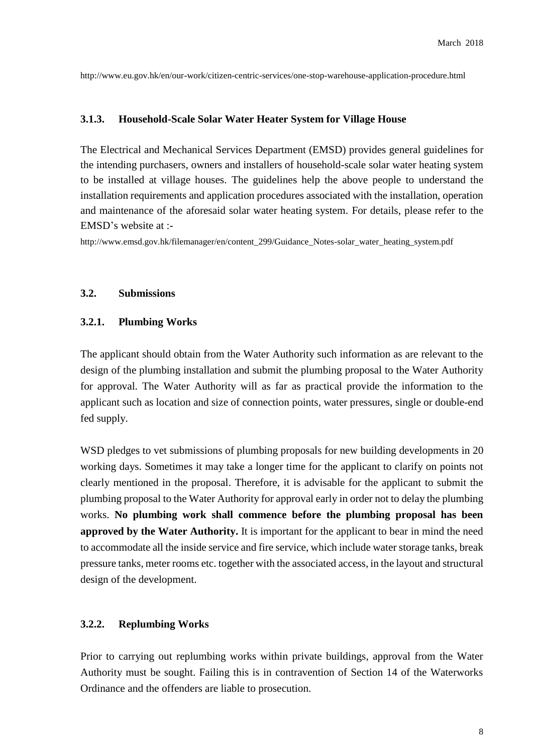http://www.eu.gov.hk/en/our-work/citizen-centric-services/one-stop-warehouse-application-procedure.html

#### **3.1.3. Household-Scale Solar Water Heater System for Village House**

The Electrical and Mechanical Services Department (EMSD) provides general guidelines for the intending purchasers, owners and installers of household-scale solar water heating system to be installed at village houses. The guidelines help the above people to understand the installation requirements and application procedures associated with the installation, operation and maintenance of the aforesaid solar water heating system. For details, please refer to the EMSD's website at :-

http://www.emsd.gov.hk/filemanager/en/content\_299/Guidance\_Notes-solar\_water\_heating\_system.pdf

#### **3.2. Submissions**

#### **3.2.1. Plumbing Works**

The applicant should obtain from the Water Authority such information as are relevant to the design of the plumbing installation and submit the plumbing proposal to the Water Authority for approval. The Water Authority will as far as practical provide the information to the applicant such as location and size of connection points, water pressures, single or double-end fed supply.

WSD pledges to vet submissions of plumbing proposals for new building developments in 20 working days. Sometimes it may take a longer time for the applicant to clarify on points not clearly mentioned in the proposal. Therefore, it is advisable for the applicant to submit the plumbing proposal to the Water Authority for approval early in order not to delay the plumbing works. **No plumbing work shall commence before the plumbing proposal has been approved by the Water Authority.** It is important for the applicant to bear in mind the need to accommodate all the inside service and fire service, which include water storage tanks, break pressure tanks, meter rooms etc. together with the associated access, in the layout and structural design of the development.

#### **3.2.2. Replumbing Works**

Prior to carrying out replumbing works within private buildings, approval from the Water Authority must be sought. Failing this is in contravention of Section 14 of the Waterworks Ordinance and the offenders are liable to prosecution.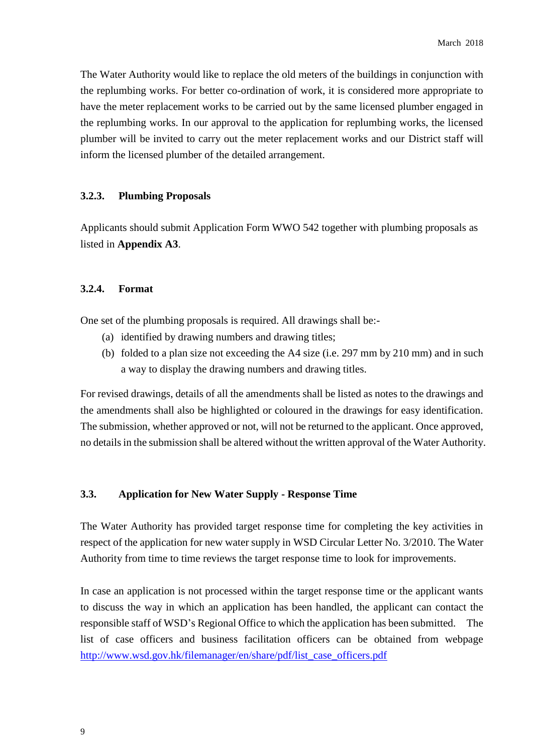The Water Authority would like to replace the old meters of the buildings in conjunction with the replumbing works. For better co-ordination of work, it is considered more appropriate to have the meter replacement works to be carried out by the same licensed plumber engaged in the replumbing works. In our approval to the application for replumbing works, the licensed plumber will be invited to carry out the meter replacement works and our District staff will inform the licensed plumber of the detailed arrangement.

#### **3.2.3. Plumbing Proposals**

Applicants should submit Application Form WWO 542 together with plumbing proposals as listed in **Appendix A3**.

#### **3.2.4. Format**

One set of the plumbing proposals is required. All drawings shall be:-

- (a) identified by drawing numbers and drawing titles;
- (b) folded to a plan size not exceeding the A4 size (i.e. 297 mm by 210 mm) and in such a way to display the drawing numbers and drawing titles.

For revised drawings, details of all the amendments shall be listed as notes to the drawings and the amendments shall also be highlighted or coloured in the drawings for easy identification. The submission, whether approved or not, will not be returned to the applicant. Once approved, no details in the submission shall be altered without the written approval of the Water Authority.

#### **3.3. Application for New Water Supply - Response Time**

The Water Authority has provided target response time for completing the key activities in respect of the application for new water supply in WSD Circular Letter No. 3/2010. The Water Authority from time to time reviews the target response time to look for improvements.

In case an application is not processed within the target response time or the applicant wants to discuss the way in which an application has been handled, the applicant can contact the responsible staff of WSD's Regional Office to which the application has been submitted. The list of case officers and business facilitation officers can be obtained from webpage [http://www.wsd.gov.hk/filemanager/en/share/pdf/list\\_case\\_officers.pdf](http://www.wsd.gov.hk/filemanager/en/share/pdf/list_case_officers.pdf)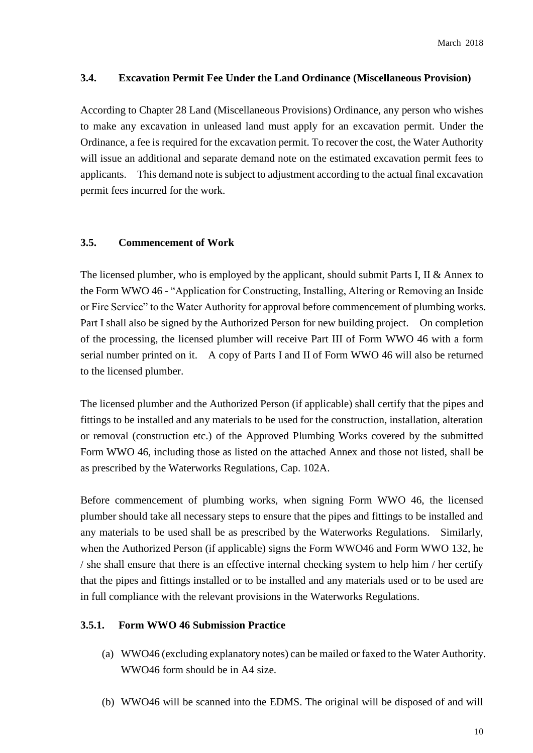#### **3.4. Excavation Permit Fee Under the Land Ordinance (Miscellaneous Provision)**

According to Chapter 28 Land (Miscellaneous Provisions) Ordinance, any person who wishes to make any excavation in unleased land must apply for an excavation permit. Under the Ordinance, a fee is required for the excavation permit. To recover the cost, the Water Authority will issue an additional and separate demand note on the estimated excavation permit fees to applicants. This demand note is subject to adjustment according to the actual final excavation permit fees incurred for the work.

#### **3.5. Commencement of Work**

The licensed plumber, who is employed by the applicant, should submit Parts I, II & Annex to the Form WWO 46 - "Application for Constructing, Installing, Altering or Removing an Inside or Fire Service" to the Water Authority for approval before commencement of plumbing works. Part I shall also be signed by the Authorized Person for new building project. On completion of the processing, the licensed plumber will receive Part III of Form WWO 46 with a form serial number printed on it. A copy of Parts I and II of Form WWO 46 will also be returned to the licensed plumber.

The licensed plumber and the Authorized Person (if applicable) shall certify that the pipes and fittings to be installed and any materials to be used for the construction, installation, alteration or removal (construction etc.) of the Approved Plumbing Works covered by the submitted Form WWO 46, including those as listed on the attached Annex and those not listed, shall be as prescribed by the Waterworks Regulations, Cap. 102A.

Before commencement of plumbing works, when signing Form WWO 46, the licensed plumber should take all necessary steps to ensure that the pipes and fittings to be installed and any materials to be used shall be as prescribed by the Waterworks Regulations. Similarly, when the Authorized Person (if applicable) signs the Form WWO46 and Form WWO 132, he / she shall ensure that there is an effective internal checking system to help him / her certify that the pipes and fittings installed or to be installed and any materials used or to be used are in full compliance with the relevant provisions in the Waterworks Regulations.

#### **3.5.1. Form WWO 46 Submission Practice**

- (a) WWO46 (excluding explanatory notes) can be mailed or faxed to the Water Authority. WWO46 form should be in A4 size.
- (b) WWO46 will be scanned into the EDMS. The original will be disposed of and will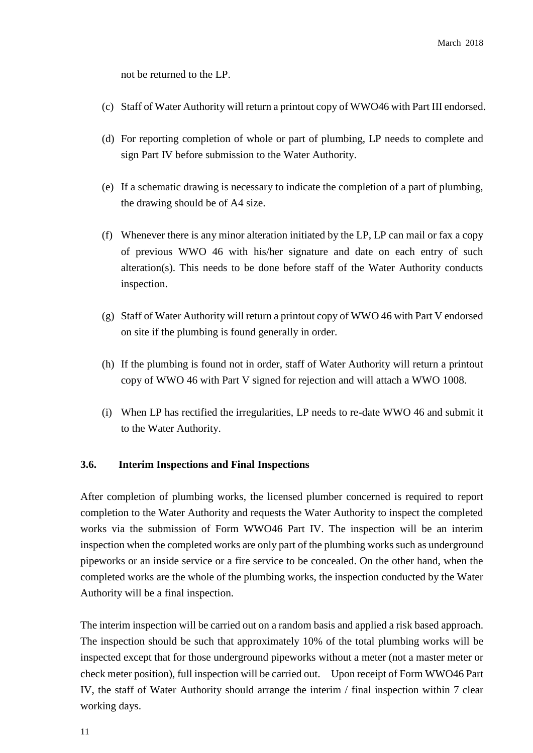not be returned to the LP.

- (c) Staff of Water Authority will return a printout copy of WWO46 with Part III endorsed.
- (d) For reporting completion of whole or part of plumbing, LP needs to complete and sign Part IV before submission to the Water Authority.
- (e) If a schematic drawing is necessary to indicate the completion of a part of plumbing, the drawing should be of A4 size.
- (f) Whenever there is any minor alteration initiated by the LP, LP can mail or fax a copy of previous WWO 46 with his/her signature and date on each entry of such alteration(s). This needs to be done before staff of the Water Authority conducts inspection.
- (g) Staff of Water Authority will return a printout copy of WWO 46 with Part V endorsed on site if the plumbing is found generally in order.
- (h) If the plumbing is found not in order, staff of Water Authority will return a printout copy of WWO 46 with Part V signed for rejection and will attach a WWO 1008.
- (i) When LP has rectified the irregularities, LP needs to re-date WWO 46 and submit it to the Water Authority.

#### **3.6. Interim Inspections and Final Inspections**

After completion of plumbing works, the licensed plumber concerned is required to report completion to the Water Authority and requests the Water Authority to inspect the completed works via the submission of Form WWO46 Part IV. The inspection will be an interim inspection when the completed works are only part of the plumbing works such as underground pipeworks or an inside service or a fire service to be concealed. On the other hand, when the completed works are the whole of the plumbing works, the inspection conducted by the Water Authority will be a final inspection.

The interim inspection will be carried out on a random basis and applied a risk based approach. The inspection should be such that approximately 10% of the total plumbing works will be inspected except that for those underground pipeworks without a meter (not a master meter or check meter position), full inspection will be carried out. Upon receipt of Form WWO46 Part IV, the staff of Water Authority should arrange the interim / final inspection within 7 clear working days.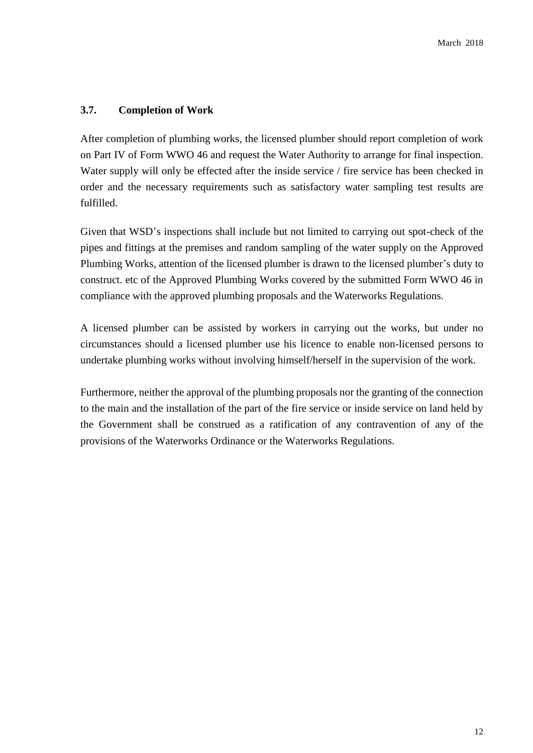#### **3.7. Completion of Work**

After completion of plumbing works, the licensed plumber should report completion of work on Part IV of Form WWO 46 and request the Water Authority to arrange for final inspection. Water supply will only be effected after the inside service / fire service has been checked in order and the necessary requirements such as satisfactory water sampling test results are fulfilled.

Given that WSD's inspections shall include but not limited to carrying out spot-check of the pipes and fittings at the premises and random sampling of the water supply on the Approved Plumbing Works, attention of the licensed plumber is drawn to the licensed plumber's duty to construct. etc of the Approved Plumbing Works covered by the submitted Form WWO 46 in compliance with the approved plumbing proposals and the Waterworks Regulations.

A licensed plumber can be assisted by workers in carrying out the works, but under no circumstances should a licensed plumber use his licence to enable non-licensed persons to undertake plumbing works without involving himself/herself in the supervision of the work.

Furthermore, neither the approval of the plumbing proposals nor the granting of the connection to the main and the installation of the part of the fire service or inside service on land held by the Government shall be construed as a ratification of any contravention of any of the provisions of the Waterworks Ordinance or the Waterworks Regulations.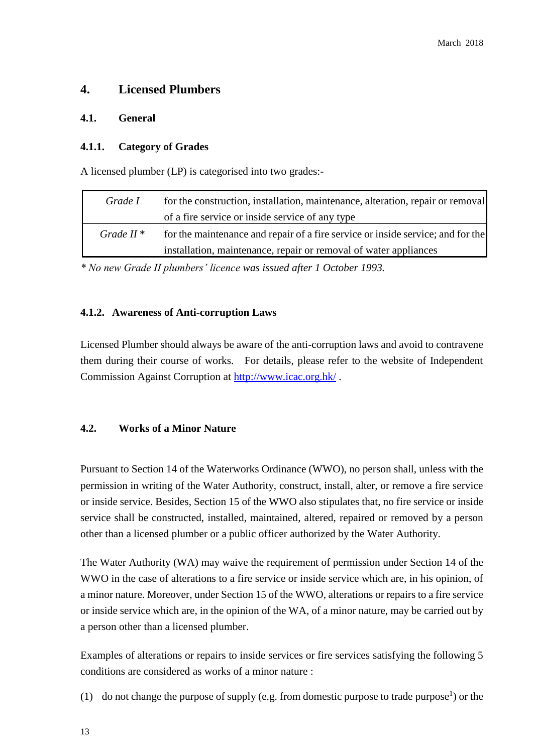## **4. Licensed Plumbers**

#### **4.1. General**

#### **4.1.1. Category of Grades**

A licensed plumber (LP) is categorised into two grades:-

| Grade I      | for the construction, installation, maintenance, alteration, repair or removal  |  |  |
|--------------|---------------------------------------------------------------------------------|--|--|
|              | of a fire service or inside service of any type                                 |  |  |
| Grade $II^*$ | for the maintenance and repair of a fire service or inside service; and for the |  |  |
|              | installation, maintenance, repair or removal of water appliances                |  |  |

*\* No new Grade II plumbers' licence was issued after 1 October 1993.*

#### **4.1.2. Awareness of Anti-corruption Laws**

Licensed Plumber should always be aware of the anti-corruption laws and avoid to contravene them during their course of works. For details, please refer to the website of Independent Commission Against Corruption at<http://www.icac.org.hk/> .

#### **4.2. Works of a Minor Nature**

Pursuant to Section 14 of the Waterworks Ordinance (WWO), no person shall, unless with the permission in writing of the Water Authority, construct, install, alter, or remove a fire service or inside service. Besides, Section 15 of the WWO also stipulates that, no fire service or inside service shall be constructed, installed, maintained, altered, repaired or removed by a person other than a licensed plumber or a public officer authorized by the Water Authority.

The Water Authority (WA) may waive the requirement of permission under Section 14 of the WWO in the case of alterations to a fire service or inside service which are, in his opinion, of a minor nature. Moreover, under Section 15 of the WWO, alterations or repairs to a fire service or inside service which are, in the opinion of the WA, of a minor nature, may be carried out by a person other than a licensed plumber.

Examples of alterations or repairs to inside services or fire services satisfying the following 5 conditions are considered as works of a minor nature :

(1) do not change the purpose of supply (e.g. from domestic purpose to trade purpose<sup>1</sup>) or the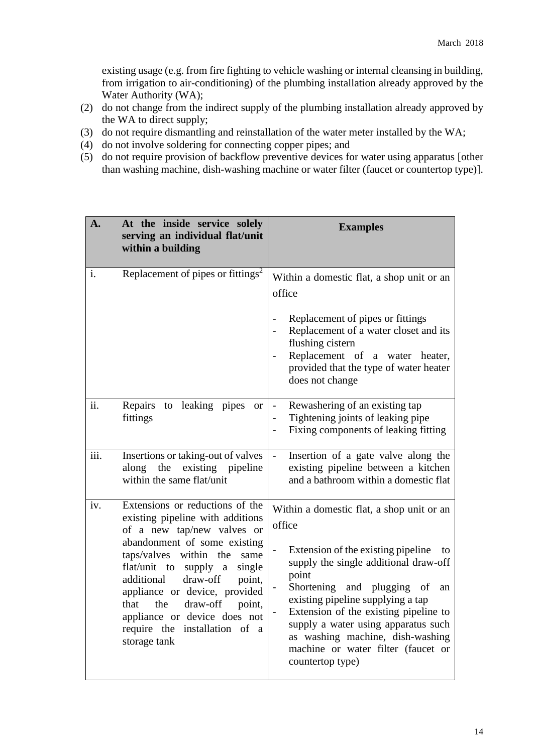existing usage (e.g. from fire fighting to vehicle washing or internal cleansing in building, from irrigation to air-conditioning) of the plumbing installation already approved by the Water Authority (WA);

- (2) do not change from the indirect supply of the plumbing installation already approved by the WA to direct supply;
- (3) do not require dismantling and reinstallation of the water meter installed by the WA;
- (4) do not involve soldering for connecting copper pipes; and
- (5) do not require provision of backflow preventive devices for water using apparatus [other than washing machine, dish-washing machine or water filter (faucet or countertop type)].

| A.   | At the inside service solely<br>serving an individual flat/unit<br>within a building                                                                                                                                                                                                                                                                                                              | <b>Examples</b>                                                                                                                                                                                                                                                                                                                                                                                                                                        |
|------|---------------------------------------------------------------------------------------------------------------------------------------------------------------------------------------------------------------------------------------------------------------------------------------------------------------------------------------------------------------------------------------------------|--------------------------------------------------------------------------------------------------------------------------------------------------------------------------------------------------------------------------------------------------------------------------------------------------------------------------------------------------------------------------------------------------------------------------------------------------------|
| i.   | Replacement of pipes or fittings <sup>2</sup>                                                                                                                                                                                                                                                                                                                                                     | Within a domestic flat, a shop unit or an<br>office<br>Replacement of pipes or fittings<br>$\overline{a}$<br>Replacement of a water closet and its<br>flushing cistern<br>Replacement of a water heater,<br>provided that the type of water heater<br>does not change                                                                                                                                                                                  |
| ii.  | Repairs<br>leaking pipes<br>to<br><b>or</b><br>fittings                                                                                                                                                                                                                                                                                                                                           | Rewashering of an existing tap<br>$\overline{\phantom{a}}$<br>Tightening joints of leaking pipe<br>$\overline{\phantom{0}}$<br>Fixing components of leaking fitting<br>$\qquad \qquad -$                                                                                                                                                                                                                                                               |
| iii. | Insertions or taking-out of valves<br>the<br>existing pipeline<br>along<br>within the same flat/unit                                                                                                                                                                                                                                                                                              | Insertion of a gate valve along the<br>$\Box$<br>existing pipeline between a kitchen<br>and a bathroom within a domestic flat                                                                                                                                                                                                                                                                                                                          |
| iv.  | Extensions or reductions of the<br>existing pipeline with additions<br>of a new tap/new valves or<br>abandonment of some existing<br>taps/valves within the<br>same<br>flat/unit to supply a<br>single<br>additional<br>draw-off<br>point,<br>appliance or device, provided<br>draw-off<br>that<br>the<br>point,<br>appliance or device does not<br>require the installation of a<br>storage tank | Within a domestic flat, a shop unit or an<br>office<br>Extension of the existing pipeline<br>$\overline{a}$<br>to<br>supply the single additional draw-off<br>point<br>Shortening and plugging of<br>an<br>existing pipeline supplying a tap<br>Extension of the existing pipeline to<br>$\overline{\phantom{a}}$<br>supply a water using apparatus such<br>as washing machine, dish-washing<br>machine or water filter (faucet or<br>countertop type) |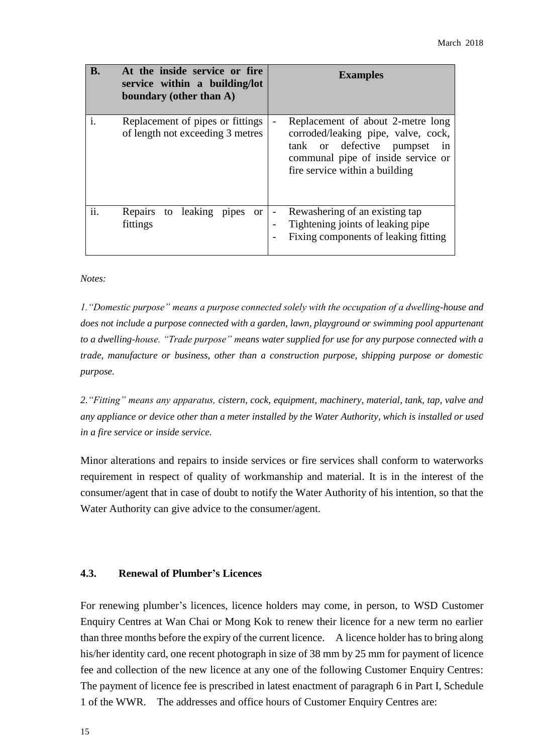| <b>B.</b>      | At the inside service or fire<br>service within a building/lot<br>boundary (other than A) | <b>Examples</b>                                                                                                                                                                                             |  |  |
|----------------|-------------------------------------------------------------------------------------------|-------------------------------------------------------------------------------------------------------------------------------------------------------------------------------------------------------------|--|--|
| $\mathbf{i}$ . | Replacement of pipes or fittings<br>of length not exceeding 3 metres                      | Replacement of about 2-metre long<br>$\qquad \qquad -$<br>corroded/leaking pipe, valve, cock,<br>tank or defective<br>pumpset<br>in<br>communal pipe of inside service or<br>fire service within a building |  |  |
| ii.            | leaking<br>Repairs<br>to<br>pipes<br><sub>or</sub><br>fittings                            | Rewashering of an existing tap<br>Tightening joints of leaking pipe<br>Fixing components of leaking fitting                                                                                                 |  |  |

*Notes:*

*1."Domestic purpose" means a purpose connected solely with the occupation of a dwelling-house and does not include a purpose connected with a garden, lawn, playground or swimming pool appurtenant to a dwelling-house. "Trade purpose" means water supplied for use for any purpose connected with a trade, manufacture or business, other than a construction purpose, shipping purpose or domestic purpose.*

*2."Fitting" means any apparatus, cistern, cock, equipment, machinery, material, tank, tap, valve and any appliance or device other than a meter installed by the Water Authority, which is installed or used in a fire service or inside service.*

Minor alterations and repairs to inside services or fire services shall conform to waterworks requirement in respect of quality of workmanship and material. It is in the interest of the consumer/agent that in case of doubt to notify the Water Authority of his intention, so that the Water Authority can give advice to the consumer/agent.

#### **4.3. Renewal of Plumber's Licences**

For renewing plumber's licences, licence holders may come, in person, to WSD Customer Enquiry Centres at Wan Chai or Mong Kok to renew their licence for a new term no earlier than three months before the expiry of the current licence. A licence holder has to bring along his/her identity card, one recent photograph in size of 38 mm by 25 mm for payment of licence fee and collection of the new licence at any one of the following Customer Enquiry Centres: The payment of licence fee is prescribed in latest enactment of paragraph 6 in Part I, Schedule 1 of the WWR. The addresses and office hours of Customer Enquiry Centres are: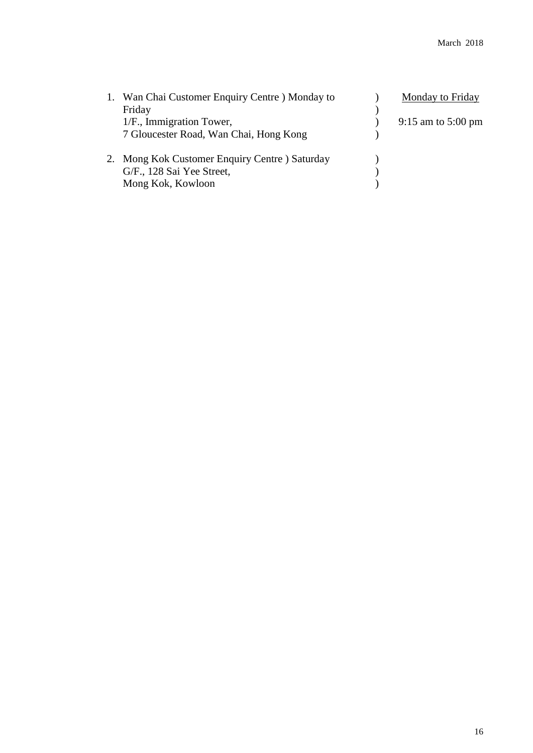| Wan Chai Customer Enquiry Centre) Monday to<br>Friday<br>1/F., Immigration Tower,<br>7 Gloucester Road, Wan Chai, Hong Kong | Monday to Friday<br>9:15 am to 5:00 pm |
|-----------------------------------------------------------------------------------------------------------------------------|----------------------------------------|
| Mong Kok Customer Enquiry Centre) Saturday<br>G/F., 128 Sai Yee Street,<br>Mong Kok, Kowloon                                |                                        |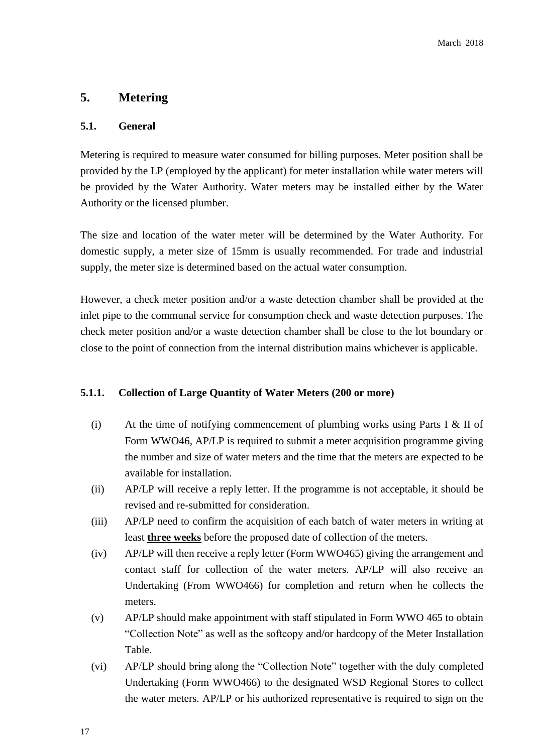## **5. Metering**

## **5.1. General**

Metering is required to measure water consumed for billing purposes. Meter position shall be provided by the LP (employed by the applicant) for meter installation while water meters will be provided by the Water Authority. Water meters may be installed either by the Water Authority or the licensed plumber.

The size and location of the water meter will be determined by the Water Authority. For domestic supply, a meter size of 15mm is usually recommended. For trade and industrial supply, the meter size is determined based on the actual water consumption.

However, a check meter position and/or a waste detection chamber shall be provided at the inlet pipe to the communal service for consumption check and waste detection purposes. The check meter position and/or a waste detection chamber shall be close to the lot boundary or close to the point of connection from the internal distribution mains whichever is applicable.

#### **5.1.1. Collection of Large Quantity of Water Meters (200 or more)**

- (i) At the time of notifying commencement of plumbing works using Parts I  $\&$  II of Form WWO46, AP/LP is required to submit a meter acquisition programme giving the number and size of water meters and the time that the meters are expected to be available for installation.
- (ii) AP/LP will receive a reply letter. If the programme is not acceptable, it should be revised and re-submitted for consideration.
- (iii) AP/LP need to confirm the acquisition of each batch of water meters in writing at least **three weeks** before the proposed date of collection of the meters.
- (iv) AP/LP will then receive a reply letter (Form WWO465) giving the arrangement and contact staff for collection of the water meters. AP/LP will also receive an Undertaking (From WWO466) for completion and return when he collects the meters.
- (v) AP/LP should make appointment with staff stipulated in Form WWO 465 to obtain "Collection Note" as well as the softcopy and/or hardcopy of the Meter Installation Table.
- (vi) AP/LP should bring along the "Collection Note" together with the duly completed Undertaking (Form WWO466) to the designated WSD Regional Stores to collect the water meters. AP/LP or his authorized representative is required to sign on the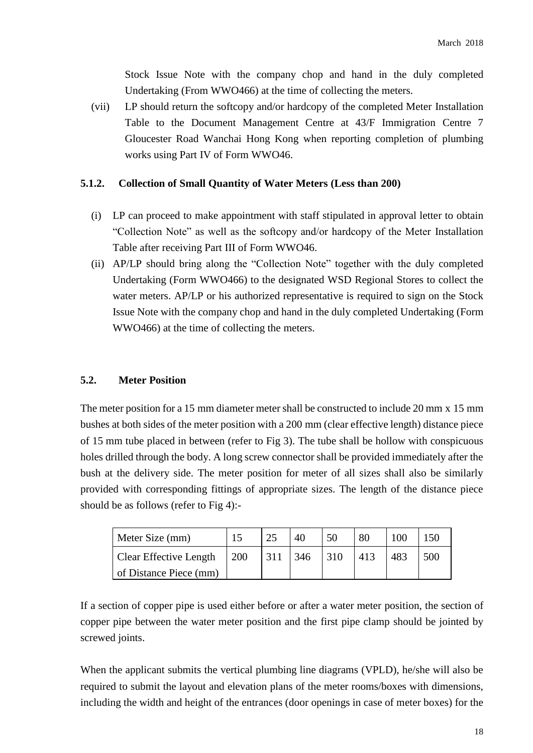Stock Issue Note with the company chop and hand in the duly completed Undertaking (From WWO466) at the time of collecting the meters.

(vii) LP should return the softcopy and/or hardcopy of the completed Meter Installation Table to the Document Management Centre at 43/F Immigration Centre 7 Gloucester Road Wanchai Hong Kong when reporting completion of plumbing works using Part IV of Form WWO46.

#### **5.1.2. Collection of Small Quantity of Water Meters (Less than 200)**

- (i) LP can proceed to make appointment with staff stipulated in approval letter to obtain "Collection Note" as well as the softcopy and/or hardcopy of the Meter Installation Table after receiving Part III of Form WWO46.
- (ii) AP/LP should bring along the "Collection Note" together with the duly completed Undertaking (Form WWO466) to the designated WSD Regional Stores to collect the water meters. AP/LP or his authorized representative is required to sign on the Stock Issue Note with the company chop and hand in the duly completed Undertaking (Form WWO466) at the time of collecting the meters.

#### **5.2. Meter Position**

The meter position for a 15 mm diameter meter shall be constructed to include 20 mm x 15 mm bushes at both sides of the meter position with a 200 mm (clear effective length) distance piece of 15 mm tube placed in between (refer to Fig 3). The tube shall be hollow with conspicuous holes drilled through the body. A long screw connector shall be provided immediately after the bush at the delivery side. The meter position for meter of all sizes shall also be similarly provided with corresponding fittings of appropriate sizes. The length of the distance piece should be as follows (refer to Fig 4):-

| Meter Size (mm)               |     |     | 40  | 50  | 80  |     |     |
|-------------------------------|-----|-----|-----|-----|-----|-----|-----|
| <b>Clear Effective Length</b> | 200 | 311 | 346 | 310 | 413 | 483 | 500 |
| of Distance Piece (mm)        |     |     |     |     |     |     |     |

If a section of copper pipe is used either before or after a water meter position, the section of copper pipe between the water meter position and the first pipe clamp should be jointed by screwed joints.

When the applicant submits the vertical plumbing line diagrams (VPLD), he/she will also be required to submit the layout and elevation plans of the meter rooms/boxes with dimensions, including the width and height of the entrances (door openings in case of meter boxes) for the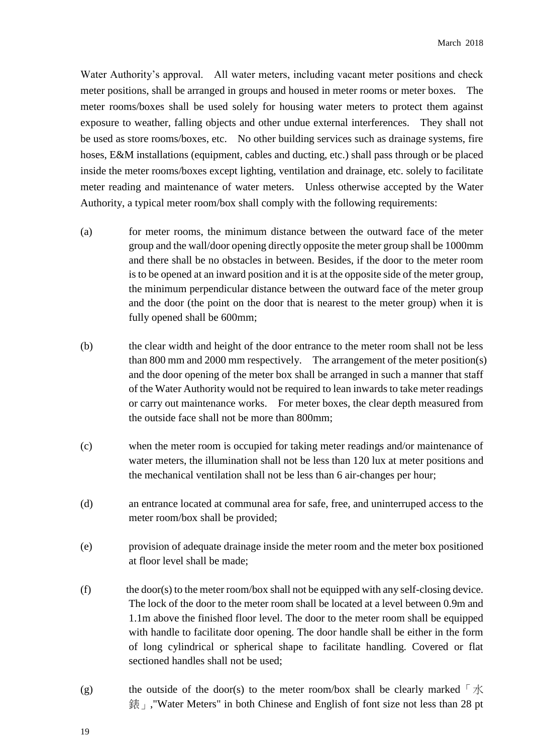Water Authority's approval. All water meters, including vacant meter positions and check meter positions, shall be arranged in groups and housed in meter rooms or meter boxes. The meter rooms/boxes shall be used solely for housing water meters to protect them against exposure to weather, falling objects and other undue external interferences. They shall not be used as store rooms/boxes, etc. No other building services such as drainage systems, fire hoses, E&M installations (equipment, cables and ducting, etc.) shall pass through or be placed inside the meter rooms/boxes except lighting, ventilation and drainage, etc. solely to facilitate meter reading and maintenance of water meters. Unless otherwise accepted by the Water Authority, a typical meter room/box shall comply with the following requirements:

- (a) for meter rooms, the minimum distance between the outward face of the meter group and the wall/door opening directly opposite the meter group shall be 1000mm and there shall be no obstacles in between. Besides, if the door to the meter room is to be opened at an inward position and it is at the opposite side of the meter group, the minimum perpendicular distance between the outward face of the meter group and the door (the point on the door that is nearest to the meter group) when it is fully opened shall be 600mm;
- (b) the clear width and height of the door entrance to the meter room shall not be less than 800 mm and 2000 mm respectively. The arrangement of the meter position(s) and the door opening of the meter box shall be arranged in such a manner that staff of the Water Authority would not be required to lean inwards to take meter readings or carry out maintenance works. For meter boxes, the clear depth measured from the outside face shall not be more than 800mm;
- (c) when the meter room is occupied for taking meter readings and/or maintenance of water meters, the illumination shall not be less than 120 lux at meter positions and the mechanical ventilation shall not be less than 6 air-changes per hour;
- (d) an entrance located at communal area for safe, free, and uninterruped access to the meter room/box shall be provided;
- (e) provision of adequate drainage inside the meter room and the meter box positioned at floor level shall be made;
- $(f)$  the door(s) to the meter room/box shall not be equipped with any self-closing device. The lock of the door to the meter room shall be located at a level between 0.9m and 1.1m above the finished floor level. The door to the meter room shall be equipped with handle to facilitate door opening. The door handle shall be either in the form of long cylindrical or spherical shape to facilitate handling. Covered or flat sectioned handles shall not be used;
- (g) the outside of the door(s) to the meter room/box shall be clearly marked  $\ulcorner$   $\mathcal{K}$ 錶<sub>1</sub>, "Water Meters" in both Chinese and English of font size not less than 28 pt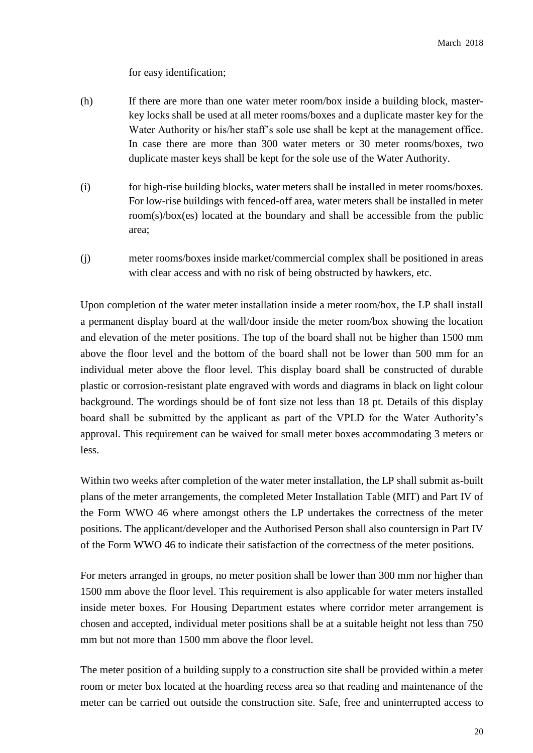for easy identification;

- (h) If there are more than one water meter room/box inside a building block, masterkey locks shall be used at all meter rooms/boxes and a duplicate master key for the Water Authority or his/her staff's sole use shall be kept at the management office. In case there are more than 300 water meters or 30 meter rooms/boxes, two duplicate master keys shall be kept for the sole use of the Water Authority.
- (i) for high-rise building blocks, water meters shall be installed in meter rooms/boxes. For low-rise buildings with fenced-off area, water meters shall be installed in meter room(s)/box(es) located at the boundary and shall be accessible from the public area;
- (j) meter rooms/boxes inside market/commercial complex shall be positioned in areas with clear access and with no risk of being obstructed by hawkers, etc.

Upon completion of the water meter installation inside a meter room/box, the LP shall install a permanent display board at the wall/door inside the meter room/box showing the location and elevation of the meter positions. The top of the board shall not be higher than 1500 mm above the floor level and the bottom of the board shall not be lower than 500 mm for an individual meter above the floor level. This display board shall be constructed of durable plastic or corrosion-resistant plate engraved with words and diagrams in black on light colour background. The wordings should be of font size not less than 18 pt. Details of this display board shall be submitted by the applicant as part of the VPLD for the Water Authority's approval. This requirement can be waived for small meter boxes accommodating 3 meters or less.

Within two weeks after completion of the water meter installation, the LP shall submit as-built plans of the meter arrangements, the completed Meter Installation Table (MIT) and Part IV of the Form WWO 46 where amongst others the LP undertakes the correctness of the meter positions. The applicant/developer and the Authorised Person shall also countersign in Part IV of the Form WWO 46 to indicate their satisfaction of the correctness of the meter positions.

For meters arranged in groups, no meter position shall be lower than 300 mm nor higher than 1500 mm above the floor level. This requirement is also applicable for water meters installed inside meter boxes. For Housing Department estates where corridor meter arrangement is chosen and accepted, individual meter positions shall be at a suitable height not less than 750 mm but not more than 1500 mm above the floor level.

The meter position of a building supply to a construction site shall be provided within a meter room or meter box located at the hoarding recess area so that reading and maintenance of the meter can be carried out outside the construction site. Safe, free and uninterrupted access to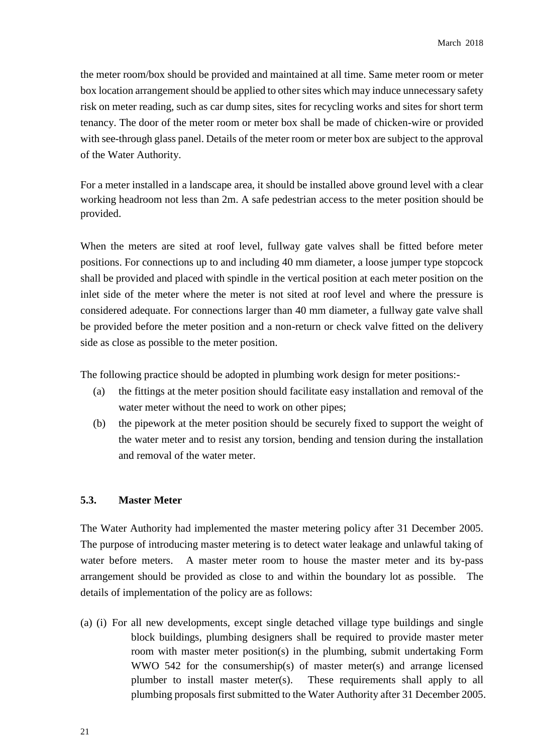the meter room/box should be provided and maintained at all time. Same meter room or meter box location arrangement should be applied to other sites which may induce unnecessary safety risk on meter reading, such as car dump sites, sites for recycling works and sites for short term tenancy. The door of the meter room or meter box shall be made of chicken-wire or provided with see-through glass panel. Details of the meter room or meter box are subject to the approval of the Water Authority.

For a meter installed in a landscape area, it should be installed above ground level with a clear working headroom not less than 2m. A safe pedestrian access to the meter position should be provided.

When the meters are sited at roof level, fullway gate valves shall be fitted before meter positions. For connections up to and including 40 mm diameter, a loose jumper type stopcock shall be provided and placed with spindle in the vertical position at each meter position on the inlet side of the meter where the meter is not sited at roof level and where the pressure is considered adequate. For connections larger than 40 mm diameter, a fullway gate valve shall be provided before the meter position and a non-return or check valve fitted on the delivery side as close as possible to the meter position.

The following practice should be adopted in plumbing work design for meter positions:-

- (a) the fittings at the meter position should facilitate easy installation and removal of the water meter without the need to work on other pipes:
- (b) the pipework at the meter position should be securely fixed to support the weight of the water meter and to resist any torsion, bending and tension during the installation and removal of the water meter.

#### **5.3. Master Meter**

The Water Authority had implemented the master metering policy after 31 December 2005. The purpose of introducing master metering is to detect water leakage and unlawful taking of water before meters. A master meter room to house the master meter and its by-pass arrangement should be provided as close to and within the boundary lot as possible. The details of implementation of the policy are as follows:

(a) (i) For all new developments, except single detached village type buildings and single block buildings, plumbing designers shall be required to provide master meter room with master meter position(s) in the plumbing, submit undertaking Form WWO 542 for the consumership(s) of master meter(s) and arrange licensed plumber to install master meter(s). These requirements shall apply to all plumbing proposals first submitted to the Water Authority after 31 December 2005.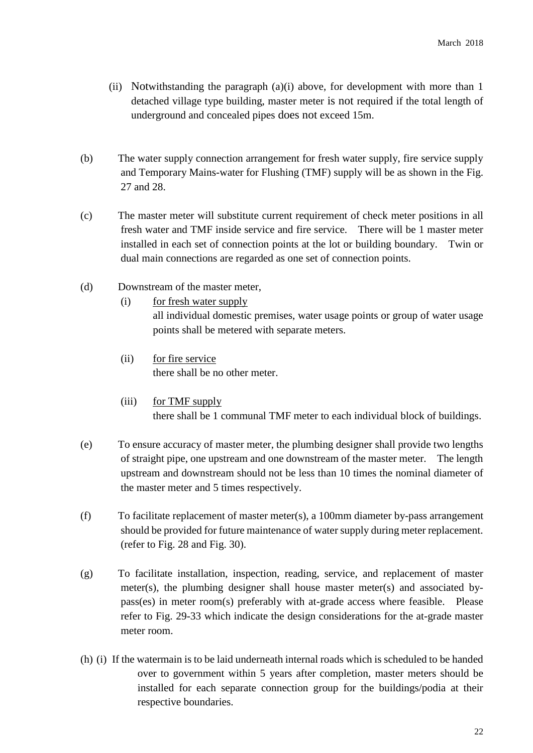- (ii) Notwithstanding the paragraph (a)(i) above, for development with more than 1 detached village type building, master meter is not required if the total length of underground and concealed pipes does not exceed 15m.
- (b) The water supply connection arrangement for fresh water supply, fire service supply and Temporary Mains-water for Flushing (TMF) supply will be as shown in the Fig. 27 and 28.
- (c) The master meter will substitute current requirement of check meter positions in all fresh water and TMF inside service and fire service. There will be 1 master meter installed in each set of connection points at the lot or building boundary. Twin or dual main connections are regarded as one set of connection points.
- (d) Downstream of the master meter,
	- (i) for fresh water supply all individual domestic premises, water usage points or group of water usage points shall be metered with separate meters.
	- (ii) for fire service there shall be no other meter.
	- (iii) for TMF supply there shall be 1 communal TMF meter to each individual block of buildings.
- (e) To ensure accuracy of master meter, the plumbing designer shall provide two lengths of straight pipe, one upstream and one downstream of the master meter. The length upstream and downstream should not be less than 10 times the nominal diameter of the master meter and 5 times respectively.
- (f) To facilitate replacement of master meter(s), a 100mm diameter by-pass arrangement should be provided for future maintenance of water supply during meter replacement. (refer to Fig. 28 and Fig. 30).
- (g) To facilitate installation, inspection, reading, service, and replacement of master meter(s), the plumbing designer shall house master meter(s) and associated bypass(es) in meter room(s) preferably with at-grade access where feasible. Please refer to Fig. 29-33 which indicate the design considerations for the at-grade master meter room.
- (h) (i) If the watermain is to be laid underneath internal roads which is scheduled to be handed over to government within 5 years after completion, master meters should be installed for each separate connection group for the buildings/podia at their respective boundaries.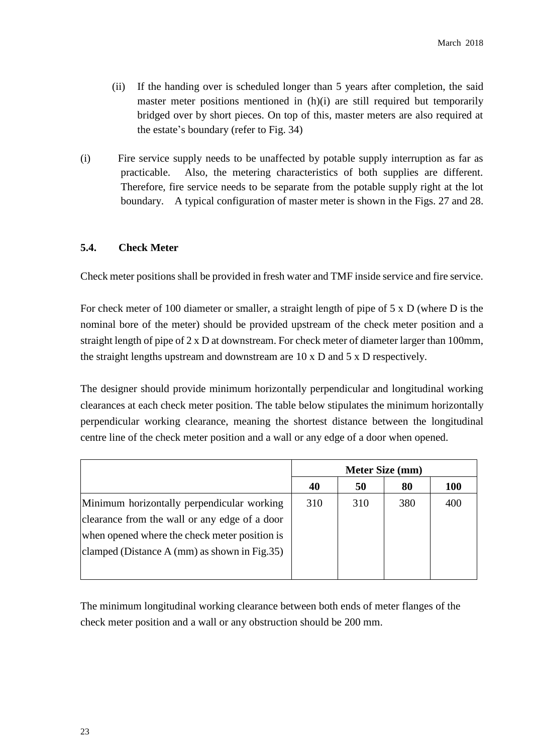- (ii) If the handing over is scheduled longer than 5 years after completion, the said master meter positions mentioned in (h)(i) are still required but temporarily bridged over by short pieces. On top of this, master meters are also required at the estate's boundary (refer to Fig. 34)
- (i) Fire service supply needs to be unaffected by potable supply interruption as far as practicable. Also, the metering characteristics of both supplies are different. Therefore, fire service needs to be separate from the potable supply right at the lot boundary. A typical configuration of master meter is shown in the Figs. 27 and 28.

#### **5.4. Check Meter**

Check meter positions shall be provided in fresh water and TMF inside service and fire service.

For check meter of 100 diameter or smaller, a straight length of pipe of 5 x D (where D is the nominal bore of the meter) should be provided upstream of the check meter position and a straight length of pipe of 2 x D at downstream. For check meter of diameter larger than 100mm, the straight lengths upstream and downstream are 10 x D and 5 x D respectively.

The designer should provide minimum horizontally perpendicular and longitudinal working clearances at each check meter position. The table below stipulates the minimum horizontally perpendicular working clearance, meaning the shortest distance between the longitudinal centre line of the check meter position and a wall or any edge of a door when opened.

|                                                  | <b>Meter Size (mm)</b> |     |     |            |
|--------------------------------------------------|------------------------|-----|-----|------------|
|                                                  | 40                     | 50  | 80  | <b>100</b> |
| Minimum horizontally perpendicular working       | 310                    | 310 | 380 | 400        |
| clearance from the wall or any edge of a door    |                        |     |     |            |
| when opened where the check meter position is    |                        |     |     |            |
| clamped (Distance A (mm) as shown in Fig. $35$ ) |                        |     |     |            |
|                                                  |                        |     |     |            |

The minimum longitudinal working clearance between both ends of meter flanges of the check meter position and a wall or any obstruction should be 200 mm.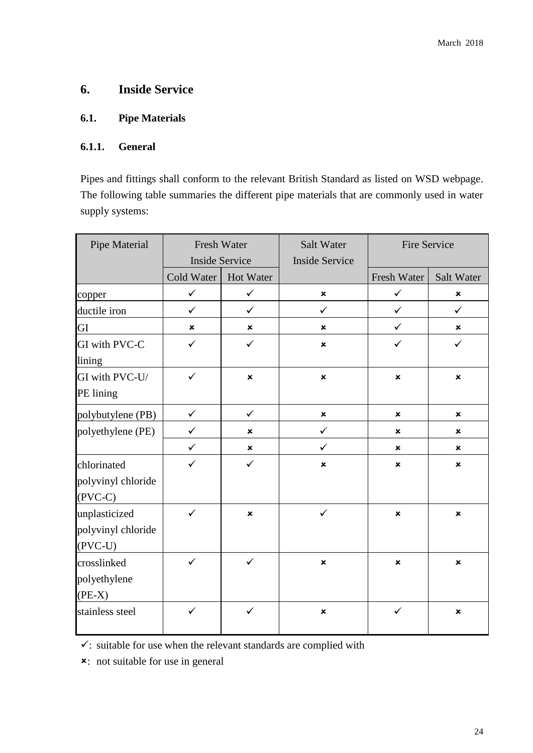## **6. Inside Service**

#### **6.1. Pipe Materials**

#### **6.1.1. General**

Pipes and fittings shall conform to the relevant British Standard as listed on WSD webpage. The following table summaries the different pipe materials that are commonly used in water supply systems:

| Pipe Material      | Fresh Water<br><b>Inside Service</b> |                           | Salt Water            | <b>Fire Service</b>       |              |  |
|--------------------|--------------------------------------|---------------------------|-----------------------|---------------------------|--------------|--|
|                    |                                      |                           | <b>Inside Service</b> |                           |              |  |
|                    | Cold Water   Hot Water               |                           |                       | Fresh Water               | Salt Water   |  |
| copper             | $\checkmark$                         | $\checkmark$              | ×                     | $\checkmark$              | ×            |  |
| ductile iron       | $\checkmark$                         | $\checkmark$              | $\checkmark$          | $\checkmark$              | $\checkmark$ |  |
| GI                 | ×                                    | $\boldsymbol{\mathsf{x}}$ | $\mathbf x$           | $\checkmark$              | ×            |  |
| GI with PVC-C      | $\checkmark$                         | $\checkmark$              | ×                     | $\checkmark$              | $\checkmark$ |  |
| lining             |                                      |                           |                       |                           |              |  |
| GI with PVC-U/     | $\checkmark$                         | $\boldsymbol{\mathsf{x}}$ | $\pmb{\times}$        | $\boldsymbol{\mathsf{x}}$ | $\mathbf{x}$ |  |
| PE lining          |                                      |                           |                       |                           |              |  |
| polybutylene (PB)  | $\checkmark$                         | $\checkmark$              | ×                     | ×                         | ×            |  |
| polyethylene (PE)  | $\checkmark$                         | ×                         | $\checkmark$          | ×                         | ×            |  |
|                    | $\checkmark$                         | $\pmb{\times}$            | $\checkmark$          | ×                         | ×            |  |
| chlorinated        | ✓                                    | ✓                         | ×                     | ×                         | ×            |  |
| polyvinyl chloride |                                      |                           |                       |                           |              |  |
| $(PVC-C)$          |                                      |                           |                       |                           |              |  |
| unplasticized      | $\checkmark$                         | $\boldsymbol{\mathsf{x}}$ | $\checkmark$          | $\boldsymbol{\mathsf{x}}$ | ×            |  |
| polyvinyl chloride |                                      |                           |                       |                           |              |  |
| $(PVC-U)$          |                                      |                           |                       |                           |              |  |
| crosslinked        | ✓                                    | ✓                         | $\pmb{\times}$        | ×                         | ×            |  |
| polyethylene       |                                      |                           |                       |                           |              |  |
| $(PE-X)$           |                                      |                           |                       |                           |              |  |
| stainless steel    | ✓                                    | $\checkmark$              | ×                     | $\checkmark$              | ×            |  |

 $\checkmark$ : suitable for use when the relevant standards are complied with

: not suitable for use in general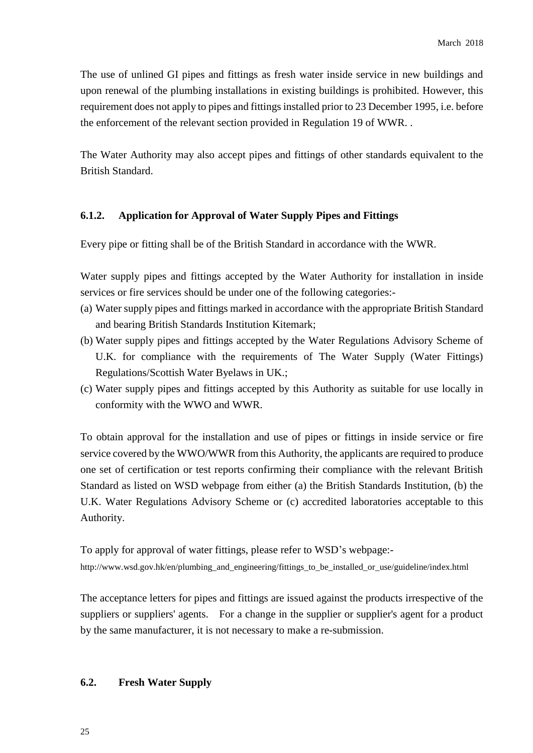The use of unlined GI pipes and fittings as fresh water inside service in new buildings and upon renewal of the plumbing installations in existing buildings is prohibited. However, this requirement does not apply to pipes and fittings installed prior to 23 December 1995, i.e. before the enforcement of the relevant section provided in Regulation 19 of WWR. .

The Water Authority may also accept pipes and fittings of other standards equivalent to the British Standard.

#### **6.1.2. Application for Approval of Water Supply Pipes and Fittings**

Every pipe or fitting shall be of the British Standard in accordance with the WWR.

Water supply pipes and fittings accepted by the Water Authority for installation in inside services or fire services should be under one of the following categories:-

- (a) Water supply pipes and fittings marked in accordance with the appropriate British Standard and bearing British Standards Institution Kitemark;
- (b) Water supply pipes and fittings accepted by the Water Regulations Advisory Scheme of U.K. for compliance with the requirements of The Water Supply (Water Fittings) Regulations/Scottish Water Byelaws in UK.;
- (c) Water supply pipes and fittings accepted by this Authority as suitable for use locally in conformity with the WWO and WWR.

To obtain approval for the installation and use of pipes or fittings in inside service or fire service covered by the WWO/WWR from this Authority, the applicants are required to produce one set of certification or test reports confirming their compliance with the relevant British Standard as listed on WSD webpage from either (a) the British Standards Institution, (b) the U.K. Water Regulations Advisory Scheme or (c) accredited laboratories acceptable to this Authority.

To apply for approval of water fittings, please refer to WSD's webpage: http://www.wsd.gov.hk/en/plumbing\_and\_engineering/fittings\_to\_be\_installed\_or\_use/guideline/index.html

The acceptance letters for pipes and fittings are issued against the products irrespective of the suppliers or suppliers' agents. For a change in the supplier or supplier's agent for a product by the same manufacturer, it is not necessary to make a re-submission.

#### **6.2. Fresh Water Supply**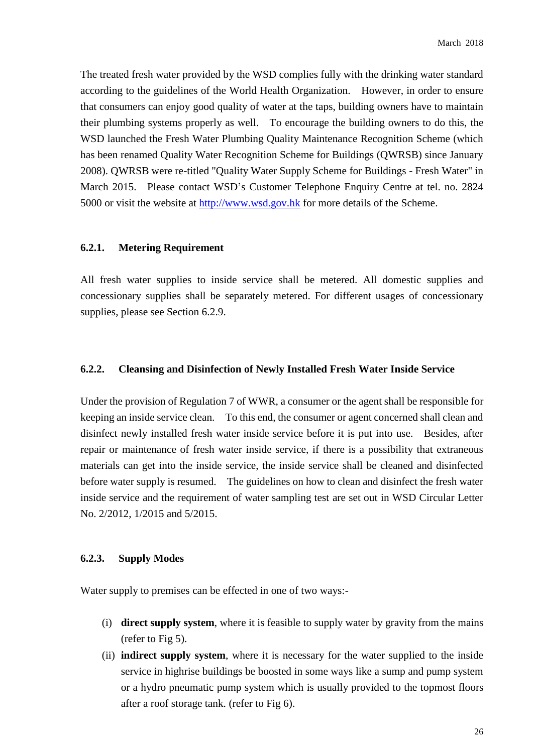The treated fresh water provided by the WSD complies fully with the drinking water standard according to the guidelines of the World Health Organization. However, in order to ensure that consumers can enjoy good quality of water at the taps, building owners have to maintain their plumbing systems properly as well. To encourage the building owners to do this, the WSD launched the Fresh Water Plumbing Quality Maintenance Recognition Scheme (which has been renamed Quality Water Recognition Scheme for Buildings (QWRSB) since January 2008). QWRSB were re-titled "Quality Water Supply Scheme for Buildings - Fresh Water" in March 2015. Please contact WSD's Customer Telephone Enquiry Centre at tel. no. 2824 5000 or visit the website at [http://www.wsd.gov.hk](http://www.wsd.gov.hk/) for more details of the Scheme.

#### **6.2.1. Metering Requirement**

All fresh water supplies to inside service shall be metered. All domestic supplies and concessionary supplies shall be separately metered. For different usages of concessionary supplies, please see Section 6.2.9.

#### **6.2.2. Cleansing and Disinfection of Newly Installed Fresh Water Inside Service**

Under the provision of Regulation 7 of WWR, a consumer or the agent shall be responsible for keeping an inside service clean. To this end, the consumer or agent concerned shall clean and disinfect newly installed fresh water inside service before it is put into use. Besides, after repair or maintenance of fresh water inside service, if there is a possibility that extraneous materials can get into the inside service, the inside service shall be cleaned and disinfected before water supply is resumed. The guidelines on how to clean and disinfect the fresh water inside service and the requirement of water sampling test are set out in WSD Circular Letter No. 2/2012, 1/2015 and 5/2015.

#### **6.2.3. Supply Modes**

Water supply to premises can be effected in one of two ways:-

- (i) **direct supply system**, where it is feasible to supply water by gravity from the mains (refer to Fig 5).
- (ii) **indirect supply system**, where it is necessary for the water supplied to the inside service in highrise buildings be boosted in some ways like a sump and pump system or a hydro pneumatic pump system which is usually provided to the topmost floors after a roof storage tank. (refer to Fig 6).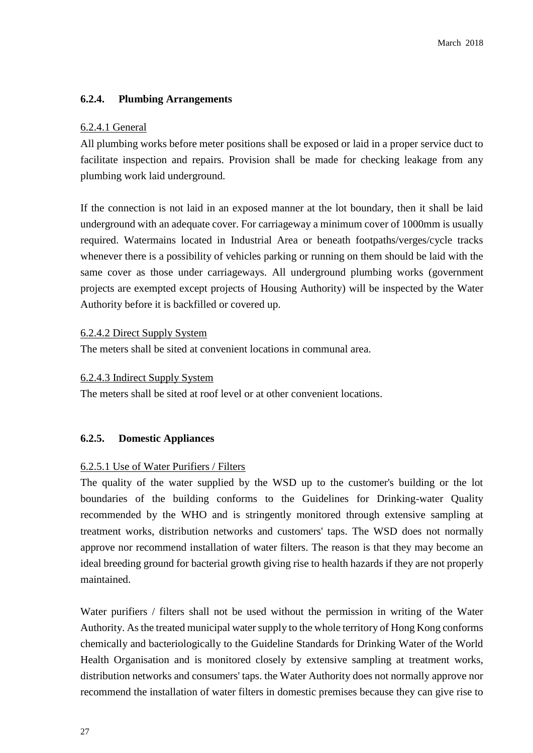#### **6.2.4. Plumbing Arrangements**

#### 6.2.4.1 General

All plumbing works before meter positions shall be exposed or laid in a proper service duct to facilitate inspection and repairs. Provision shall be made for checking leakage from any plumbing work laid underground.

If the connection is not laid in an exposed manner at the lot boundary, then it shall be laid underground with an adequate cover. For carriageway a minimum cover of 1000mm is usually required. Watermains located in Industrial Area or beneath footpaths/verges/cycle tracks whenever there is a possibility of vehicles parking or running on them should be laid with the same cover as those under carriageways. All underground plumbing works (government projects are exempted except projects of Housing Authority) will be inspected by the Water Authority before it is backfilled or covered up.

#### 6.2.4.2 Direct Supply System

The meters shall be sited at convenient locations in communal area.

#### 6.2.4.3 Indirect Supply System

The meters shall be sited at roof level or at other convenient locations.

#### **6.2.5. Domestic Appliances**

#### 6.2.5.1 Use of Water Purifiers / Filters

The quality of the water supplied by the WSD up to the customer's building or the lot boundaries of the building conforms to the Guidelines for Drinking-water Quality recommended by the WHO and is stringently monitored through extensive sampling at treatment works, distribution networks and customers' taps. The WSD does not normally approve nor recommend installation of water filters. The reason is that they may become an ideal breeding ground for bacterial growth giving rise to health hazards if they are not properly maintained.

Water purifiers / filters shall not be used without the permission in writing of the Water Authority. As the treated municipal water supply to the whole territory of Hong Kong conforms chemically and bacteriologically to the Guideline Standards for Drinking Water of the World Health Organisation and is monitored closely by extensive sampling at treatment works, distribution networks and consumers' taps. the Water Authority does not normally approve nor recommend the installation of water filters in domestic premises because they can give rise to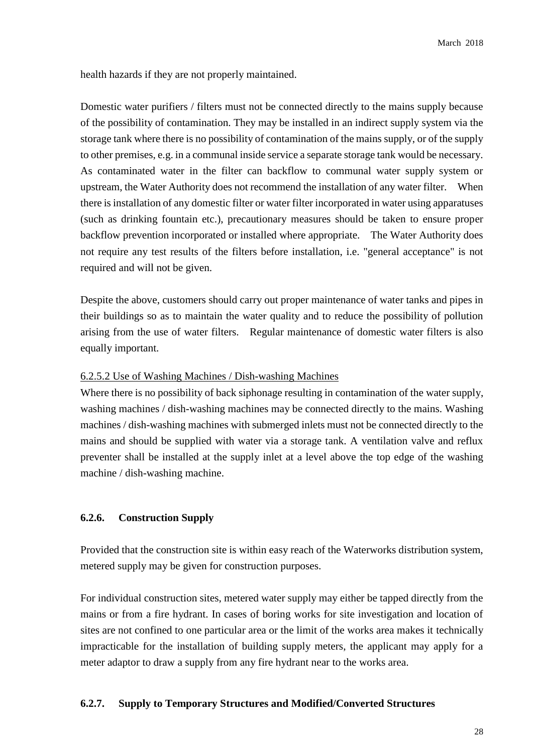health hazards if they are not properly maintained.

Domestic water purifiers / filters must not be connected directly to the mains supply because of the possibility of contamination. They may be installed in an indirect supply system via the storage tank where there is no possibility of contamination of the mains supply, or of the supply to other premises, e.g. in a communal inside service a separate storage tank would be necessary. As contaminated water in the filter can backflow to communal water supply system or upstream, the Water Authority does not recommend the installation of any water filter. When there is installation of any domestic filter or water filter incorporated in water using apparatuses (such as drinking fountain etc.), precautionary measures should be taken to ensure proper backflow prevention incorporated or installed where appropriate. The Water Authority does not require any test results of the filters before installation, i.e. "general acceptance" is not required and will not be given.

Despite the above, customers should carry out proper maintenance of water tanks and pipes in their buildings so as to maintain the water quality and to reduce the possibility of pollution arising from the use of water filters. Regular maintenance of domestic water filters is also equally important.

#### 6.2.5.2 Use of Washing Machines / Dish-washing Machines

Where there is no possibility of back siphonage resulting in contamination of the water supply, washing machines / dish-washing machines may be connected directly to the mains. Washing machines / dish-washing machines with submerged inlets must not be connected directly to the mains and should be supplied with water via a storage tank. A ventilation valve and reflux preventer shall be installed at the supply inlet at a level above the top edge of the washing machine / dish-washing machine.

#### **6.2.6. Construction Supply**

Provided that the construction site is within easy reach of the Waterworks distribution system, metered supply may be given for construction purposes.

For individual construction sites, metered water supply may either be tapped directly from the mains or from a fire hydrant. In cases of boring works for site investigation and location of sites are not confined to one particular area or the limit of the works area makes it technically impracticable for the installation of building supply meters, the applicant may apply for a meter adaptor to draw a supply from any fire hydrant near to the works area.

#### **6.2.7. Supply to Temporary Structures and Modified/Converted Structures**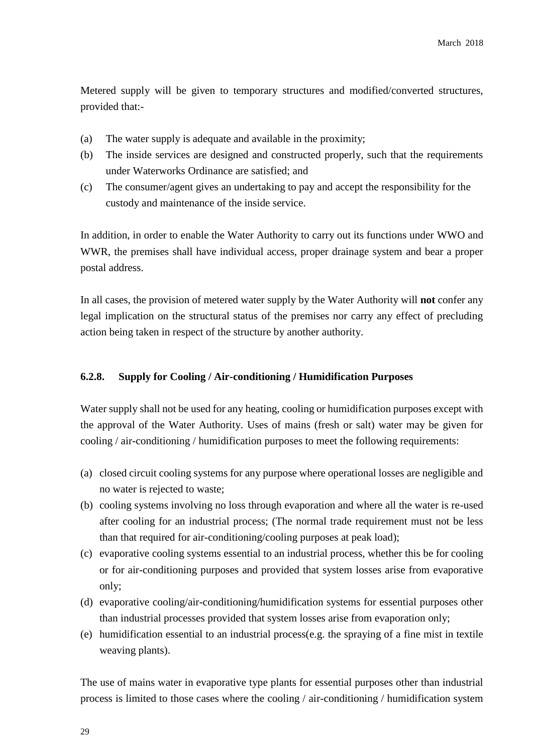Metered supply will be given to temporary structures and modified/converted structures, provided that:-

- (a) The water supply is adequate and available in the proximity;
- (b) The inside services are designed and constructed properly, such that the requirements under Waterworks Ordinance are satisfied; and
- (c) The consumer/agent gives an undertaking to pay and accept the responsibility for the custody and maintenance of the inside service.

In addition, in order to enable the Water Authority to carry out its functions under WWO and WWR, the premises shall have individual access, proper drainage system and bear a proper postal address.

In all cases, the provision of metered water supply by the Water Authority will **not** confer any legal implication on the structural status of the premises nor carry any effect of precluding action being taken in respect of the structure by another authority.

#### **6.2.8. Supply for Cooling / Air-conditioning / Humidification Purposes**

Water supply shall not be used for any heating, cooling or humidification purposes except with the approval of the Water Authority. Uses of mains (fresh or salt) water may be given for cooling / air-conditioning / humidification purposes to meet the following requirements:

- (a) closed circuit cooling systems for any purpose where operational losses are negligible and no water is rejected to waste;
- (b) cooling systems involving no loss through evaporation and where all the water is re-used after cooling for an industrial process; (The normal trade requirement must not be less than that required for air-conditioning/cooling purposes at peak load);
- (c) evaporative cooling systems essential to an industrial process, whether this be for cooling or for air-conditioning purposes and provided that system losses arise from evaporative only;
- (d) evaporative cooling/air-conditioning/humidification systems for essential purposes other than industrial processes provided that system losses arise from evaporation only;
- (e) humidification essential to an industrial process(e.g. the spraying of a fine mist in textile weaving plants).

The use of mains water in evaporative type plants for essential purposes other than industrial process is limited to those cases where the cooling / air-conditioning / humidification system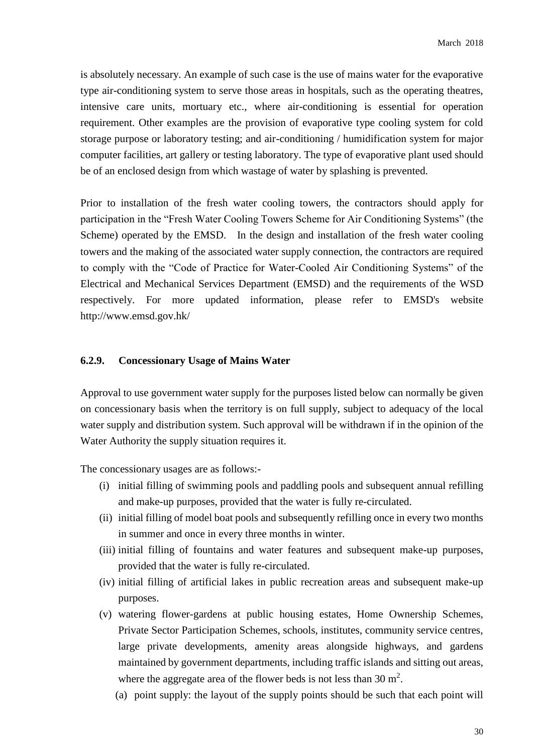is absolutely necessary. An example of such case is the use of mains water for the evaporative type air-conditioning system to serve those areas in hospitals, such as the operating theatres, intensive care units, mortuary etc., where air-conditioning is essential for operation requirement. Other examples are the provision of evaporative type cooling system for cold storage purpose or laboratory testing; and air-conditioning / humidification system for major computer facilities, art gallery or testing laboratory. The type of evaporative plant used should be of an enclosed design from which wastage of water by splashing is prevented.

Prior to installation of the fresh water cooling towers, the contractors should apply for participation in the "Fresh Water Cooling Towers Scheme for Air Conditioning Systems" (the Scheme) operated by the EMSD. In the design and installation of the fresh water cooling towers and the making of the associated water supply connection, the contractors are required to comply with the "Code of Practice for Water-Cooled Air Conditioning Systems" of the Electrical and Mechanical Services Department (EMSD) and the requirements of the WSD respectively. For more updated information, please refer to EMSD's website http://www.emsd.gov.hk/

#### **6.2.9. Concessionary Usage of Mains Water**

Approval to use government water supply for the purposes listed below can normally be given on concessionary basis when the territory is on full supply, subject to adequacy of the local water supply and distribution system. Such approval will be withdrawn if in the opinion of the Water Authority the supply situation requires it.

The concessionary usages are as follows:-

- (i) initial filling of swimming pools and paddling pools and subsequent annual refilling and make-up purposes, provided that the water is fully re-circulated.
- (ii) initial filling of model boat pools and subsequently refilling once in every two months in summer and once in every three months in winter.
- (iii) initial filling of fountains and water features and subsequent make-up purposes, provided that the water is fully re-circulated.
- (iv) initial filling of artificial lakes in public recreation areas and subsequent make-up purposes.
- (v) watering flower-gardens at public housing estates, Home Ownership Schemes, Private Sector Participation Schemes, schools, institutes, community service centres, large private developments, amenity areas alongside highways, and gardens maintained by government departments, including traffic islands and sitting out areas, where the aggregate area of the flower beds is not less than  $30 \text{ m}^2$ .
	- (a) point supply: the layout of the supply points should be such that each point will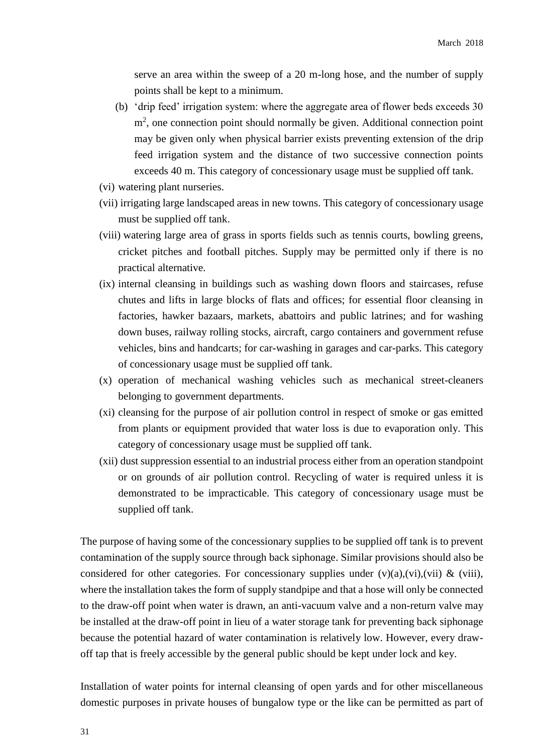serve an area within the sweep of a 20 m-long hose, and the number of supply points shall be kept to a minimum.

- (b) 'drip feed' irrigation system: where the aggregate area of flower beds exceeds 30 m<sup>2</sup>, one connection point should normally be given. Additional connection point may be given only when physical barrier exists preventing extension of the drip feed irrigation system and the distance of two successive connection points exceeds 40 m. This category of concessionary usage must be supplied off tank.
- (vi) watering plant nurseries.
- (vii) irrigating large landscaped areas in new towns. This category of concessionary usage must be supplied off tank.
- (viii) watering large area of grass in sports fields such as tennis courts, bowling greens, cricket pitches and football pitches. Supply may be permitted only if there is no practical alternative.
- (ix) internal cleansing in buildings such as washing down floors and staircases, refuse chutes and lifts in large blocks of flats and offices; for essential floor cleansing in factories, hawker bazaars, markets, abattoirs and public latrines; and for washing down buses, railway rolling stocks, aircraft, cargo containers and government refuse vehicles, bins and handcarts; for car-washing in garages and car-parks. This category of concessionary usage must be supplied off tank.
- (x) operation of mechanical washing vehicles such as mechanical street-cleaners belonging to government departments.
- (xi) cleansing for the purpose of air pollution control in respect of smoke or gas emitted from plants or equipment provided that water loss is due to evaporation only. This category of concessionary usage must be supplied off tank.
- (xii) dust suppression essential to an industrial process either from an operation standpoint or on grounds of air pollution control. Recycling of water is required unless it is demonstrated to be impracticable. This category of concessionary usage must be supplied off tank.

The purpose of having some of the concessionary supplies to be supplied off tank is to prevent contamination of the supply source through back siphonage. Similar provisions should also be considered for other categories. For concessionary supplies under  $(v)(a)$ , $(vi)$ , $(vii)$  &  $(viii)$ , where the installation takes the form of supply standpipe and that a hose will only be connected to the draw-off point when water is drawn, an anti-vacuum valve and a non-return valve may be installed at the draw-off point in lieu of a water storage tank for preventing back siphonage because the potential hazard of water contamination is relatively low. However, every drawoff tap that is freely accessible by the general public should be kept under lock and key.

Installation of water points for internal cleansing of open yards and for other miscellaneous domestic purposes in private houses of bungalow type or the like can be permitted as part of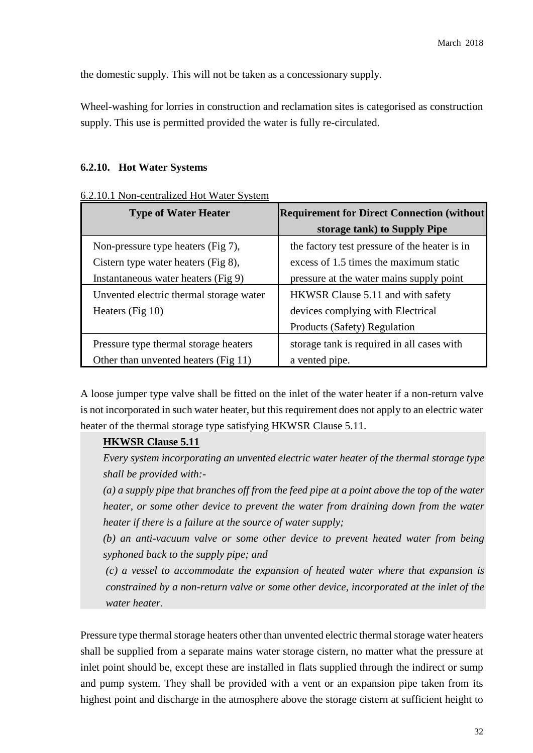the domestic supply. This will not be taken as a concessionary supply.

Wheel-washing for lorries in construction and reclamation sites is categorised as construction supply. This use is permitted provided the water is fully re-circulated.

#### **6.2.10. Hot Water Systems**

| <b>Type of Water Heater</b>             | <b>Requirement for Direct Connection (without)</b> |
|-----------------------------------------|----------------------------------------------------|
|                                         | storage tank) to Supply Pipe                       |
| Non-pressure type heaters (Fig 7),      | the factory test pressure of the heater is in      |
| Cistern type water heaters (Fig 8),     | excess of 1.5 times the maximum static             |
| Instantaneous water heaters (Fig 9)     | pressure at the water mains supply point           |
| Unvented electric thermal storage water | HKWSR Clause 5.11 and with safety                  |
| Heaters (Fig 10)                        | devices complying with Electrical                  |
|                                         | Products (Safety) Regulation                       |
| Pressure type thermal storage heaters   | storage tank is required in all cases with         |
| Other than unvented heaters (Fig 11)    | a vented pipe.                                     |

6.2.10.1 Non-centralized Hot Water System

A loose jumper type valve shall be fitted on the inlet of the water heater if a non-return valve is not incorporated in such water heater, but this requirement does not apply to an electric water heater of the thermal storage type satisfying HKWSR Clause 5.11.

#### **HKWSR Clause 5.11**

*Every system incorporating an unvented electric water heater of the thermal storage type shall be provided with:-*

*(a) a supply pipe that branches off from the feed pipe at a point above the top of the water heater, or some other device to prevent the water from draining down from the water heater if there is a failure at the source of water supply;*

*(b) an anti-vacuum valve or some other device to prevent heated water from being syphoned back to the supply pipe; and*

*(c) a vessel to accommodate the expansion of heated water where that expansion is constrained by a non-return valve or some other device, incorporated at the inlet of the water heater.*

Pressure type thermal storage heaters other than unvented electric thermal storage water heaters shall be supplied from a separate mains water storage cistern, no matter what the pressure at inlet point should be, except these are installed in flats supplied through the indirect or sump and pump system. They shall be provided with a vent or an expansion pipe taken from its highest point and discharge in the atmosphere above the storage cistern at sufficient height to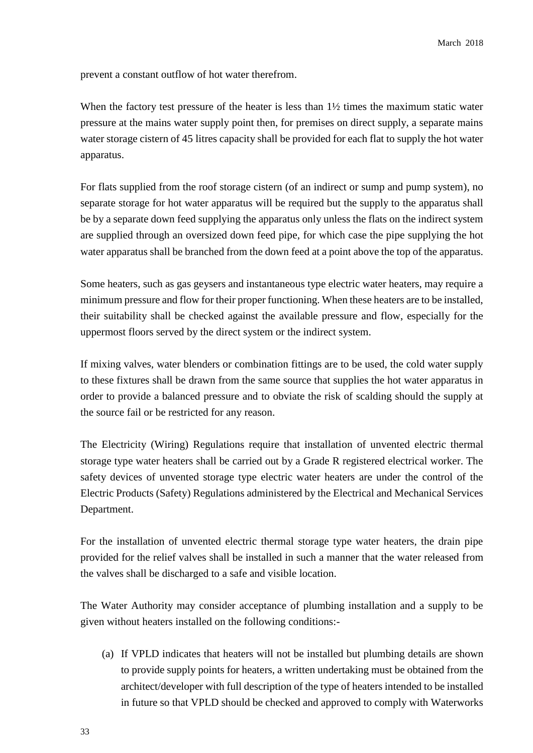prevent a constant outflow of hot water therefrom.

When the factory test pressure of the heater is less than  $1\frac{1}{2}$  times the maximum static water pressure at the mains water supply point then, for premises on direct supply, a separate mains water storage cistern of 45 litres capacity shall be provided for each flat to supply the hot water apparatus.

For flats supplied from the roof storage cistern (of an indirect or sump and pump system), no separate storage for hot water apparatus will be required but the supply to the apparatus shall be by a separate down feed supplying the apparatus only unless the flats on the indirect system are supplied through an oversized down feed pipe, for which case the pipe supplying the hot water apparatus shall be branched from the down feed at a point above the top of the apparatus.

Some heaters, such as gas geysers and instantaneous type electric water heaters, may require a minimum pressure and flow for their proper functioning. When these heaters are to be installed, their suitability shall be checked against the available pressure and flow, especially for the uppermost floors served by the direct system or the indirect system.

If mixing valves, water blenders or combination fittings are to be used, the cold water supply to these fixtures shall be drawn from the same source that supplies the hot water apparatus in order to provide a balanced pressure and to obviate the risk of scalding should the supply at the source fail or be restricted for any reason.

The Electricity (Wiring) Regulations require that installation of unvented electric thermal storage type water heaters shall be carried out by a Grade R registered electrical worker. The safety devices of unvented storage type electric water heaters are under the control of the Electric Products (Safety) Regulations administered by the Electrical and Mechanical Services Department.

For the installation of unvented electric thermal storage type water heaters, the drain pipe provided for the relief valves shall be installed in such a manner that the water released from the valves shall be discharged to a safe and visible location.

The Water Authority may consider acceptance of plumbing installation and a supply to be given without heaters installed on the following conditions:-

(a) If VPLD indicates that heaters will not be installed but plumbing details are shown to provide supply points for heaters, a written undertaking must be obtained from the architect/developer with full description of the type of heaters intended to be installed in future so that VPLD should be checked and approved to comply with Waterworks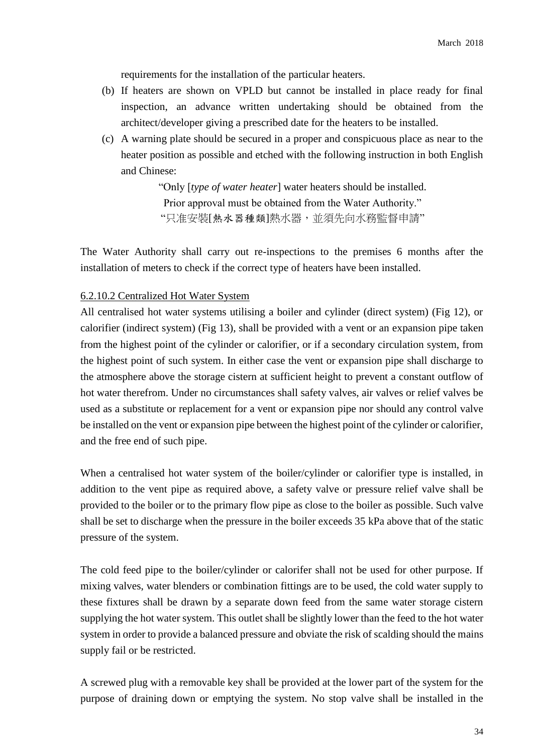requirements for the installation of the particular heaters.

- (b) If heaters are shown on VPLD but cannot be installed in place ready for final inspection, an advance written undertaking should be obtained from the architect/developer giving a prescribed date for the heaters to be installed.
- (c) A warning plate should be secured in a proper and conspicuous place as near to the heater position as possible and etched with the following instruction in both English and Chinese:

"Only [*type of water heater*] water heaters should be installed. Prior approval must be obtained from the Water Authority." "只准安裝[熱水器種類]熱水器,並須先向水務監督申請"

The Water Authority shall carry out re-inspections to the premises 6 months after the installation of meters to check if the correct type of heaters have been installed.

#### 6.2.10.2 Centralized Hot Water System

All centralised hot water systems utilising a boiler and cylinder (direct system) (Fig 12), or calorifier (indirect system) (Fig 13), shall be provided with a vent or an expansion pipe taken from the highest point of the cylinder or calorifier, or if a secondary circulation system, from the highest point of such system. In either case the vent or expansion pipe shall discharge to the atmosphere above the storage cistern at sufficient height to prevent a constant outflow of hot water therefrom. Under no circumstances shall safety valves, air valves or relief valves be used as a substitute or replacement for a vent or expansion pipe nor should any control valve be installed on the vent or expansion pipe between the highest point of the cylinder or calorifier, and the free end of such pipe.

When a centralised hot water system of the boiler/cylinder or calorifier type is installed, in addition to the vent pipe as required above, a safety valve or pressure relief valve shall be provided to the boiler or to the primary flow pipe as close to the boiler as possible. Such valve shall be set to discharge when the pressure in the boiler exceeds 35 kPa above that of the static pressure of the system.

The cold feed pipe to the boiler/cylinder or calorifer shall not be used for other purpose. If mixing valves, water blenders or combination fittings are to be used, the cold water supply to these fixtures shall be drawn by a separate down feed from the same water storage cistern supplying the hot water system. This outlet shall be slightly lower than the feed to the hot water system in order to provide a balanced pressure and obviate the risk of scalding should the mains supply fail or be restricted.

A screwed plug with a removable key shall be provided at the lower part of the system for the purpose of draining down or emptying the system. No stop valve shall be installed in the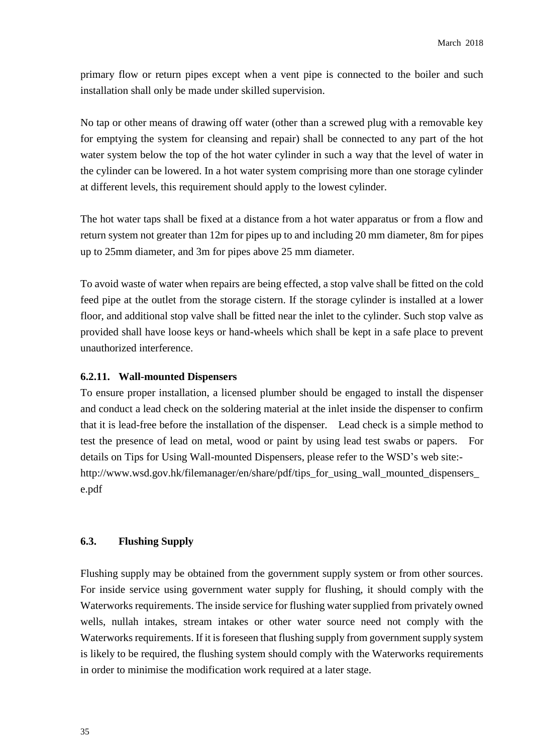primary flow or return pipes except when a vent pipe is connected to the boiler and such installation shall only be made under skilled supervision.

No tap or other means of drawing off water (other than a screwed plug with a removable key for emptying the system for cleansing and repair) shall be connected to any part of the hot water system below the top of the hot water cylinder in such a way that the level of water in the cylinder can be lowered. In a hot water system comprising more than one storage cylinder at different levels, this requirement should apply to the lowest cylinder.

The hot water taps shall be fixed at a distance from a hot water apparatus or from a flow and return system not greater than 12m for pipes up to and including 20 mm diameter, 8m for pipes up to 25mm diameter, and 3m for pipes above 25 mm diameter.

To avoid waste of water when repairs are being effected, a stop valve shall be fitted on the cold feed pipe at the outlet from the storage cistern. If the storage cylinder is installed at a lower floor, and additional stop valve shall be fitted near the inlet to the cylinder. Such stop valve as provided shall have loose keys or hand-wheels which shall be kept in a safe place to prevent unauthorized interference.

#### **6.2.11. Wall-mounted Dispensers**

To ensure proper installation, a licensed plumber should be engaged to install the dispenser and conduct a lead check on the soldering material at the inlet inside the dispenser to confirm that it is lead-free before the installation of the dispenser. Lead check is a simple method to test the presence of lead on metal, wood or paint by using lead test swabs or papers. For details on Tips for Using Wall-mounted Dispensers, please refer to the WSD's web site: http://www.wsd.gov.hk/filemanager/en/share/pdf/tips\_for\_using\_wall\_mounted\_dispensers\_ e.pdf

#### **6.3. Flushing Supply**

Flushing supply may be obtained from the government supply system or from other sources. For inside service using government water supply for flushing, it should comply with the Waterworks requirements. The inside service for flushing water supplied from privately owned wells, nullah intakes, stream intakes or other water source need not comply with the Waterworks requirements. If it is foreseen that flushing supply from government supply system is likely to be required, the flushing system should comply with the Waterworks requirements in order to minimise the modification work required at a later stage.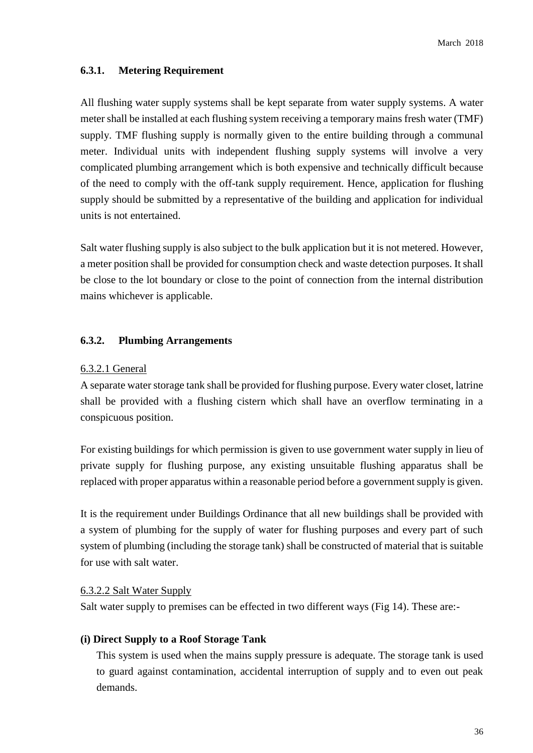## **6.3.1. Metering Requirement**

All flushing water supply systems shall be kept separate from water supply systems. A water meter shall be installed at each flushing system receiving a temporary mains fresh water (TMF) supply. TMF flushing supply is normally given to the entire building through a communal meter. Individual units with independent flushing supply systems will involve a very complicated plumbing arrangement which is both expensive and technically difficult because of the need to comply with the off-tank supply requirement. Hence, application for flushing supply should be submitted by a representative of the building and application for individual units is not entertained.

Salt water flushing supply is also subject to the bulk application but it is not metered. However, a meter position shall be provided for consumption check and waste detection purposes. It shall be close to the lot boundary or close to the point of connection from the internal distribution mains whichever is applicable.

## **6.3.2. Plumbing Arrangements**

#### 6.3.2.1 General

A separate water storage tank shall be provided for flushing purpose. Every water closet, latrine shall be provided with a flushing cistern which shall have an overflow terminating in a conspicuous position.

For existing buildings for which permission is given to use government water supply in lieu of private supply for flushing purpose, any existing unsuitable flushing apparatus shall be replaced with proper apparatus within a reasonable period before a government supply is given.

It is the requirement under Buildings Ordinance that all new buildings shall be provided with a system of plumbing for the supply of water for flushing purposes and every part of such system of plumbing (including the storage tank) shall be constructed of material that is suitable for use with salt water.

#### 6.3.2.2 Salt Water Supply

Salt water supply to premises can be effected in two different ways (Fig 14). These are:-

#### **(i) Direct Supply to a Roof Storage Tank**

This system is used when the mains supply pressure is adequate. The storage tank is used to guard against contamination, accidental interruption of supply and to even out peak demands.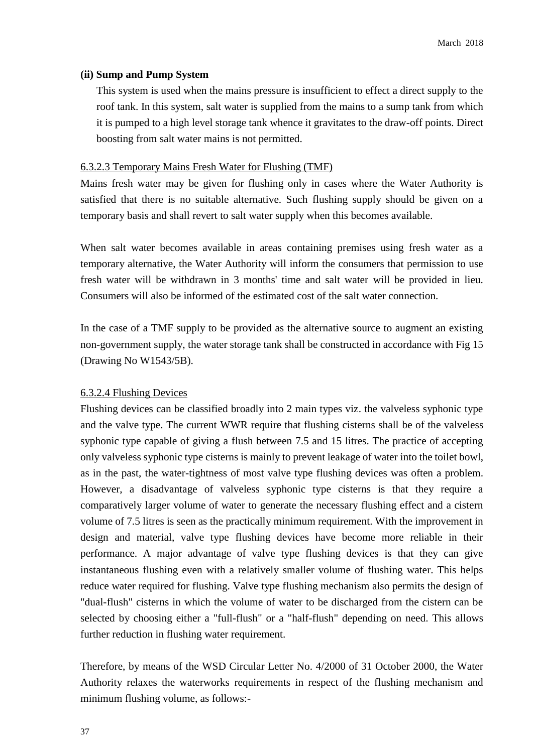#### **(ii) Sump and Pump System**

This system is used when the mains pressure is insufficient to effect a direct supply to the roof tank. In this system, salt water is supplied from the mains to a sump tank from which it is pumped to a high level storage tank whence it gravitates to the draw-off points. Direct boosting from salt water mains is not permitted.

#### 6.3.2.3 Temporary Mains Fresh Water for Flushing (TMF)

Mains fresh water may be given for flushing only in cases where the Water Authority is satisfied that there is no suitable alternative. Such flushing supply should be given on a temporary basis and shall revert to salt water supply when this becomes available.

When salt water becomes available in areas containing premises using fresh water as a temporary alternative, the Water Authority will inform the consumers that permission to use fresh water will be withdrawn in 3 months' time and salt water will be provided in lieu. Consumers will also be informed of the estimated cost of the salt water connection.

In the case of a TMF supply to be provided as the alternative source to augment an existing non-government supply, the water storage tank shall be constructed in accordance with Fig 15 (Drawing No W1543/5B).

#### 6.3.2.4 Flushing Devices

Flushing devices can be classified broadly into 2 main types viz. the valveless syphonic type and the valve type. The current WWR require that flushing cisterns shall be of the valveless syphonic type capable of giving a flush between 7.5 and 15 litres. The practice of accepting only valveless syphonic type cisterns is mainly to prevent leakage of water into the toilet bowl, as in the past, the water-tightness of most valve type flushing devices was often a problem. However, a disadvantage of valveless syphonic type cisterns is that they require a comparatively larger volume of water to generate the necessary flushing effect and a cistern volume of 7.5 litres is seen as the practically minimum requirement. With the improvement in design and material, valve type flushing devices have become more reliable in their performance. A major advantage of valve type flushing devices is that they can give instantaneous flushing even with a relatively smaller volume of flushing water. This helps reduce water required for flushing. Valve type flushing mechanism also permits the design of "dual-flush" cisterns in which the volume of water to be discharged from the cistern can be selected by choosing either a "full-flush" or a "half-flush" depending on need. This allows further reduction in flushing water requirement.

Therefore, by means of the WSD Circular Letter No. 4/2000 of 31 October 2000, the Water Authority relaxes the waterworks requirements in respect of the flushing mechanism and minimum flushing volume, as follows:-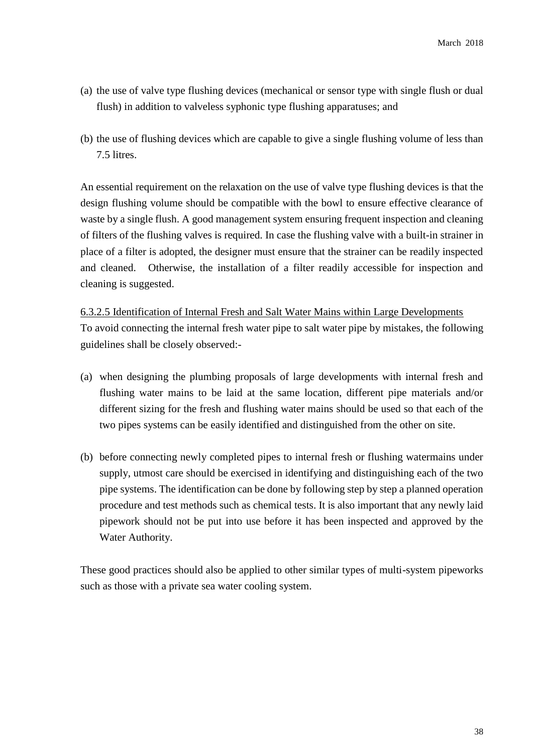- (a) the use of valve type flushing devices (mechanical or sensor type with single flush or dual flush) in addition to valveless syphonic type flushing apparatuses; and
- (b) the use of flushing devices which are capable to give a single flushing volume of less than 7.5 litres.

An essential requirement on the relaxation on the use of valve type flushing devices is that the design flushing volume should be compatible with the bowl to ensure effective clearance of waste by a single flush. A good management system ensuring frequent inspection and cleaning of filters of the flushing valves is required. In case the flushing valve with a built-in strainer in place of a filter is adopted, the designer must ensure that the strainer can be readily inspected and cleaned. Otherwise, the installation of a filter readily accessible for inspection and cleaning is suggested.

6.3.2.5 Identification of Internal Fresh and Salt Water Mains within Large Developments To avoid connecting the internal fresh water pipe to salt water pipe by mistakes, the following guidelines shall be closely observed:-

- (a) when designing the plumbing proposals of large developments with internal fresh and flushing water mains to be laid at the same location, different pipe materials and/or different sizing for the fresh and flushing water mains should be used so that each of the two pipes systems can be easily identified and distinguished from the other on site.
- (b) before connecting newly completed pipes to internal fresh or flushing watermains under supply, utmost care should be exercised in identifying and distinguishing each of the two pipe systems. The identification can be done by following step by step a planned operation procedure and test methods such as chemical tests. It is also important that any newly laid pipework should not be put into use before it has been inspected and approved by the Water Authority.

These good practices should also be applied to other similar types of multi-system pipeworks such as those with a private sea water cooling system.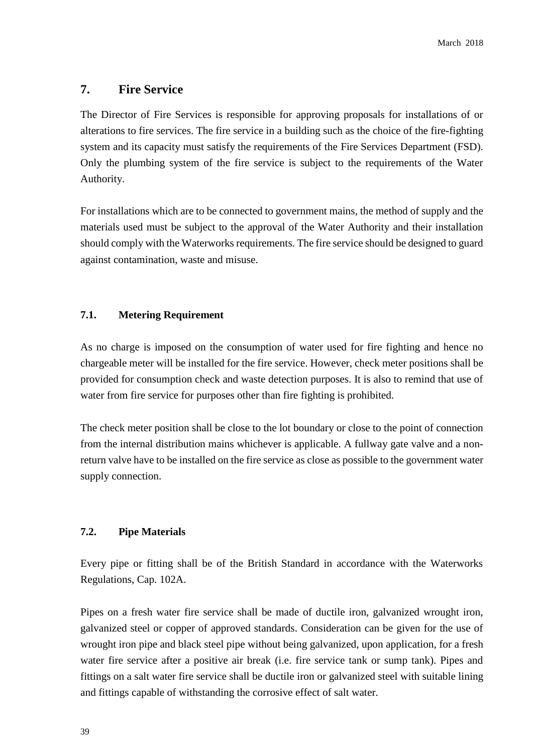## **7. Fire Service**

The Director of Fire Services is responsible for approving proposals for installations of or alterations to fire services. The fire service in a building such as the choice of the fire-fighting system and its capacity must satisfy the requirements of the Fire Services Department (FSD). Only the plumbing system of the fire service is subject to the requirements of the Water Authority.

For installations which are to be connected to government mains, the method of supply and the materials used must be subject to the approval of the Water Authority and their installation should comply with the Waterworks requirements. The fire service should be designed to guard against contamination, waste and misuse.

## **7.1. Metering Requirement**

As no charge is imposed on the consumption of water used for fire fighting and hence no chargeable meter will be installed for the fire service. However, check meter positions shall be provided for consumption check and waste detection purposes. It is also to remind that use of water from fire service for purposes other than fire fighting is prohibited.

The check meter position shall be close to the lot boundary or close to the point of connection from the internal distribution mains whichever is applicable. A fullway gate valve and a nonreturn valve have to be installed on the fire service as close as possible to the government water supply connection.

## **7.2. Pipe Materials**

Every pipe or fitting shall be of the British Standard in accordance with the Waterworks Regulations, Cap. 102A.

Pipes on a fresh water fire service shall be made of ductile iron, galvanized wrought iron, galvanized steel or copper of approved standards. Consideration can be given for the use of wrought iron pipe and black steel pipe without being galvanized, upon application, for a fresh water fire service after a positive air break (i.e. fire service tank or sump tank). Pipes and fittings on a salt water fire service shall be ductile iron or galvanized steel with suitable lining and fittings capable of withstanding the corrosive effect of salt water.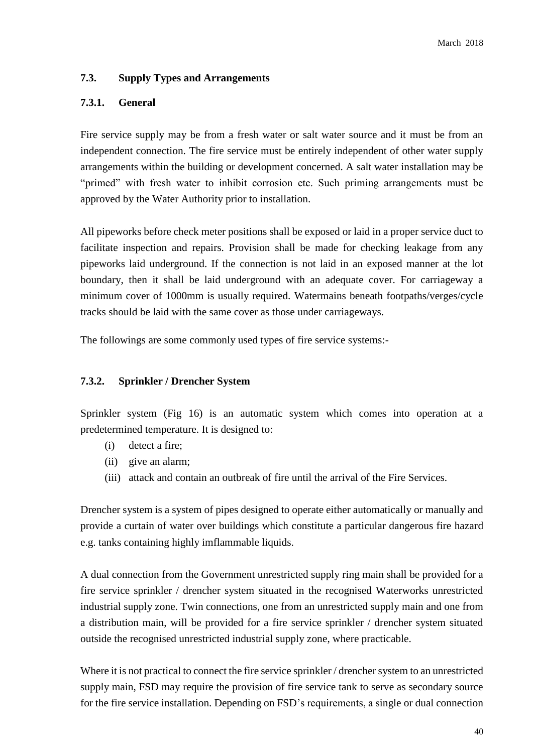## **7.3. Supply Types and Arrangements**

## **7.3.1. General**

Fire service supply may be from a fresh water or salt water source and it must be from an independent connection. The fire service must be entirely independent of other water supply arrangements within the building or development concerned. A salt water installation may be "primed" with fresh water to inhibit corrosion etc. Such priming arrangements must be approved by the Water Authority prior to installation.

All pipeworks before check meter positions shall be exposed or laid in a proper service duct to facilitate inspection and repairs. Provision shall be made for checking leakage from any pipeworks laid underground. If the connection is not laid in an exposed manner at the lot boundary, then it shall be laid underground with an adequate cover. For carriageway a minimum cover of 1000mm is usually required. Watermains beneath footpaths/verges/cycle tracks should be laid with the same cover as those under carriageways.

The followings are some commonly used types of fire service systems:-

## **7.3.2. Sprinkler / Drencher System**

Sprinkler system (Fig 16) is an automatic system which comes into operation at a predetermined temperature. It is designed to:

- (i) detect a fire;
- (ii) give an alarm;
- (iii) attack and contain an outbreak of fire until the arrival of the Fire Services.

Drencher system is a system of pipes designed to operate either automatically or manually and provide a curtain of water over buildings which constitute a particular dangerous fire hazard e.g. tanks containing highly imflammable liquids.

A dual connection from the Government unrestricted supply ring main shall be provided for a fire service sprinkler / drencher system situated in the recognised Waterworks unrestricted industrial supply zone. Twin connections, one from an unrestricted supply main and one from a distribution main, will be provided for a fire service sprinkler / drencher system situated outside the recognised unrestricted industrial supply zone, where practicable.

Where it is not practical to connect the fire service sprinkler / drencher system to an unrestricted supply main, FSD may require the provision of fire service tank to serve as secondary source for the fire service installation. Depending on FSD's requirements, a single or dual connection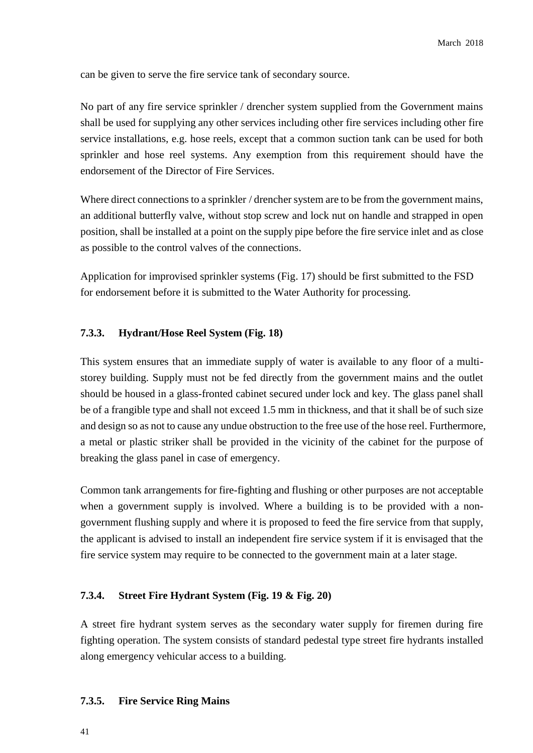can be given to serve the fire service tank of secondary source.

No part of any fire service sprinkler / drencher system supplied from the Government mains shall be used for supplying any other services including other fire services including other fire service installations, e.g. hose reels, except that a common suction tank can be used for both sprinkler and hose reel systems. Any exemption from this requirement should have the endorsement of the Director of Fire Services.

Where direct connections to a sprinkler / drencher system are to be from the government mains, an additional butterfly valve, without stop screw and lock nut on handle and strapped in open position, shall be installed at a point on the supply pipe before the fire service inlet and as close as possible to the control valves of the connections.

Application for improvised sprinkler systems (Fig. 17) should be first submitted to the FSD for endorsement before it is submitted to the Water Authority for processing.

#### **7.3.3. Hydrant/Hose Reel System (Fig. 18)**

This system ensures that an immediate supply of water is available to any floor of a multistorey building. Supply must not be fed directly from the government mains and the outlet should be housed in a glass-fronted cabinet secured under lock and key. The glass panel shall be of a frangible type and shall not exceed 1.5 mm in thickness, and that it shall be of such size and design so as not to cause any undue obstruction to the free use of the hose reel. Furthermore, a metal or plastic striker shall be provided in the vicinity of the cabinet for the purpose of breaking the glass panel in case of emergency.

Common tank arrangements for fire-fighting and flushing or other purposes are not acceptable when a government supply is involved. Where a building is to be provided with a nongovernment flushing supply and where it is proposed to feed the fire service from that supply, the applicant is advised to install an independent fire service system if it is envisaged that the fire service system may require to be connected to the government main at a later stage.

#### **7.3.4. Street Fire Hydrant System (Fig. 19 & Fig. 20)**

A street fire hydrant system serves as the secondary water supply for firemen during fire fighting operation. The system consists of standard pedestal type street fire hydrants installed along emergency vehicular access to a building.

#### **7.3.5. Fire Service Ring Mains**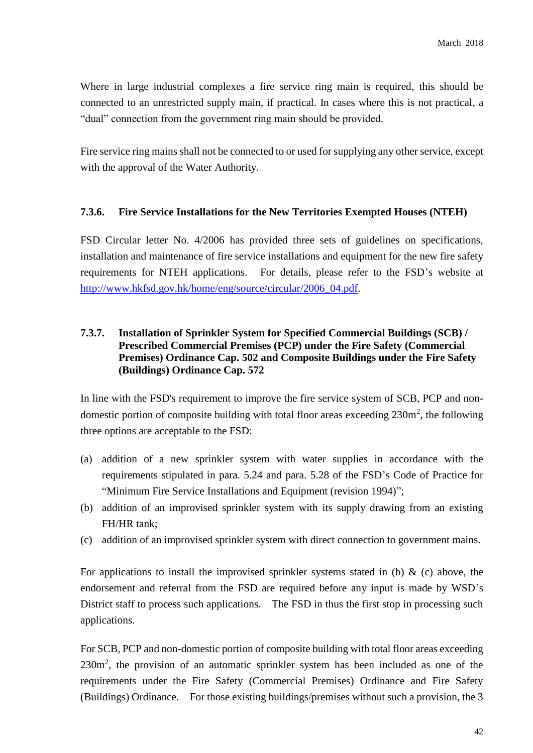Where in large industrial complexes a fire service ring main is required, this should be connected to an unrestricted supply main, if practical. In cases where this is not practical, a "dual" connection from the government ring main should be provided.

Fire service ring mains shall not be connected to or used for supplying any other service, except with the approval of the Water Authority.

#### **7.3.6. Fire Service Installations for the New Territories Exempted Houses (NTEH)**

FSD Circular letter No. 4/2006 has provided three sets of guidelines on specifications, installation and maintenance of fire service installations and equipment for the new fire safety requirements for NTEH applications. For details, please refer to the FSD's website at [http://www.hkfsd.gov.hk/home/eng/source/circular/2006\\_04.pdf.](http://www.hkfsd.gov.hk/home/eng/source/circular/2006_04.pdf)

#### **7.3.7. Installation of Sprinkler System for Specified Commercial Buildings (SCB) / Prescribed Commercial Premises (PCP) under the Fire Safety (Commercial Premises) Ordinance Cap. 502 and Composite Buildings under the Fire Safety (Buildings) Ordinance Cap. 572**

In line with the FSD's requirement to improve the fire service system of SCB, PCP and nondomestic portion of composite building with total floor areas exceeding  $230m^2$ , the following three options are acceptable to the FSD:

- (a) addition of a new sprinkler system with water supplies in accordance with the requirements stipulated in para. 5.24 and para. 5.28 of the FSD's Code of Practice for "Minimum Fire Service Installations and Equipment (revision 1994)";
- (b) addition of an improvised sprinkler system with its supply drawing from an existing FH/HR tank;
- (c) addition of an improvised sprinkler system with direct connection to government mains.

For applications to install the improvised sprinkler systems stated in (b)  $\&$  (c) above, the endorsement and referral from the FSD are required before any input is made by WSD's District staff to process such applications. The FSD in thus the first stop in processing such applications.

For SCB, PCP and non-domestic portion of composite building with total floor areas exceeding 230m<sup>2</sup>, the provision of an automatic sprinkler system has been included as one of the requirements under the Fire Safety (Commercial Premises) Ordinance and Fire Safety (Buildings) Ordinance. For those existing buildings/premises without such a provision, the 3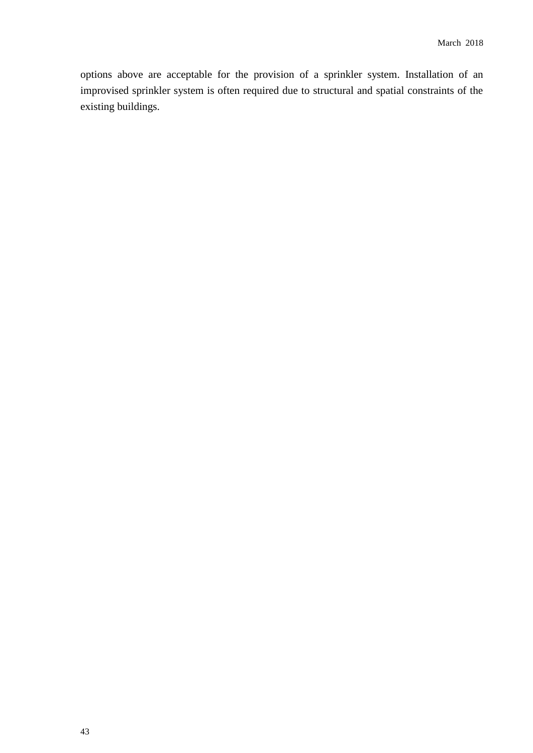options above are acceptable for the provision of a sprinkler system. Installation of an improvised sprinkler system is often required due to structural and spatial constraints of the existing buildings.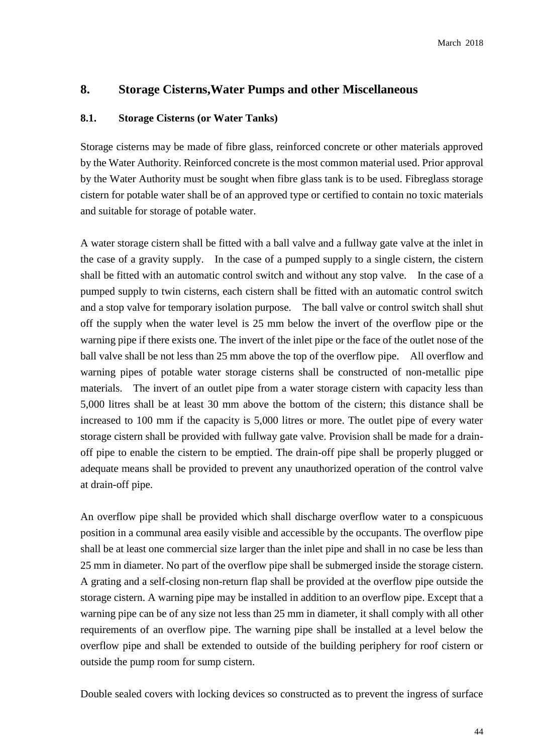## **8. Storage Cisterns,Water Pumps and other Miscellaneous**

#### **8.1. Storage Cisterns (or Water Tanks)**

Storage cisterns may be made of fibre glass, reinforced concrete or other materials approved by the Water Authority. Reinforced concrete is the most common material used. Prior approval by the Water Authority must be sought when fibre glass tank is to be used. Fibreglass storage cistern for potable water shall be of an approved type or certified to contain no toxic materials and suitable for storage of potable water.

A water storage cistern shall be fitted with a ball valve and a fullway gate valve at the inlet in the case of a gravity supply. In the case of a pumped supply to a single cistern, the cistern shall be fitted with an automatic control switch and without any stop valve. In the case of a pumped supply to twin cisterns, each cistern shall be fitted with an automatic control switch and a stop valve for temporary isolation purpose. The ball valve or control switch shall shut off the supply when the water level is 25 mm below the invert of the overflow pipe or the warning pipe if there exists one. The invert of the inlet pipe or the face of the outlet nose of the ball valve shall be not less than 25 mm above the top of the overflow pipe. All overflow and warning pipes of potable water storage cisterns shall be constructed of non-metallic pipe materials. The invert of an outlet pipe from a water storage cistern with capacity less than 5,000 litres shall be at least 30 mm above the bottom of the cistern; this distance shall be increased to 100 mm if the capacity is 5,000 litres or more. The outlet pipe of every water storage cistern shall be provided with fullway gate valve. Provision shall be made for a drainoff pipe to enable the cistern to be emptied. The drain-off pipe shall be properly plugged or adequate means shall be provided to prevent any unauthorized operation of the control valve at drain-off pipe.

An overflow pipe shall be provided which shall discharge overflow water to a conspicuous position in a communal area easily visible and accessible by the occupants. The overflow pipe shall be at least one commercial size larger than the inlet pipe and shall in no case be less than 25 mm in diameter. No part of the overflow pipe shall be submerged inside the storage cistern. A grating and a self-closing non-return flap shall be provided at the overflow pipe outside the storage cistern. A warning pipe may be installed in addition to an overflow pipe. Except that a warning pipe can be of any size not less than 25 mm in diameter, it shall comply with all other requirements of an overflow pipe. The warning pipe shall be installed at a level below the overflow pipe and shall be extended to outside of the building periphery for roof cistern or outside the pump room for sump cistern.

Double sealed covers with locking devices so constructed as to prevent the ingress of surface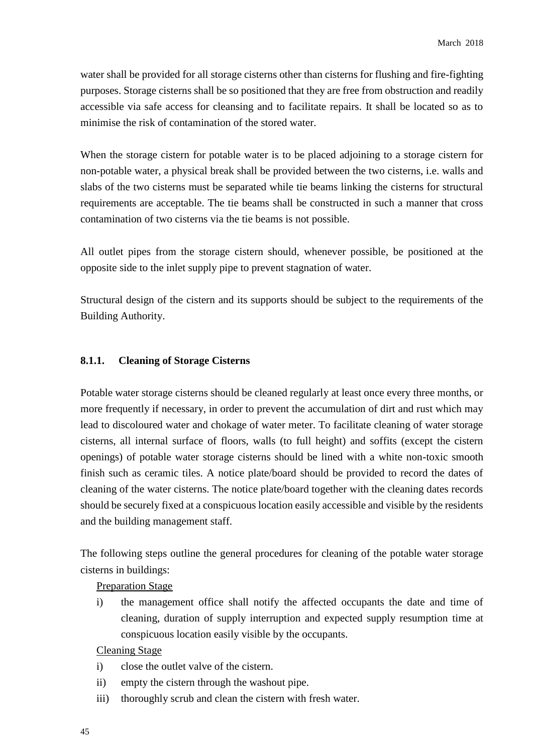water shall be provided for all storage cisterns other than cisterns for flushing and fire-fighting purposes. Storage cisterns shall be so positioned that they are free from obstruction and readily accessible via safe access for cleansing and to facilitate repairs. It shall be located so as to minimise the risk of contamination of the stored water.

When the storage cistern for potable water is to be placed adjoining to a storage cistern for non-potable water, a physical break shall be provided between the two cisterns, i.e. walls and slabs of the two cisterns must be separated while tie beams linking the cisterns for structural requirements are acceptable. The tie beams shall be constructed in such a manner that cross contamination of two cisterns via the tie beams is not possible.

All outlet pipes from the storage cistern should, whenever possible, be positioned at the opposite side to the inlet supply pipe to prevent stagnation of water.

Structural design of the cistern and its supports should be subject to the requirements of the Building Authority.

#### **8.1.1. Cleaning of Storage Cisterns**

Potable water storage cisterns should be cleaned regularly at least once every three months, or more frequently if necessary, in order to prevent the accumulation of dirt and rust which may lead to discoloured water and chokage of water meter. To facilitate cleaning of water storage cisterns, all internal surface of floors, walls (to full height) and soffits (except the cistern openings) of potable water storage cisterns should be lined with a white non-toxic smooth finish such as ceramic tiles. A notice plate/board should be provided to record the dates of cleaning of the water cisterns. The notice plate/board together with the cleaning dates records should be securely fixed at a conspicuous location easily accessible and visible by the residents and the building management staff.

The following steps outline the general procedures for cleaning of the potable water storage cisterns in buildings:

Preparation Stage

i) the management office shall notify the affected occupants the date and time of cleaning, duration of supply interruption and expected supply resumption time at conspicuous location easily visible by the occupants.

#### Cleaning Stage

- i) close the outlet valve of the cistern.
- ii) empty the cistern through the washout pipe.
- iii) thoroughly scrub and clean the cistern with fresh water.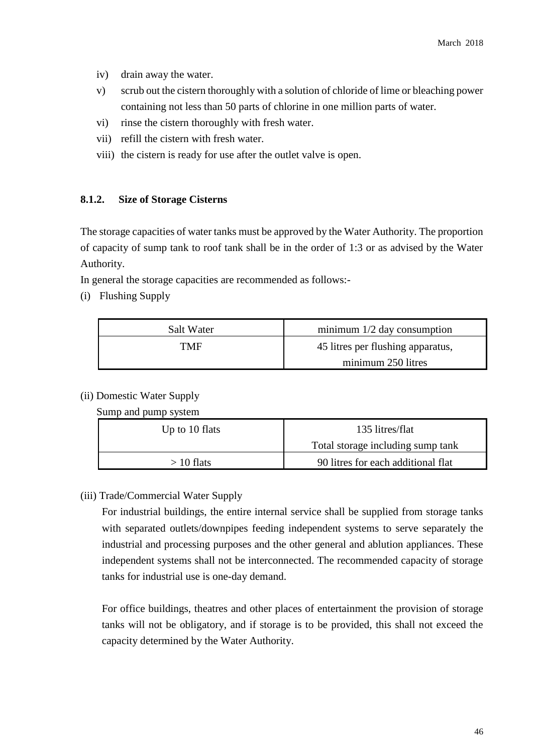- iv) drain away the water.
- v) scrub out the cistern thoroughly with a solution of chloride of lime or bleaching power containing not less than 50 parts of chlorine in one million parts of water.
- vi) rinse the cistern thoroughly with fresh water.
- vii) refill the cistern with fresh water.
- viii) the cistern is ready for use after the outlet valve is open.

## **8.1.2. Size of Storage Cisterns**

The storage capacities of water tanks must be approved by the Water Authority. The proportion of capacity of sump tank to roof tank shall be in the order of 1:3 or as advised by the Water Authority.

In general the storage capacities are recommended as follows:-

(i) Flushing Supply

| Salt Water | minimum $1/2$ day consumption     |
|------------|-----------------------------------|
| TMF        | 45 litres per flushing apparatus, |
|            | minimum 250 litres                |

## (ii) Domestic Water Supply

Sump and pump system

| Up to 10 flats | 135 litres/flat                    |
|----------------|------------------------------------|
|                | Total storage including sump tank  |
| $>10$ flats    | 90 litres for each additional flat |

## (iii) Trade/Commercial Water Supply

For industrial buildings, the entire internal service shall be supplied from storage tanks with separated outlets/downpipes feeding independent systems to serve separately the industrial and processing purposes and the other general and ablution appliances. These independent systems shall not be interconnected. The recommended capacity of storage tanks for industrial use is one-day demand.

For office buildings, theatres and other places of entertainment the provision of storage tanks will not be obligatory, and if storage is to be provided, this shall not exceed the capacity determined by the Water Authority.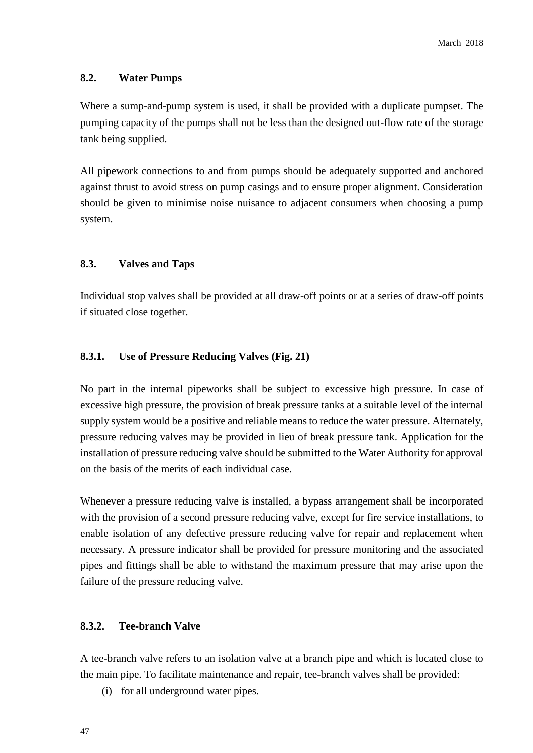#### **8.2. Water Pumps**

Where a sump-and-pump system is used, it shall be provided with a duplicate pumpset. The pumping capacity of the pumps shall not be less than the designed out-flow rate of the storage tank being supplied.

All pipework connections to and from pumps should be adequately supported and anchored against thrust to avoid stress on pump casings and to ensure proper alignment. Consideration should be given to minimise noise nuisance to adjacent consumers when choosing a pump system.

#### **8.3. Valves and Taps**

Individual stop valves shall be provided at all draw-off points or at a series of draw-off points if situated close together.

#### **8.3.1. Use of Pressure Reducing Valves (Fig. 21)**

No part in the internal pipeworks shall be subject to excessive high pressure. In case of excessive high pressure, the provision of break pressure tanks at a suitable level of the internal supply system would be a positive and reliable means to reduce the water pressure. Alternately, pressure reducing valves may be provided in lieu of break pressure tank. Application for the installation of pressure reducing valve should be submitted to the Water Authority for approval on the basis of the merits of each individual case.

Whenever a pressure reducing valve is installed, a bypass arrangement shall be incorporated with the provision of a second pressure reducing valve, except for fire service installations, to enable isolation of any defective pressure reducing valve for repair and replacement when necessary. A pressure indicator shall be provided for pressure monitoring and the associated pipes and fittings shall be able to withstand the maximum pressure that may arise upon the failure of the pressure reducing valve.

## **8.3.2. Tee-branch Valve**

A tee-branch valve refers to an isolation valve at a branch pipe and which is located close to the main pipe. To facilitate maintenance and repair, tee-branch valves shall be provided:

(i) for all underground water pipes.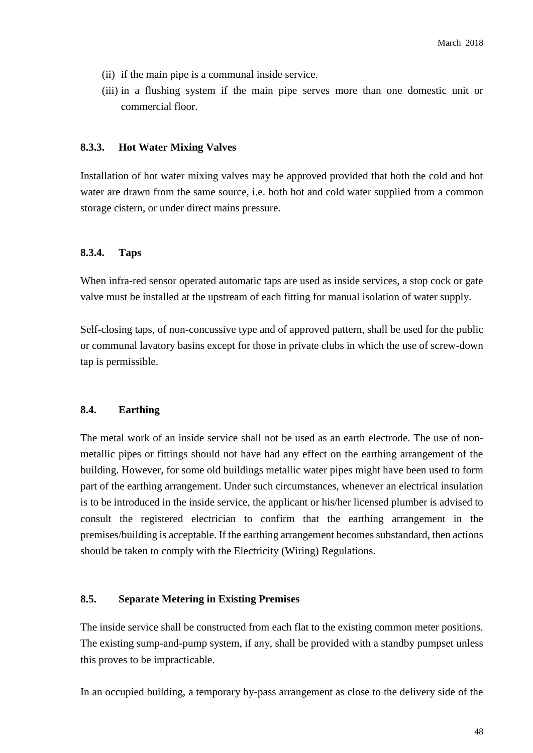- (ii) if the main pipe is a communal inside service.
- (iii) in a flushing system if the main pipe serves more than one domestic unit or commercial floor.

#### **8.3.3. Hot Water Mixing Valves**

Installation of hot water mixing valves may be approved provided that both the cold and hot water are drawn from the same source, *i.e.* both hot and cold water supplied from a common storage cistern, or under direct mains pressure.

#### **8.3.4. Taps**

When infra-red sensor operated automatic taps are used as inside services, a stop cock or gate valve must be installed at the upstream of each fitting for manual isolation of water supply.

Self-closing taps, of non-concussive type and of approved pattern, shall be used for the public or communal lavatory basins except for those in private clubs in which the use of screw-down tap is permissible.

#### **8.4. Earthing**

The metal work of an inside service shall not be used as an earth electrode. The use of nonmetallic pipes or fittings should not have had any effect on the earthing arrangement of the building. However, for some old buildings metallic water pipes might have been used to form part of the earthing arrangement. Under such circumstances, whenever an electrical insulation is to be introduced in the inside service, the applicant or his/her licensed plumber is advised to consult the registered electrician to confirm that the earthing arrangement in the premises/building is acceptable. If the earthing arrangement becomes substandard, then actions should be taken to comply with the Electricity (Wiring) Regulations.

#### **8.5. Separate Metering in Existing Premises**

The inside service shall be constructed from each flat to the existing common meter positions. The existing sump-and-pump system, if any, shall be provided with a standby pumpset unless this proves to be impracticable.

In an occupied building, a temporary by-pass arrangement as close to the delivery side of the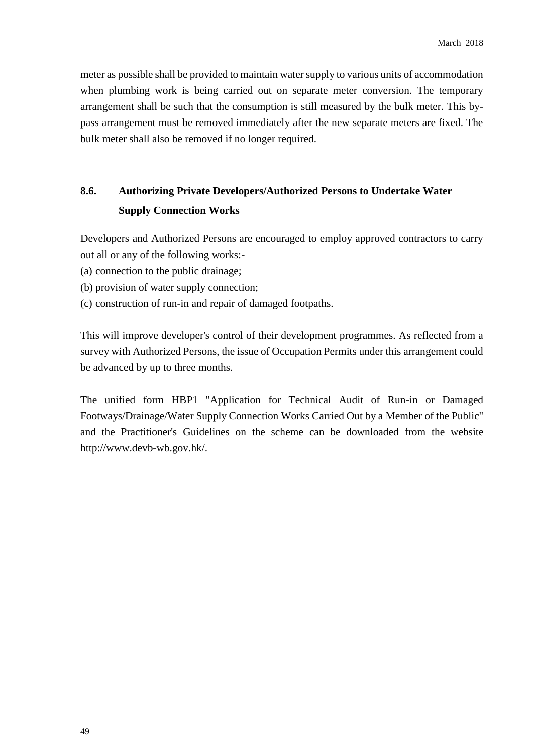meter as possible shall be provided to maintain water supply to various units of accommodation when plumbing work is being carried out on separate meter conversion. The temporary arrangement shall be such that the consumption is still measured by the bulk meter. This bypass arrangement must be removed immediately after the new separate meters are fixed. The bulk meter shall also be removed if no longer required.

# **8.6. Authorizing Private Developers/Authorized Persons to Undertake Water Supply Connection Works**

Developers and Authorized Persons are encouraged to employ approved contractors to carry out all or any of the following works:-

- (a) connection to the public drainage;
- (b) provision of water supply connection;
- (c) construction of run-in and repair of damaged footpaths.

This will improve developer's control of their development programmes. As reflected from a survey with Authorized Persons, the issue of Occupation Permits under this arrangement could be advanced by up to three months.

The unified form HBP1 "Application for Technical Audit of Run-in or Damaged Footways/Drainage/Water Supply Connection Works Carried Out by a Member of the Public" and the Practitioner's Guidelines on the scheme can be downloaded from the website http://www.devb-wb.gov.hk/.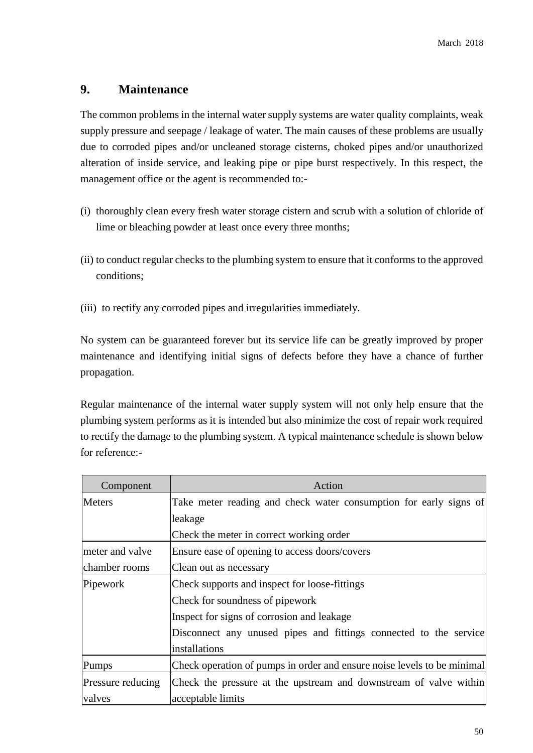## **9. Maintenance**

The common problems in the internal water supply systems are water quality complaints, weak supply pressure and seepage / leakage of water. The main causes of these problems are usually due to corroded pipes and/or uncleaned storage cisterns, choked pipes and/or unauthorized alteration of inside service, and leaking pipe or pipe burst respectively. In this respect, the management office or the agent is recommended to:-

- (i) thoroughly clean every fresh water storage cistern and scrub with a solution of chloride of lime or bleaching powder at least once every three months;
- (ii) to conduct regular checks to the plumbing system to ensure that it conforms to the approved conditions;
- (iii) to rectify any corroded pipes and irregularities immediately.

No system can be guaranteed forever but its service life can be greatly improved by proper maintenance and identifying initial signs of defects before they have a chance of further propagation.

Regular maintenance of the internal water supply system will not only help ensure that the plumbing system performs as it is intended but also minimize the cost of repair work required to rectify the damage to the plumbing system. A typical maintenance schedule is shown below for reference:-

| Component         | Action                                                                  |
|-------------------|-------------------------------------------------------------------------|
| <b>Meters</b>     | Take meter reading and check water consumption for early signs of       |
|                   | leakage                                                                 |
|                   | Check the meter in correct working order                                |
| meter and valve   | Ensure ease of opening to access doors/covers                           |
| chamber rooms     | Clean out as necessary                                                  |
| Pipework          | Check supports and inspect for loose-fittings                           |
|                   | Check for soundness of pipework                                         |
|                   | Inspect for signs of corrosion and leakage                              |
|                   | Disconnect any unused pipes and fittings connected to the service       |
|                   | installations                                                           |
| Pumps             | Check operation of pumps in order and ensure noise levels to be minimal |
| Pressure reducing | Check the pressure at the upstream and downstream of valve within       |
| valves            | acceptable limits                                                       |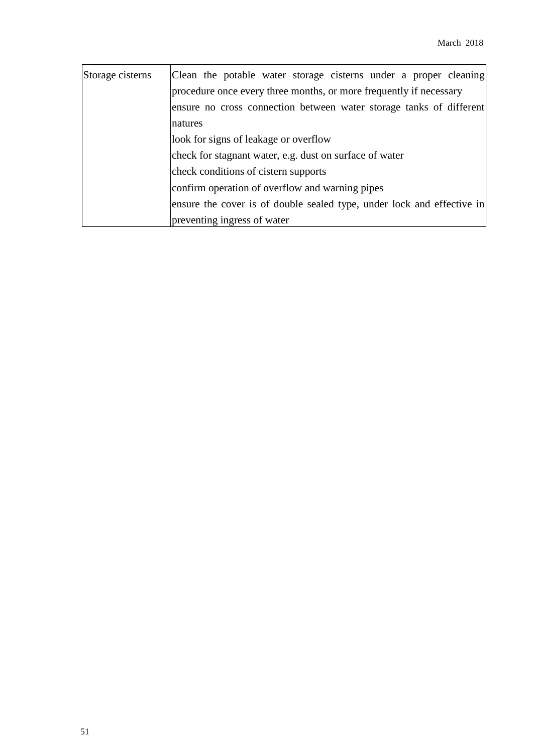| Storage cisterns | Clean the potable water storage cisterns under a proper cleaning       |  |  |
|------------------|------------------------------------------------------------------------|--|--|
|                  | procedure once every three months, or more frequently if necessary     |  |  |
|                  | ensure no cross connection between water storage tanks of different    |  |  |
|                  | natures                                                                |  |  |
|                  | look for signs of leakage or overflow                                  |  |  |
|                  | check for stagnant water, e.g. dust on surface of water                |  |  |
|                  | check conditions of cistern supports                                   |  |  |
|                  | confirm operation of overflow and warning pipes                        |  |  |
|                  | ensure the cover is of double sealed type, under lock and effective in |  |  |
|                  | preventing ingress of water                                            |  |  |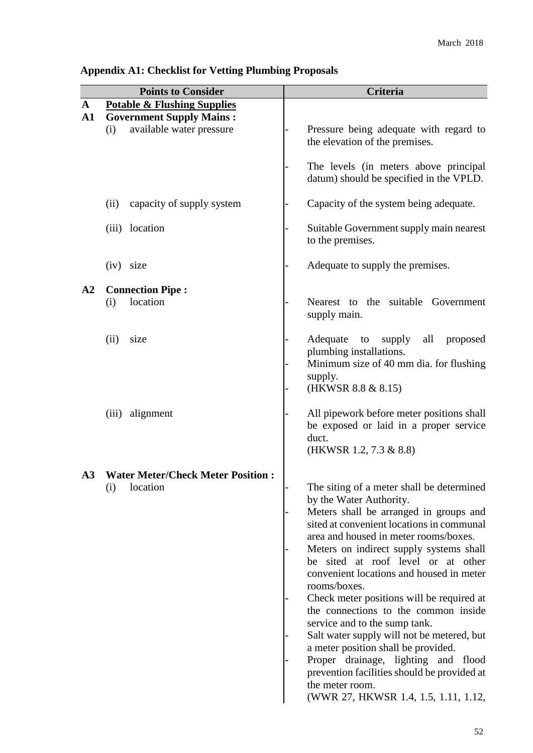| <b>Points to Consider</b>                                 | <b>Criteria</b>                                                                                                                                                                                                                                                                                                                                                                                                                                                                                                                                                                                                                                                                                               |  |
|-----------------------------------------------------------|---------------------------------------------------------------------------------------------------------------------------------------------------------------------------------------------------------------------------------------------------------------------------------------------------------------------------------------------------------------------------------------------------------------------------------------------------------------------------------------------------------------------------------------------------------------------------------------------------------------------------------------------------------------------------------------------------------------|--|
| <b>Potable &amp; Flushing Supplies</b><br>$\mathbf{A}$    |                                                                                                                                                                                                                                                                                                                                                                                                                                                                                                                                                                                                                                                                                                               |  |
| $\mathbf{A1}$<br><b>Government Supply Mains:</b>          |                                                                                                                                                                                                                                                                                                                                                                                                                                                                                                                                                                                                                                                                                                               |  |
| available water pressure<br>(i)                           | Pressure being adequate with regard to<br>the elevation of the premises.                                                                                                                                                                                                                                                                                                                                                                                                                                                                                                                                                                                                                                      |  |
|                                                           | The levels (in meters above principal<br>datum) should be specified in the VPLD.                                                                                                                                                                                                                                                                                                                                                                                                                                                                                                                                                                                                                              |  |
| capacity of supply system<br>(ii)                         | Capacity of the system being adequate.                                                                                                                                                                                                                                                                                                                                                                                                                                                                                                                                                                                                                                                                        |  |
| (iii) location                                            | Suitable Government supply main nearest<br>to the premises.                                                                                                                                                                                                                                                                                                                                                                                                                                                                                                                                                                                                                                                   |  |
| (iv)<br>size                                              | Adequate to supply the premises.                                                                                                                                                                                                                                                                                                                                                                                                                                                                                                                                                                                                                                                                              |  |
| A2<br><b>Connection Pipe:</b>                             |                                                                                                                                                                                                                                                                                                                                                                                                                                                                                                                                                                                                                                                                                                               |  |
| location<br>(i)                                           | Nearest to the suitable Government<br>supply main.                                                                                                                                                                                                                                                                                                                                                                                                                                                                                                                                                                                                                                                            |  |
| (ii)<br>size                                              | supply<br>all<br>Adequate<br>to<br>proposed<br>plumbing installations.<br>Minimum size of 40 mm dia. for flushing<br>supply.<br>(HKWSR 8.8 & 8.15)                                                                                                                                                                                                                                                                                                                                                                                                                                                                                                                                                            |  |
| alignment<br>(iii)                                        | All pipework before meter positions shall<br>be exposed or laid in a proper service<br>duct.<br>(HKWSR 1.2, 7.3 & 8.8)                                                                                                                                                                                                                                                                                                                                                                                                                                                                                                                                                                                        |  |
| <b>Water Meter/Check Meter Position:</b><br>$\mathbf{A}3$ |                                                                                                                                                                                                                                                                                                                                                                                                                                                                                                                                                                                                                                                                                                               |  |
| location<br>$\left( i\right)$                             | The siting of a meter shall be determined<br>by the Water Authority.<br>Meters shall be arranged in groups and<br>sited at convenient locations in communal<br>area and housed in meter rooms/boxes.<br>Meters on indirect supply systems shall<br>be sited at roof level or at other<br>convenient locations and housed in meter<br>rooms/boxes.<br>Check meter positions will be required at<br>the connections to the common inside<br>service and to the sump tank.<br>Salt water supply will not be metered, but<br>a meter position shall be provided.<br>Proper drainage, lighting and flood<br>prevention facilities should be provided at<br>the meter room.<br>(WWR 27, HKWSR 1.4, 1.5, 1.11, 1.12, |  |

# **Appendix A1: Checklist for Vetting Plumbing Proposals**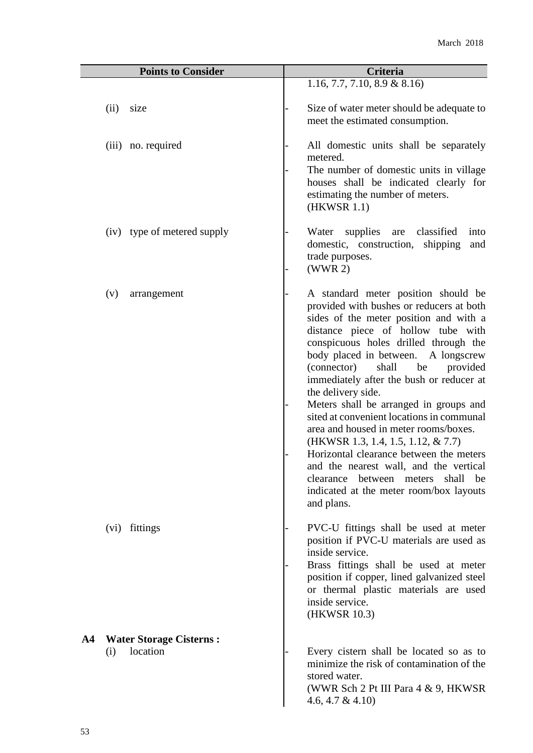|                   | <b>Points to Consider</b>                  | Criteria                                                                                                                                                                                                                                                                                                                                                                                                                                                                                                                                                                                                                                                                                                                      |
|-------------------|--------------------------------------------|-------------------------------------------------------------------------------------------------------------------------------------------------------------------------------------------------------------------------------------------------------------------------------------------------------------------------------------------------------------------------------------------------------------------------------------------------------------------------------------------------------------------------------------------------------------------------------------------------------------------------------------------------------------------------------------------------------------------------------|
|                   |                                            | 1.16, 7.7, 7.10, 8.9 & 8.16                                                                                                                                                                                                                                                                                                                                                                                                                                                                                                                                                                                                                                                                                                   |
|                   | (ii)<br>size                               | Size of water meter should be adequate to<br>meet the estimated consumption.                                                                                                                                                                                                                                                                                                                                                                                                                                                                                                                                                                                                                                                  |
|                   | no. required<br>(iii)                      | All domestic units shall be separately<br>metered.<br>The number of domestic units in village<br>houses shall be indicated clearly for<br>estimating the number of meters.<br>(HKWSR 1.1)                                                                                                                                                                                                                                                                                                                                                                                                                                                                                                                                     |
|                   | (iv) type of metered supply                | Water<br>supplies<br>classified<br>are<br>into<br>domestic, construction,<br>shipping<br>and<br>trade purposes.<br>(WWR 2)                                                                                                                                                                                                                                                                                                                                                                                                                                                                                                                                                                                                    |
|                   | (v)<br>arrangement                         | A standard meter position should be<br>provided with bushes or reducers at both<br>sides of the meter position and with a<br>distance piece of hollow tube with<br>conspicuous holes drilled through the<br>body placed in between.<br>A longscrew<br>(connector)<br>shall<br>be<br>provided<br>immediately after the bush or reducer at<br>the delivery side.<br>Meters shall be arranged in groups and<br>sited at convenient locations in communal<br>area and housed in meter rooms/boxes.<br>(HKWSR 1.3, 1.4, 1.5, 1.12, & 7.7)<br>Horizontal clearance between the meters<br>and the nearest wall, and the vertical<br>clearance between meters<br>shall<br>be<br>indicated at the meter room/box layouts<br>and plans. |
|                   | fittings<br>(vi)                           | PVC-U fittings shall be used at meter<br>position if PVC-U materials are used as<br>inside service.<br>Brass fittings shall be used at meter<br>position if copper, lined galvanized steel<br>or thermal plastic materials are used<br>inside service.<br>(HKWSR 10.3)                                                                                                                                                                                                                                                                                                                                                                                                                                                        |
| ${\bf A4}$<br>(i) | <b>Water Storage Cisterns:</b><br>location | Every cistern shall be located so as to<br>minimize the risk of contamination of the<br>stored water.<br>(WWR Sch 2 Pt III Para 4 & 9, HKWSR)<br>4.6, 4.7 & 4.10)                                                                                                                                                                                                                                                                                                                                                                                                                                                                                                                                                             |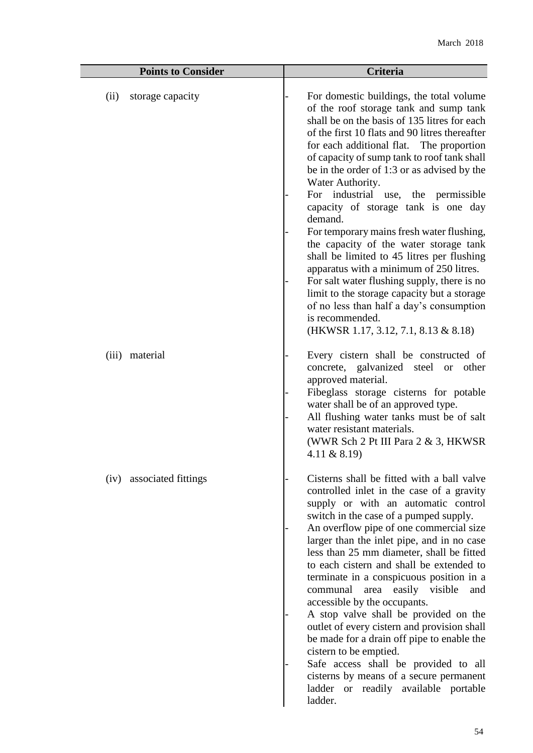| <b>Points to Consider</b> | <b>Criteria</b>                                                                                                                                                                                                                                                                                                                                                                                                                                                                                                                                                                                                                                                                                                                                                                        |
|---------------------------|----------------------------------------------------------------------------------------------------------------------------------------------------------------------------------------------------------------------------------------------------------------------------------------------------------------------------------------------------------------------------------------------------------------------------------------------------------------------------------------------------------------------------------------------------------------------------------------------------------------------------------------------------------------------------------------------------------------------------------------------------------------------------------------|
| (ii)<br>storage capacity  | For domestic buildings, the total volume<br>of the roof storage tank and sump tank<br>shall be on the basis of 135 litres for each<br>of the first 10 flats and 90 litres thereafter<br>for each additional flat. The proportion<br>of capacity of sump tank to roof tank shall<br>be in the order of 1:3 or as advised by the<br>Water Authority.<br>For industrial use, the permissible                                                                                                                                                                                                                                                                                                                                                                                              |
|                           | capacity of storage tank is one day<br>demand.<br>For temporary mains fresh water flushing,<br>the capacity of the water storage tank<br>shall be limited to 45 litres per flushing<br>apparatus with a minimum of 250 litres.<br>For salt water flushing supply, there is no<br>limit to the storage capacity but a storage<br>of no less than half a day's consumption<br>is recommended.<br>(HKWSR 1.17, 3.12, 7.1, 8.13 & 8.18)                                                                                                                                                                                                                                                                                                                                                    |
| (iii) material            | Every cistern shall be constructed of<br>concrete, galvanized steel or<br>other<br>approved material.<br>Fibeglass storage cisterns for potable<br>water shall be of an approved type.<br>All flushing water tanks must be of salt<br>water resistant materials.<br>(WWR Sch 2 Pt III Para 2 & 3, HKWSR<br>4.11 & 8.19)                                                                                                                                                                                                                                                                                                                                                                                                                                                                |
| (iv) associated fittings  | Cisterns shall be fitted with a ball valve<br>controlled inlet in the case of a gravity<br>supply or with an automatic control<br>switch in the case of a pumped supply.<br>An overflow pipe of one commercial size<br>larger than the inlet pipe, and in no case<br>less than 25 mm diameter, shall be fitted<br>to each cistern and shall be extended to<br>terminate in a conspicuous position in a<br>area easily visible<br>and<br>communal<br>accessible by the occupants.<br>A stop valve shall be provided on the<br>outlet of every cistern and provision shall<br>be made for a drain off pipe to enable the<br>cistern to be emptied.<br>Safe access shall be provided to all<br>cisterns by means of a secure permanent<br>ladder or readily available portable<br>ladder. |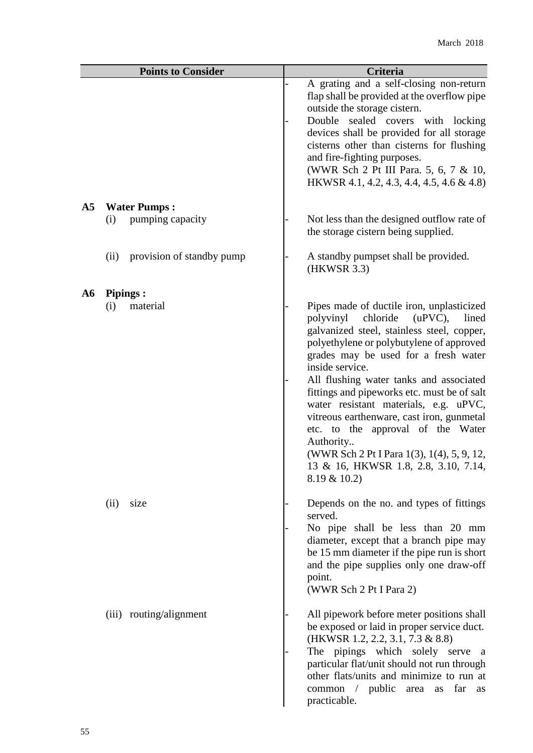|                | <b>Points to Consider</b>                      | Criteria                                                                                                                                                                                                                                                                                                                                                                                                                                                                                                                                                                                 |
|----------------|------------------------------------------------|------------------------------------------------------------------------------------------------------------------------------------------------------------------------------------------------------------------------------------------------------------------------------------------------------------------------------------------------------------------------------------------------------------------------------------------------------------------------------------------------------------------------------------------------------------------------------------------|
|                |                                                | A grating and a self-closing non-return<br>flap shall be provided at the overflow pipe<br>outside the storage cistern.<br>Double sealed covers with locking<br>devices shall be provided for all storage<br>cisterns other than cisterns for flushing<br>and fire-fighting purposes.<br>(WWR Sch 2 Pt III Para. 5, 6, 7 & 10,<br>HKWSR 4.1, 4.2, 4.3, 4.4, 4.5, 4.6 & 4.8)                                                                                                                                                                                                               |
| A <sub>5</sub> | <b>Water Pumps:</b><br>pumping capacity<br>(i) | Not less than the designed outflow rate of<br>the storage cistern being supplied.                                                                                                                                                                                                                                                                                                                                                                                                                                                                                                        |
|                | provision of standby pump<br>(ii)              | A standby pumpset shall be provided.<br>(HKWSR 3.3)                                                                                                                                                                                                                                                                                                                                                                                                                                                                                                                                      |
| ${\bf A6}$     | <b>Pipings:</b>                                |                                                                                                                                                                                                                                                                                                                                                                                                                                                                                                                                                                                          |
|                | (i)<br>material                                | Pipes made of ductile iron, unplasticized<br>polyvinyl<br>chloride<br>$(uPVC)$ ,<br>lined<br>galvanized steel, stainless steel, copper,<br>polyethylene or polybutylene of approved<br>grades may be used for a fresh water<br>inside service.<br>All flushing water tanks and associated<br>fittings and pipeworks etc. must be of salt<br>water resistant materials, e.g. uPVC,<br>vitreous earthenware, cast iron, gunmetal<br>etc. to the approval of the Water<br>Authority<br>(WWR Sch 2 Pt I Para 1(3), 1(4), 5, 9, 12,<br>13 & 16, HKWSR 1.8, 2.8, 3.10, 7.14,<br>$8.19 \& 10.2$ |
|                |                                                |                                                                                                                                                                                                                                                                                                                                                                                                                                                                                                                                                                                          |
|                | (ii)<br>size                                   | Depends on the no. and types of fittings<br>served.<br>No pipe shall be less than 20 mm<br>diameter, except that a branch pipe may<br>be 15 mm diameter if the pipe run is short<br>and the pipe supplies only one draw-off<br>point.<br>(WWR Sch 2 Pt I Para 2)                                                                                                                                                                                                                                                                                                                         |
|                | (iii) routing/alignment                        | All pipework before meter positions shall<br>be exposed or laid in proper service duct.<br>(HKWSR 1.2, 2.2, 3.1, 7.3 & 8.8)<br>The pipings which solely serve a<br>particular flat/unit should not run through<br>other flats/units and minimize to run at<br>common / public<br>area<br>far<br>as<br>as<br>practicable.                                                                                                                                                                                                                                                                 |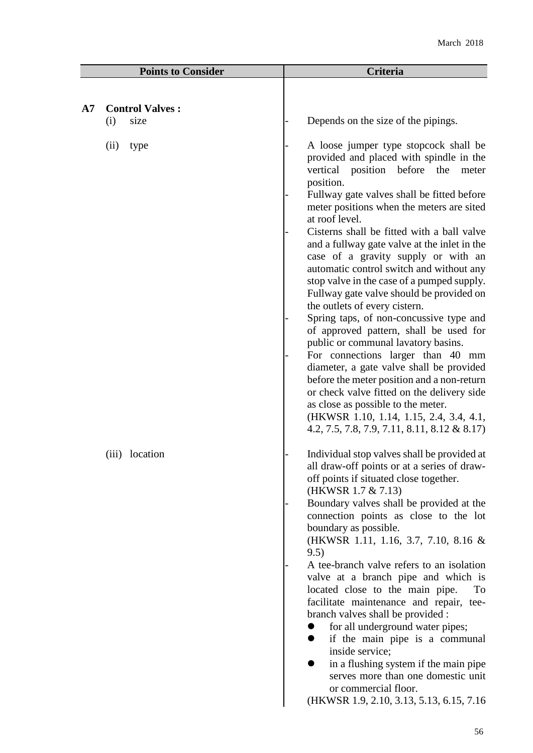|    | <b>Points to Consider</b> | <b>Criteria</b>                                                                                                                                                                                                                                                                                                                                                                                                                                                                                                                                                                                                                                                                                                                                      |
|----|---------------------------|------------------------------------------------------------------------------------------------------------------------------------------------------------------------------------------------------------------------------------------------------------------------------------------------------------------------------------------------------------------------------------------------------------------------------------------------------------------------------------------------------------------------------------------------------------------------------------------------------------------------------------------------------------------------------------------------------------------------------------------------------|
|    |                           |                                                                                                                                                                                                                                                                                                                                                                                                                                                                                                                                                                                                                                                                                                                                                      |
| A7 | <b>Control Valves:</b>    |                                                                                                                                                                                                                                                                                                                                                                                                                                                                                                                                                                                                                                                                                                                                                      |
|    | size<br>(i)               | Depends on the size of the pipings.                                                                                                                                                                                                                                                                                                                                                                                                                                                                                                                                                                                                                                                                                                                  |
|    |                           |                                                                                                                                                                                                                                                                                                                                                                                                                                                                                                                                                                                                                                                                                                                                                      |
|    | (ii)<br>type              | A loose jumper type stopcock shall be<br>provided and placed with spindle in the<br>vertical position<br>before<br>the<br>meter<br>position.                                                                                                                                                                                                                                                                                                                                                                                                                                                                                                                                                                                                         |
|    |                           | Fullway gate valves shall be fitted before<br>meter positions when the meters are sited<br>at roof level.                                                                                                                                                                                                                                                                                                                                                                                                                                                                                                                                                                                                                                            |
|    |                           | Cisterns shall be fitted with a ball valve<br>and a fullway gate valve at the inlet in the<br>case of a gravity supply or with an<br>automatic control switch and without any<br>stop valve in the case of a pumped supply.<br>Fullway gate valve should be provided on<br>the outlets of every cistern.<br>Spring taps, of non-concussive type and<br>of approved pattern, shall be used for<br>public or communal lavatory basins.<br>For connections larger than 40 mm<br>diameter, a gate valve shall be provided<br>before the meter position and a non-return<br>or check valve fitted on the delivery side<br>as close as possible to the meter.<br>(HKWSR 1.10, 1.14, 1.15, 2.4, 3.4, 4.1,<br>$4.2, 7.5, 7.8, 7.9, 7.11, 8.11, 8.12 \& 8.17$ |
|    | location<br>(iii)         | Individual stop valves shall be provided at<br>all draw-off points or at a series of draw-<br>off points if situated close together.<br>(HKWSR 1.7 & 7.13)<br>Boundary valves shall be provided at the<br>connection points as close to the lot<br>boundary as possible.<br>(HKWSR 1.11, 1.16, 3.7, 7.10, 8.16 &<br>9.5)<br>A tee-branch valve refers to an isolation<br>valve at a branch pipe and which is<br>located close to the main pipe.<br>To<br>facilitate maintenance and repair, tee-<br>branch valves shall be provided :<br>for all underground water pipes;<br>if the main pipe is a communal<br>inside service;                                                                                                                       |
|    |                           | in a flushing system if the main pipe<br>serves more than one domestic unit<br>or commercial floor.<br>(HKWSR 1.9, 2.10, 3.13, 5.13, 6.15, 7.16)                                                                                                                                                                                                                                                                                                                                                                                                                                                                                                                                                                                                     |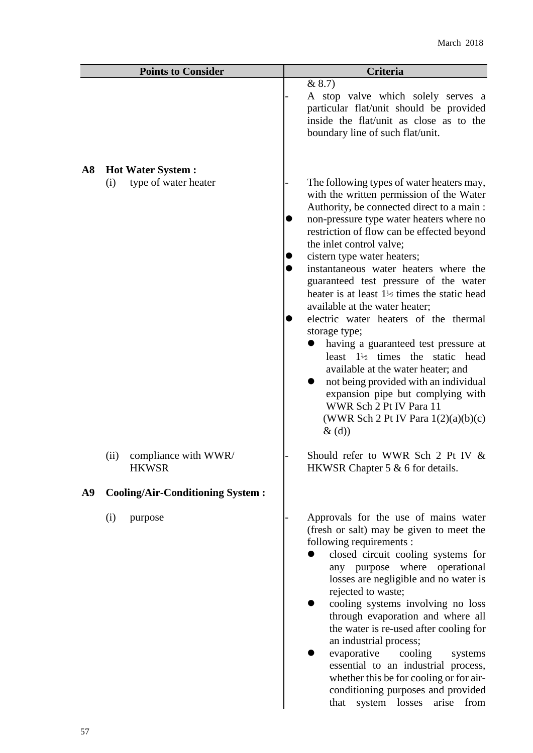|            | <b>Points to Consider</b>                               | Criteria                                                                                                                                                                                                                                                                                                                                                                                                                                                                                                                                                                                                                                                                                                                                                                                                                          |
|------------|---------------------------------------------------------|-----------------------------------------------------------------------------------------------------------------------------------------------------------------------------------------------------------------------------------------------------------------------------------------------------------------------------------------------------------------------------------------------------------------------------------------------------------------------------------------------------------------------------------------------------------------------------------------------------------------------------------------------------------------------------------------------------------------------------------------------------------------------------------------------------------------------------------|
|            |                                                         | & 8.7)<br>A stop valve which solely serves a<br>particular flat/unit should be provided<br>inside the flat/unit as close as to the<br>boundary line of such flat/unit.                                                                                                                                                                                                                                                                                                                                                                                                                                                                                                                                                                                                                                                            |
| ${\bf A8}$ | <b>Hot Water System:</b><br>type of water heater<br>(i) | The following types of water heaters may,<br>with the written permission of the Water<br>Authority, be connected direct to a main :<br>non-pressure type water heaters where no<br>●<br>restriction of flow can be effected beyond<br>the inlet control valve;<br>cistern type water heaters;<br>instantaneous water heaters where the<br>guaranteed test pressure of the water<br>heater is at least $1\frac{1}{2}$ times the static head<br>available at the water heater;<br>electric water heaters of the thermal<br>storage type;<br>having a guaranteed test pressure at<br>least $1\frac{1}{2}$ times the static head<br>available at the water heater; and<br>not being provided with an individual<br>expansion pipe but complying with<br>WWR Sch 2 Pt IV Para 11<br>(WWR Sch 2 Pt IV Para $1(2)(a)(b)(c)$<br>$\&$ (d)) |
|            | (ii)<br>compliance with WWR/<br><b>HKWSR</b>            | Should refer to WWR Sch 2 Pt IV &<br>HKWSR Chapter $5 & 6$ for details.                                                                                                                                                                                                                                                                                                                                                                                                                                                                                                                                                                                                                                                                                                                                                           |
| A9         | <b>Cooling/Air-Conditioning System:</b>                 |                                                                                                                                                                                                                                                                                                                                                                                                                                                                                                                                                                                                                                                                                                                                                                                                                                   |
|            | (i)<br>purpose                                          | Approvals for the use of mains water<br>(fresh or salt) may be given to meet the<br>following requirements :<br>closed circuit cooling systems for<br>any purpose where operational<br>losses are negligible and no water is<br>rejected to waste;<br>cooling systems involving no loss<br>through evaporation and where all<br>the water is re-used after cooling for<br>an industrial process;<br>evaporative<br>cooling<br>systems<br>essential to an industrial process,<br>whether this be for cooling or for air-<br>conditioning purposes and provided<br>system losses<br>that<br>arise<br>from                                                                                                                                                                                                                           |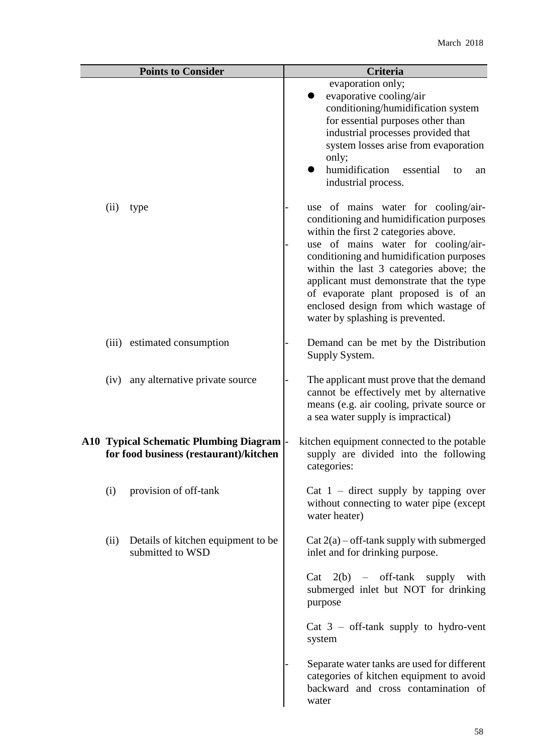|      | <b>Points to Consider</b>                                                               | <b>Criteria</b>                                                                                                                                                                                                                                                                                                                                                                                                        |
|------|-----------------------------------------------------------------------------------------|------------------------------------------------------------------------------------------------------------------------------------------------------------------------------------------------------------------------------------------------------------------------------------------------------------------------------------------------------------------------------------------------------------------------|
|      |                                                                                         | evaporation only;<br>evaporative cooling/air<br>conditioning/humidification system<br>for essential purposes other than<br>industrial processes provided that<br>system losses arise from evaporation<br>only;<br>humidification<br>essential<br>to<br>an<br>industrial process.                                                                                                                                       |
| (ii) | type                                                                                    | use of mains water for cooling/air-<br>conditioning and humidification purposes<br>within the first 2 categories above.<br>use of mains water for cooling/air-<br>conditioning and humidification purposes<br>within the last 3 categories above; the<br>applicant must demonstrate that the type<br>of evaporate plant proposed is of an<br>enclosed design from which wastage of<br>water by splashing is prevented. |
|      | (iii) estimated consumption                                                             | Demand can be met by the Distribution<br>Supply System.                                                                                                                                                                                                                                                                                                                                                                |
| (iv) | any alternative private source                                                          | The applicant must prove that the demand<br>cannot be effectively met by alternative<br>means (e.g. air cooling, private source or<br>a sea water supply is impractical)                                                                                                                                                                                                                                               |
|      | <b>A10 Typical Schematic Plumbing Diagram</b><br>for food business (restaurant)/kitchen | kitchen equipment connected to the potable<br>supply are divided into the following<br>categories:                                                                                                                                                                                                                                                                                                                     |
| (i)  | provision of off-tank                                                                   | Cat $1$ – direct supply by tapping over<br>without connecting to water pipe (except<br>water heater)                                                                                                                                                                                                                                                                                                                   |
| (ii) | Details of kitchen equipment to be<br>submitted to WSD                                  | $Cat 2(a) - off-tank supply with submerged$<br>inlet and for drinking purpose.                                                                                                                                                                                                                                                                                                                                         |
|      |                                                                                         | Cat $2(b)$ – off-tank supply with<br>submerged inlet but NOT for drinking<br>purpose                                                                                                                                                                                                                                                                                                                                   |
|      |                                                                                         | Cat $3$ – off-tank supply to hydro-vent<br>system                                                                                                                                                                                                                                                                                                                                                                      |
|      |                                                                                         | Separate water tanks are used for different<br>categories of kitchen equipment to avoid<br>backward and cross contamination of<br>water                                                                                                                                                                                                                                                                                |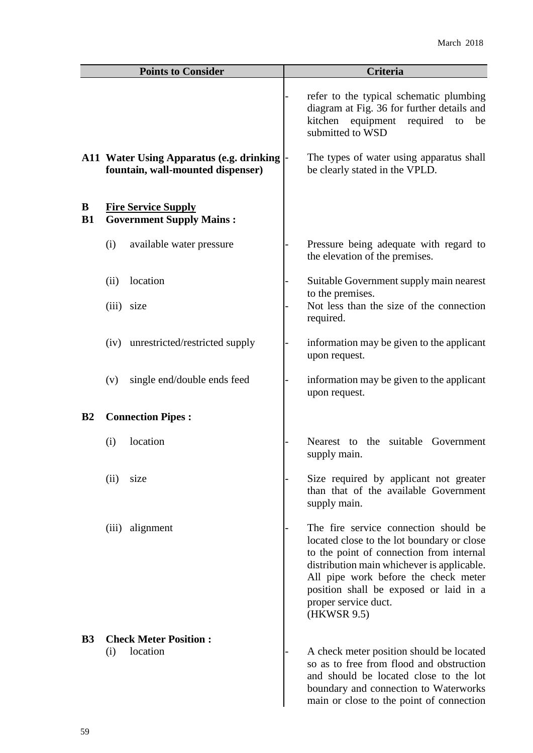| <b>Points to Consider</b> |       | Criteria                                                                      |                                                                                                                                                                                                                                                                                                        |
|---------------------------|-------|-------------------------------------------------------------------------------|--------------------------------------------------------------------------------------------------------------------------------------------------------------------------------------------------------------------------------------------------------------------------------------------------------|
|                           |       |                                                                               | refer to the typical schematic plumbing<br>diagram at Fig. 36 for further details and<br>equipment<br>kitchen<br>required<br>to<br>be<br>submitted to WSD                                                                                                                                              |
|                           |       | A11 Water Using Apparatus (e.g. drinking<br>fountain, wall-mounted dispenser) | The types of water using apparatus shall<br>be clearly stated in the VPLD.                                                                                                                                                                                                                             |
| B<br>B1                   |       | <b>Fire Service Supply</b><br><b>Government Supply Mains:</b>                 |                                                                                                                                                                                                                                                                                                        |
|                           | (i)   | available water pressure                                                      | Pressure being adequate with regard to<br>the elevation of the premises.                                                                                                                                                                                                                               |
|                           | (ii)  | location                                                                      | Suitable Government supply main nearest                                                                                                                                                                                                                                                                |
|                           | (iii) | size                                                                          | to the premises.<br>Not less than the size of the connection<br>required.                                                                                                                                                                                                                              |
|                           | (iv)  | unrestricted/restricted supply                                                | information may be given to the applicant<br>upon request.                                                                                                                                                                                                                                             |
|                           | (v)   | single end/double ends feed                                                   | information may be given to the applicant<br>upon request.                                                                                                                                                                                                                                             |
| B <sub>2</sub>            |       | <b>Connection Pipes:</b>                                                      |                                                                                                                                                                                                                                                                                                        |
|                           | (i)   | location                                                                      | suitable Government<br>the<br>Nearest to<br>supply main.                                                                                                                                                                                                                                               |
|                           | (ii)  | size                                                                          | Size required by applicant not greater<br>than that of the available Government<br>supply main.                                                                                                                                                                                                        |
|                           | (iii) | alignment                                                                     | The fire service connection should be<br>located close to the lot boundary or close<br>to the point of connection from internal<br>distribution main whichever is applicable.<br>All pipe work before the check meter<br>position shall be exposed or laid in a<br>proper service duct.<br>(HKWSR 9.5) |
| <b>B3</b>                 | (i)   | <b>Check Meter Position:</b><br>location                                      | A check meter position should be located<br>so as to free from flood and obstruction<br>and should be located close to the lot<br>boundary and connection to Waterworks                                                                                                                                |

main or close to the point of connection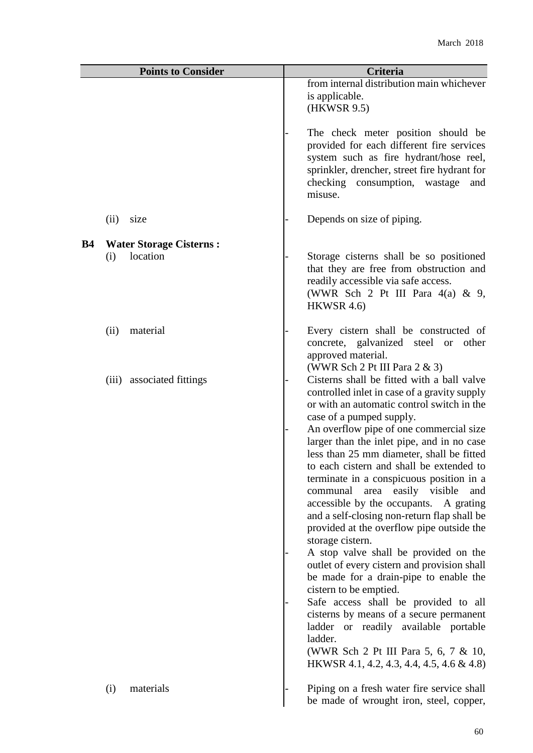| <b>Points to Consider</b> |       | <b>Criteria</b>                |  |                                                                                                                                                                                                                                                                                                                                                                                                                                                                                                                                                                                                                                                                                                                                                                                                                                                                                                                                                                                            |
|---------------------------|-------|--------------------------------|--|--------------------------------------------------------------------------------------------------------------------------------------------------------------------------------------------------------------------------------------------------------------------------------------------------------------------------------------------------------------------------------------------------------------------------------------------------------------------------------------------------------------------------------------------------------------------------------------------------------------------------------------------------------------------------------------------------------------------------------------------------------------------------------------------------------------------------------------------------------------------------------------------------------------------------------------------------------------------------------------------|
|                           |       |                                |  | from internal distribution main whichever<br>is applicable.<br>(HKWSR 9.5)                                                                                                                                                                                                                                                                                                                                                                                                                                                                                                                                                                                                                                                                                                                                                                                                                                                                                                                 |
|                           |       |                                |  | The check meter position should be<br>provided for each different fire services<br>system such as fire hydrant/hose reel,<br>sprinkler, drencher, street fire hydrant for<br>checking consumption, wastage<br>and<br>misuse.                                                                                                                                                                                                                                                                                                                                                                                                                                                                                                                                                                                                                                                                                                                                                               |
|                           | (ii)  | size                           |  | Depends on size of piping.                                                                                                                                                                                                                                                                                                                                                                                                                                                                                                                                                                                                                                                                                                                                                                                                                                                                                                                                                                 |
| <b>B4</b>                 |       | <b>Water Storage Cisterns:</b> |  |                                                                                                                                                                                                                                                                                                                                                                                                                                                                                                                                                                                                                                                                                                                                                                                                                                                                                                                                                                                            |
|                           | (i)   | location                       |  | Storage cisterns shall be so positioned<br>that they are free from obstruction and<br>readily accessible via safe access.<br>(WWR Sch 2 Pt III Para $4(a)$ & 9,<br><b>HKWSR 4.6)</b>                                                                                                                                                                                                                                                                                                                                                                                                                                                                                                                                                                                                                                                                                                                                                                                                       |
|                           | (ii)  | material                       |  | Every cistern shall be constructed of<br>concrete, galvanized steel<br>other<br><b>or</b><br>approved material.<br>(WWR Sch 2 Pt III Para $2 \& 3$ )                                                                                                                                                                                                                                                                                                                                                                                                                                                                                                                                                                                                                                                                                                                                                                                                                                       |
|                           | (iii) | associated fittings            |  | Cisterns shall be fitted with a ball valve<br>controlled inlet in case of a gravity supply<br>or with an automatic control switch in the<br>case of a pumped supply.<br>An overflow pipe of one commercial size<br>larger than the inlet pipe, and in no case<br>less than 25 mm diameter, shall be fitted<br>to each cistern and shall be extended to<br>terminate in a conspicuous position in a<br>communal area easily visible<br>and<br>accessible by the occupants. A grating<br>and a self-closing non-return flap shall be<br>provided at the overflow pipe outside the<br>storage cistern.<br>A stop valve shall be provided on the<br>outlet of every cistern and provision shall<br>be made for a drain-pipe to enable the<br>cistern to be emptied.<br>Safe access shall be provided to all<br>cisterns by means of a secure permanent<br>ladder or readily available portable<br>ladder.<br>(WWR Sch 2 Pt III Para 5, 6, 7 & 10,<br>HKWSR 4.1, 4.2, 4.3, 4.4, 4.5, 4.6 & 4.8) |
|                           | (i)   | materials                      |  | Piping on a fresh water fire service shall<br>be made of wrought iron, steel, copper,                                                                                                                                                                                                                                                                                                                                                                                                                                                                                                                                                                                                                                                                                                                                                                                                                                                                                                      |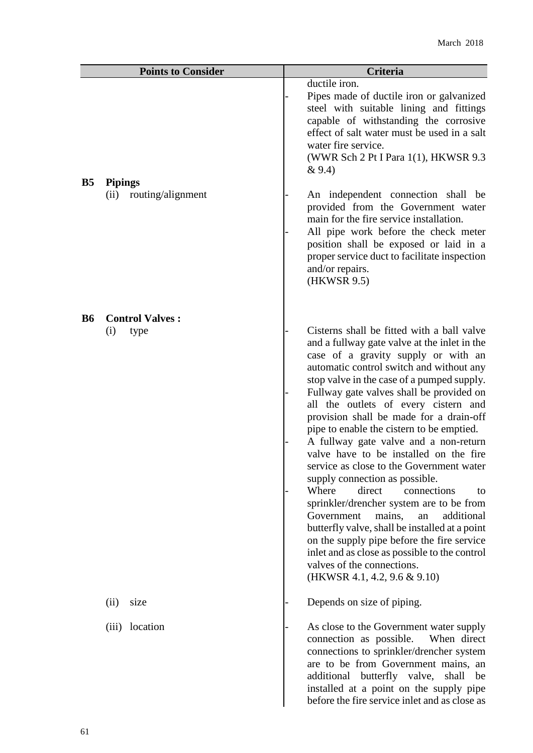|                | <b>Points to Consider</b>             | <b>Criteria</b>                                                                                                                                                                                                                                                                                                                                                                                                                                                                                                                                                                                                                                                                                                                                                                                                                                                                                                         |
|----------------|---------------------------------------|-------------------------------------------------------------------------------------------------------------------------------------------------------------------------------------------------------------------------------------------------------------------------------------------------------------------------------------------------------------------------------------------------------------------------------------------------------------------------------------------------------------------------------------------------------------------------------------------------------------------------------------------------------------------------------------------------------------------------------------------------------------------------------------------------------------------------------------------------------------------------------------------------------------------------|
| B <sub>5</sub> | <b>Pipings</b>                        | ductile iron.<br>Pipes made of ductile iron or galvanized<br>steel with suitable lining and fittings<br>capable of withstanding the corrosive<br>effect of salt water must be used in a salt<br>water fire service.<br>(WWR Sch 2 Pt I Para 1(1), HKWSR 9.3<br>& 9.4)                                                                                                                                                                                                                                                                                                                                                                                                                                                                                                                                                                                                                                                   |
|                | routing/alignment<br>(ii)             | An independent connection shall be<br>provided from the Government water<br>main for the fire service installation.<br>All pipe work before the check meter<br>position shall be exposed or laid in a<br>proper service duct to facilitate inspection<br>and/or repairs.<br>(HKWSR 9.5)                                                                                                                                                                                                                                                                                                                                                                                                                                                                                                                                                                                                                                 |
| <b>B6</b>      | <b>Control Valves:</b><br>(i)<br>type | Cisterns shall be fitted with a ball valve<br>and a fullway gate valve at the inlet in the<br>case of a gravity supply or with an<br>automatic control switch and without any<br>stop valve in the case of a pumped supply.<br>Fullway gate valves shall be provided on<br>all the outlets of every cistern and<br>provision shall be made for a drain-off<br>pipe to enable the cistern to be emptied.<br>A fullway gate valve and a non-return<br>valve have to be installed on the fire<br>service as close to the Government water<br>supply connection as possible.<br>direct<br>Where<br>connections<br>to<br>sprinkler/drencher system are to be from<br>mains,<br>additional<br>Government<br>an<br>butterfly valve, shall be installed at a point<br>on the supply pipe before the fire service<br>inlet and as close as possible to the control<br>valves of the connections.<br>(HKWSR 4.1, 4.2, 9.6 & 9.10) |
|                | (ii)<br>size                          | Depends on size of piping.                                                                                                                                                                                                                                                                                                                                                                                                                                                                                                                                                                                                                                                                                                                                                                                                                                                                                              |
|                | (iii) location                        | As close to the Government water supply<br>connection as possible.<br>When direct<br>connections to sprinkler/drencher system<br>are to be from Government mains, an<br>additional butterfly valve,<br>shall be<br>installed at a point on the supply pipe<br>before the fire service inlet and as close as                                                                                                                                                                                                                                                                                                                                                                                                                                                                                                                                                                                                             |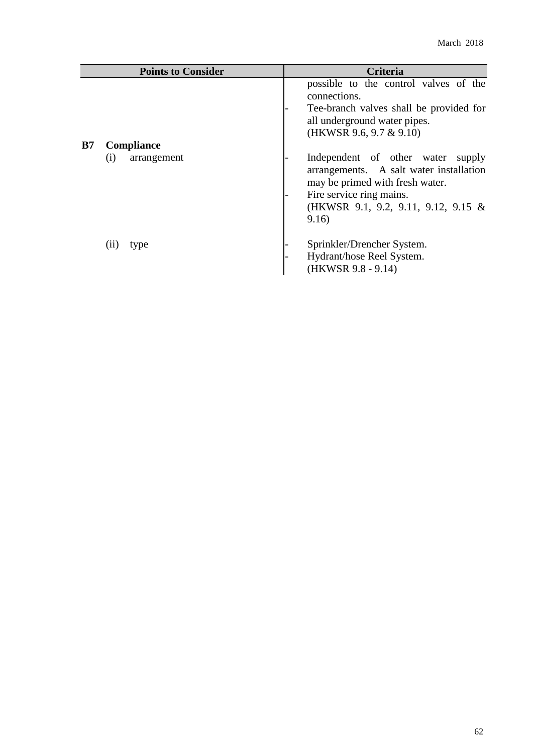| <b>Points to Consider</b> |                    | Criteria                                                                                                                                                                                       |  |  |
|---------------------------|--------------------|------------------------------------------------------------------------------------------------------------------------------------------------------------------------------------------------|--|--|
| B7                        | Compliance         | possible to the control valves of the<br>connections.<br>Tee-branch valves shall be provided for<br>all underground water pipes.<br>(HKWSR 9.6, 9.7 & 9.10)                                    |  |  |
|                           | arrangement<br>(i) | Independent of other water<br>supply<br>arrangements. A salt water installation<br>may be primed with fresh water.<br>Fire service ring mains.<br>(HKWSR 9.1, 9.2, 9.11, 9.12, 9.15 &<br>9.16) |  |  |
|                           | (ii)<br>type       | Sprinkler/Drencher System.<br>Hydrant/hose Reel System.<br>(HKWSR 9.8 - 9.14)                                                                                                                  |  |  |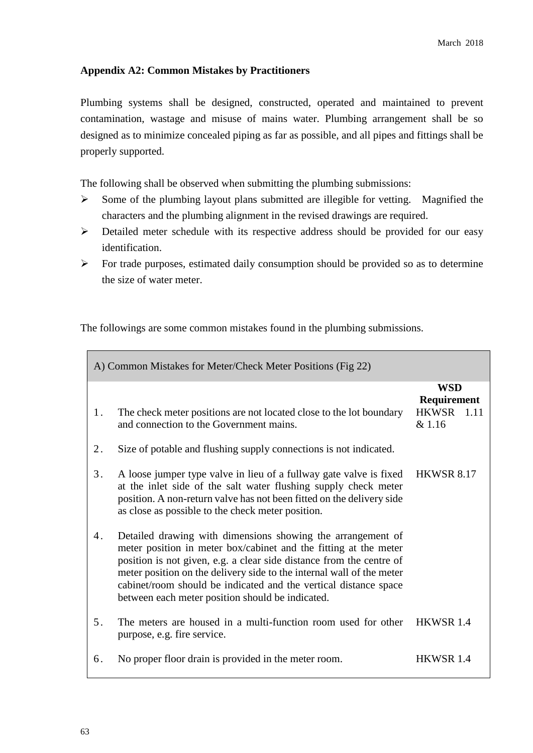## **Appendix A2: Common Mistakes by Practitioners**

Plumbing systems shall be designed, constructed, operated and maintained to prevent contamination, wastage and misuse of mains water. Plumbing arrangement shall be so designed as to minimize concealed piping as far as possible, and all pipes and fittings shall be properly supported.

The following shall be observed when submitting the plumbing submissions:

- $\triangleright$  Some of the plumbing layout plans submitted are illegible for vetting. Magnified the characters and the plumbing alignment in the revised drawings are required.
- $\triangleright$  Detailed meter schedule with its respective address should be provided for our easy identification.
- $\triangleright$  For trade purposes, estimated daily consumption should be provided so as to determine the size of water meter.

The followings are some common mistakes found in the plumbing submissions.

| A) Common Mistakes for Meter/Check Meter Positions (Fig 22) |                                                                                                                                                                                                                                                                                                                                                                                                          |                                                                    |  |  |
|-------------------------------------------------------------|----------------------------------------------------------------------------------------------------------------------------------------------------------------------------------------------------------------------------------------------------------------------------------------------------------------------------------------------------------------------------------------------------------|--------------------------------------------------------------------|--|--|
| 1.                                                          | The check meter positions are not located close to the lot boundary<br>and connection to the Government mains.                                                                                                                                                                                                                                                                                           | <b>WSD</b><br><b>Requirement</b><br><b>HKWSR</b><br>1.11<br>& 1.16 |  |  |
| 2.                                                          | Size of potable and flushing supply connections is not indicated.                                                                                                                                                                                                                                                                                                                                        |                                                                    |  |  |
| 3.                                                          | A loose jumper type valve in lieu of a fullway gate valve is fixed<br>at the inlet side of the salt water flushing supply check meter<br>position. A non-return valve has not been fitted on the delivery side<br>as close as possible to the check meter position.                                                                                                                                      | <b>HKWSR 8.17</b>                                                  |  |  |
| 4.                                                          | Detailed drawing with dimensions showing the arrangement of<br>meter position in meter box/cabinet and the fitting at the meter<br>position is not given, e.g. a clear side distance from the centre of<br>meter position on the delivery side to the internal wall of the meter<br>cabinet/room should be indicated and the vertical distance space<br>between each meter position should be indicated. |                                                                    |  |  |
| 5.                                                          | The meters are housed in a multi-function room used for other<br>purpose, e.g. fire service.                                                                                                                                                                                                                                                                                                             | HKWSR 1.4                                                          |  |  |
| 6.                                                          | No proper floor drain is provided in the meter room.                                                                                                                                                                                                                                                                                                                                                     | HKWSR 1.4                                                          |  |  |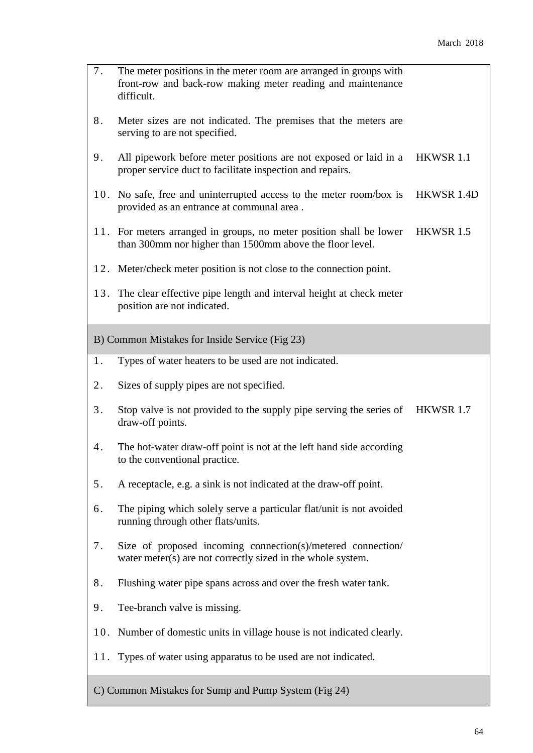| 7.             | The meter positions in the meter room are arranged in groups with<br>front-row and back-row making meter reading and maintenance<br>difficult. |            |
|----------------|------------------------------------------------------------------------------------------------------------------------------------------------|------------|
| 8 <sub>1</sub> | Meter sizes are not indicated. The premises that the meters are<br>serving to are not specified.                                               |            |
| 9.             | All pipework before meter positions are not exposed or laid in a<br>proper service duct to facilitate inspection and repairs.                  | HKWSR 1.1  |
|                | 10. No safe, free and uninterrupted access to the meter room/box is<br>provided as an entrance at communal area.                               | HKWSR 1.4D |
|                | 11. For meters arranged in groups, no meter position shall be lower<br>than 300mm nor higher than 1500mm above the floor level.                | HKWSR 1.5  |
|                | 12. Meter/check meter position is not close to the connection point.                                                                           |            |
|                | 13. The clear effective pipe length and interval height at check meter<br>position are not indicated.                                          |            |
|                | B) Common Mistakes for Inside Service (Fig 23)                                                                                                 |            |
| 1.             | Types of water heaters to be used are not indicated.                                                                                           |            |
| 2.             | Sizes of supply pipes are not specified.                                                                                                       |            |
| 3.             | Stop valve is not provided to the supply pipe serving the series of<br>draw-off points.                                                        | HKWSR 1.7  |
| 4.             | The hot-water draw-off point is not at the left hand side according<br>to the conventional practice.                                           |            |
| 5.             | A receptacle, e.g. a sink is not indicated at the draw-off point.                                                                              |            |
| 6.             | The piping which solely serve a particular flat/unit is not avoided<br>running through other flats/units.                                      |            |
| 7.             | Size of proposed incoming connection(s)/metered connection/<br>water meter(s) are not correctly sized in the whole system.                     |            |
| 8.             | Flushing water pipe spans across and over the fresh water tank.                                                                                |            |
| 9.             | Tee-branch valve is missing.                                                                                                                   |            |
| 10.            | Number of domestic units in village house is not indicated clearly.                                                                            |            |
| 11.            | Types of water using apparatus to be used are not indicated.                                                                                   |            |
|                | C) Common Mistakes for Sump and Pump System (Fig 24)                                                                                           |            |

H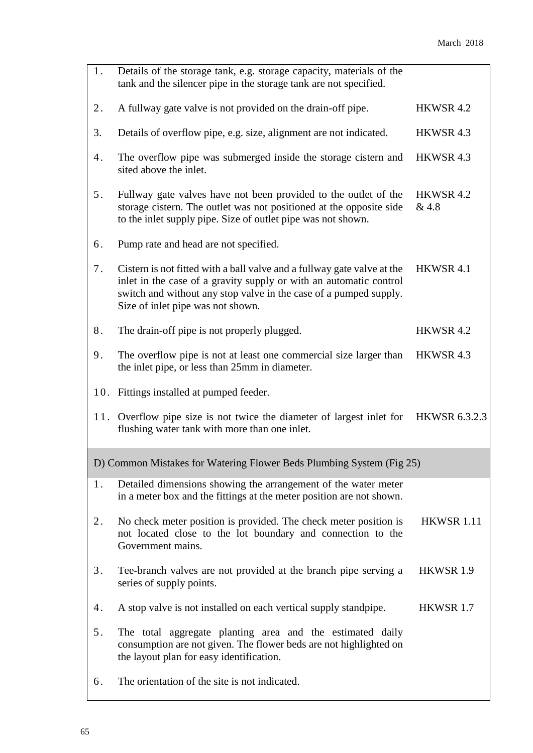| 1. | Details of the storage tank, e.g. storage capacity, materials of the<br>tank and the silencer pipe in the storage tank are not specified.                                                                                                               |                   |
|----|---------------------------------------------------------------------------------------------------------------------------------------------------------------------------------------------------------------------------------------------------------|-------------------|
| 2. | A fullway gate valve is not provided on the drain-off pipe.                                                                                                                                                                                             | HKWSR 4.2         |
| 3. | Details of overflow pipe, e.g. size, alignment are not indicated.                                                                                                                                                                                       | HKWSR 4.3         |
| 4. | The overflow pipe was submerged inside the storage cistern and<br>sited above the inlet.                                                                                                                                                                | HKWSR 4.3         |
| 5. | Fullway gate valves have not been provided to the outlet of the<br>storage cistern. The outlet was not positioned at the opposite side<br>to the inlet supply pipe. Size of outlet pipe was not shown.                                                  | HKWSR 4.2<br>&4.8 |
| 6. | Pump rate and head are not specified.                                                                                                                                                                                                                   |                   |
| 7. | Cistern is not fitted with a ball valve and a fullway gate valve at the<br>inlet in the case of a gravity supply or with an automatic control<br>switch and without any stop valve in the case of a pumped supply.<br>Size of inlet pipe was not shown. | HKWSR 4.1         |
| 8. | The drain-off pipe is not properly plugged.                                                                                                                                                                                                             | HKWSR 4.2         |
| 9. | The overflow pipe is not at least one commercial size larger than<br>the inlet pipe, or less than 25mm in diameter.                                                                                                                                     | HKWSR 4.3         |
|    | 10. Fittings installed at pumped feeder.                                                                                                                                                                                                                |                   |
|    | 11. Overflow pipe size is not twice the diameter of largest inlet for HKWSR 6.3.2.3<br>flushing water tank with more than one inlet.                                                                                                                    |                   |
|    | D) Common Mistakes for Watering Flower Beds Plumbing System (Fig 25)                                                                                                                                                                                    |                   |
| 1. | Detailed dimensions showing the arrangement of the water meter<br>in a meter box and the fittings at the meter position are not shown.                                                                                                                  |                   |
| 2. | No check meter position is provided. The check meter position is<br>not located close to the lot boundary and connection to the<br>Government mains.                                                                                                    | <b>HKWSR 1.11</b> |
| 3. | Tee-branch valves are not provided at the branch pipe serving a<br>series of supply points.                                                                                                                                                             | HKWSR 1.9         |
| 4. | A stop valve is not installed on each vertical supply standpipe.                                                                                                                                                                                        | HKWSR 1.7         |
| 5. | The total aggregate planting area and the estimated daily<br>consumption are not given. The flower beds are not highlighted on<br>the layout plan for easy identification.                                                                              |                   |
| 6. | The orientation of the site is not indicated.                                                                                                                                                                                                           |                   |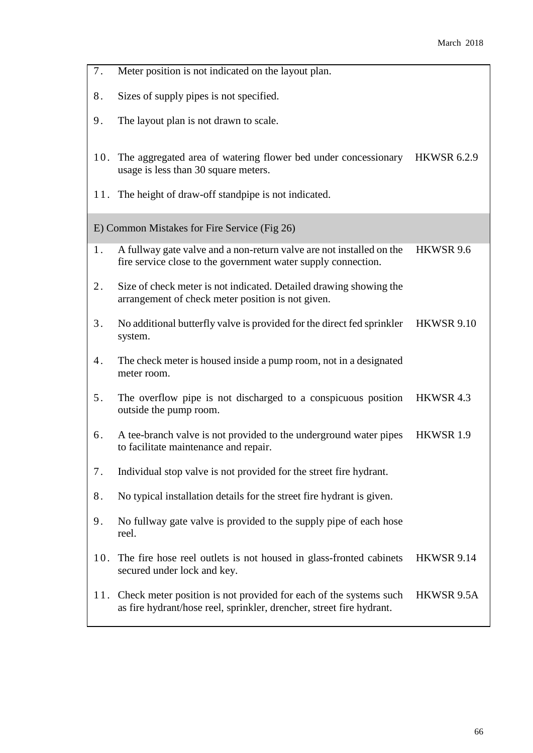| 7.  | Meter position is not indicated on the layout plan.                                                                                       |                    |
|-----|-------------------------------------------------------------------------------------------------------------------------------------------|--------------------|
| 8.  | Sizes of supply pipes is not specified.                                                                                                   |                    |
| 9.  | The layout plan is not drawn to scale.                                                                                                    |                    |
|     |                                                                                                                                           |                    |
|     | 10. The aggregated area of watering flower bed under concessionary<br>usage is less than 30 square meters.                                | <b>HKWSR 6.2.9</b> |
| 11. | The height of draw-off standpipe is not indicated.                                                                                        |                    |
|     |                                                                                                                                           |                    |
|     | E) Common Mistakes for Fire Service (Fig 26)                                                                                              |                    |
| 1.  | A fullway gate valve and a non-return valve are not installed on the<br>fire service close to the government water supply connection.     | HKWSR 9.6          |
| 2.  | Size of check meter is not indicated. Detailed drawing showing the<br>arrangement of check meter position is not given.                   |                    |
| 3.  | No additional butterfly valve is provided for the direct fed sprinkler<br>system.                                                         | <b>HKWSR 9.10</b>  |
| 4.  | The check meter is housed inside a pump room, not in a designated<br>meter room.                                                          |                    |
| 5.  | The overflow pipe is not discharged to a conspicuous position<br>outside the pump room.                                                   | HKWSR 4.3          |
| 6.  | A tee-branch valve is not provided to the underground water pipes<br>to facilitate maintenance and repair.                                | HKWSR 1.9          |
| 7.  | Individual stop valve is not provided for the street fire hydrant.                                                                        |                    |
| 8.  | No typical installation details for the street fire hydrant is given.                                                                     |                    |
| 9.  | No fullway gate valve is provided to the supply pipe of each hose<br>reel.                                                                |                    |
| 10. | The fire hose reel outlets is not housed in glass-fronted cabinets<br>secured under lock and key.                                         | <b>HKWSR 9.14</b>  |
| 11. | Check meter position is not provided for each of the systems such<br>as fire hydrant/hose reel, sprinkler, drencher, street fire hydrant. | HKWSR 9.5A         |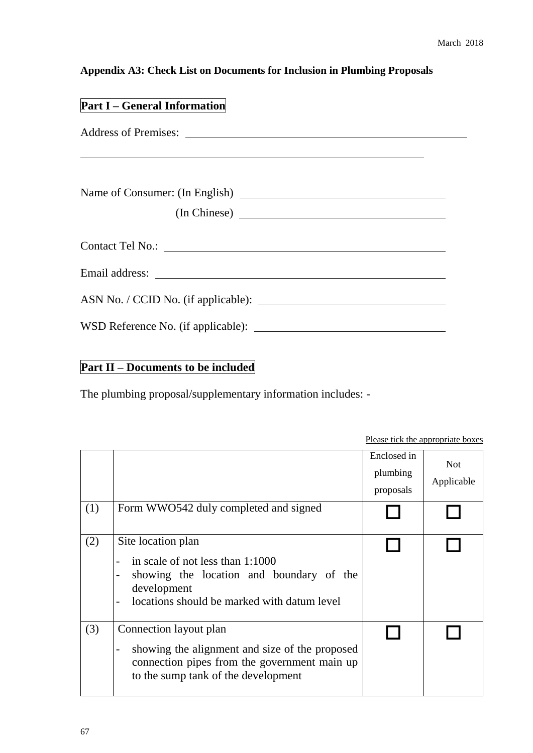## **Appendix A3: Check List on Documents for Inclusion in Plumbing Proposals**

# **Part I – General Information**

Address of Premises:

Name of Consumer: (In English) (In Chinese)

| Contact Tel No.: |  |
|------------------|--|
|                  |  |

| Email address: |  |
|----------------|--|
|                |  |

ASN No. / CCID No. (if applicable):

WSD Reference No. (if applicable):

# **Part II – Documents to be included**

The plumbing proposal/supplementary information includes: -

Please tick the appropriate boxes

|     |                                                                                                                                                                  | Enclosed in<br>plumbing<br>proposals | Not.<br>Applicable |
|-----|------------------------------------------------------------------------------------------------------------------------------------------------------------------|--------------------------------------|--------------------|
| (1) | Form WWO542 duly completed and signed                                                                                                                            |                                      |                    |
| (2) | Site location plan<br>in scale of not less than 1:1000<br>showing the location and boundary of the<br>development<br>locations should be marked with datum level |                                      |                    |
| (3) | Connection layout plan<br>showing the alignment and size of the proposed<br>connection pipes from the government main up<br>to the sump tank of the development  |                                      |                    |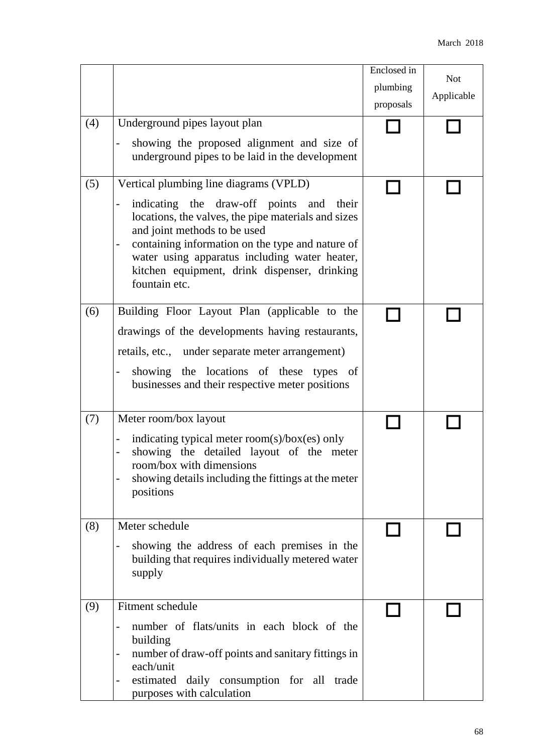|     |                                                                                                                                                                                                                                                                                                                                                                                | Enclosed in<br>plumbing<br>proposals | <b>Not</b><br>Applicable |
|-----|--------------------------------------------------------------------------------------------------------------------------------------------------------------------------------------------------------------------------------------------------------------------------------------------------------------------------------------------------------------------------------|--------------------------------------|--------------------------|
| (4) | Underground pipes layout plan<br>showing the proposed alignment and size of<br>underground pipes to be laid in the development                                                                                                                                                                                                                                                 |                                      |                          |
| (5) | Vertical plumbing line diagrams (VPLD)<br>indicating the draw-off points and<br>their<br>$\overline{\phantom{0}}$<br>locations, the valves, the pipe materials and sizes<br>and joint methods to be used<br>containing information on the type and nature of<br>water using apparatus including water heater,<br>kitchen equipment, drink dispenser, drinking<br>fountain etc. |                                      |                          |
| (6) | Building Floor Layout Plan (applicable to the<br>drawings of the developments having restaurants,<br>retails, etc., under separate meter arrangement)<br>showing the locations of these types of<br>businesses and their respective meter positions                                                                                                                            |                                      |                          |
| (7) | Meter room/box layout<br>indicating typical meter room(s)/box(es) only<br>showing the detailed layout of the meter<br>room/box with dimensions<br>showing details including the fittings at the meter<br>positions                                                                                                                                                             |                                      |                          |
| (8) | Meter schedule<br>showing the address of each premises in the<br>building that requires individually metered water<br>supply                                                                                                                                                                                                                                                   |                                      |                          |
| (9) | Fitment schedule<br>number of flats/units in each block of the<br>-<br>building<br>number of draw-off points and sanitary fittings in<br>$\qquad \qquad -$<br>each/unit<br>daily consumption for all trade<br>estimated<br>-<br>purposes with calculation                                                                                                                      |                                      |                          |